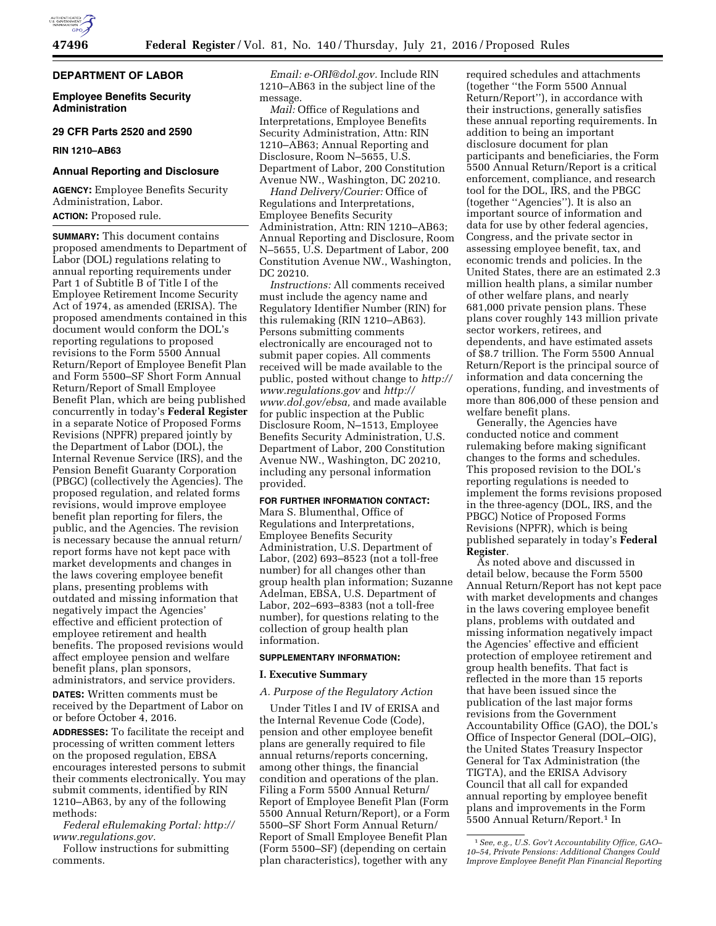

# **DEPARTMENT OF LABOR**

## **Employee Benefits Security Administration**

## **29 CFR Parts 2520 and 2590**

# **RIN 1210–AB63**

# **Annual Reporting and Disclosure**

**AGENCY:** Employee Benefits Security Administration, Labor. **ACTION:** Proposed rule.

**SUMMARY:** This document contains proposed amendments to Department of Labor (DOL) regulations relating to annual reporting requirements under Part 1 of Subtitle B of Title I of the Employee Retirement Income Security Act of 1974, as amended (ERISA). The proposed amendments contained in this document would conform the DOL's reporting regulations to proposed revisions to the Form 5500 Annual Return/Report of Employee Benefit Plan and Form 5500–SF Short Form Annual Return/Report of Small Employee Benefit Plan, which are being published concurrently in today's **Federal Register**  in a separate Notice of Proposed Forms Revisions (NPFR) prepared jointly by the Department of Labor (DOL), the Internal Revenue Service (IRS), and the Pension Benefit Guaranty Corporation (PBGC) (collectively the Agencies). The proposed regulation, and related forms revisions, would improve employee benefit plan reporting for filers, the public, and the Agencies. The revision is necessary because the annual return/ report forms have not kept pace with market developments and changes in the laws covering employee benefit plans, presenting problems with outdated and missing information that negatively impact the Agencies' effective and efficient protection of employee retirement and health benefits. The proposed revisions would affect employee pension and welfare benefit plans, plan sponsors, administrators, and service providers.

**DATES:** Written comments must be received by the Department of Labor on or before October 4, 2016.

**ADDRESSES:** To facilitate the receipt and processing of written comment letters on the proposed regulation, EBSA encourages interested persons to submit their comments electronically. You may submit comments, identified by RIN 1210–AB63, by any of the following methods:

*Federal eRulemaking Portal: [http://](http://www.regulations.gov) [www.regulations.gov.](http://www.regulations.gov)* 

Follow instructions for submitting comments.

*Email: [e-ORI@dol.gov.](mailto:e-ORI@dol.gov)* Include RIN 1210–AB63 in the subject line of the message.

*Mail:* Office of Regulations and Interpretations, Employee Benefits Security Administration, Attn: RIN 1210–AB63; Annual Reporting and Disclosure, Room N–5655, U.S. Department of Labor, 200 Constitution Avenue NW., Washington, DC 20210.

*Hand Delivery/Courier:* Office of Regulations and Interpretations, Employee Benefits Security Administration, Attn: RIN 1210–AB63; Annual Reporting and Disclosure, Room N–5655, U.S. Department of Labor, 200 Constitution Avenue NW., Washington, DC 20210.

*Instructions:* All comments received must include the agency name and Regulatory Identifier Number (RIN) for this rulemaking (RIN 1210–AB63). Persons submitting comments electronically are encouraged not to submit paper copies. All comments received will be made available to the public, posted without change to *[http://](http://www.regulations.gov)  [www.regulations.gov](http://www.regulations.gov)* and *[http://](http://www.dol.gov/ebsa) [www.dol.gov/ebsa,](http://www.dol.gov/ebsa)* and made available for public inspection at the Public Disclosure Room, N–1513, Employee Benefits Security Administration, U.S. Department of Labor, 200 Constitution Avenue NW., Washington, DC 20210, including any personal information provided.

# **FOR FURTHER INFORMATION CONTACT:**

Mara S. Blumenthal, Office of Regulations and Interpretations, Employee Benefits Security Administration, U.S. Department of Labor, (202) 693–8523 (not a toll-free number) for all changes other than group health plan information; Suzanne Adelman, EBSA, U.S. Department of Labor, 202–693–8383 (not a toll-free number), for questions relating to the collection of group health plan information.

## **SUPPLEMENTARY INFORMATION:**

#### **I. Executive Summary**

## *A. Purpose of the Regulatory Action*

Under Titles I and IV of ERISA and the Internal Revenue Code (Code), pension and other employee benefit plans are generally required to file annual returns/reports concerning, among other things, the financial condition and operations of the plan. Filing a Form 5500 Annual Return/ Report of Employee Benefit Plan (Form 5500 Annual Return/Report), or a Form 5500–SF Short Form Annual Return/ Report of Small Employee Benefit Plan (Form 5500–SF) (depending on certain plan characteristics), together with any

required schedules and attachments (together ''the Form 5500 Annual Return/Report''), in accordance with their instructions, generally satisfies these annual reporting requirements. In addition to being an important disclosure document for plan participants and beneficiaries, the Form 5500 Annual Return/Report is a critical enforcement, compliance, and research tool for the DOL, IRS, and the PBGC (together ''Agencies''). It is also an important source of information and data for use by other federal agencies, Congress, and the private sector in assessing employee benefit, tax, and economic trends and policies. In the United States, there are an estimated 2.3 million health plans, a similar number of other welfare plans, and nearly 681,000 private pension plans. These plans cover roughly 143 million private sector workers, retirees, and dependents, and have estimated assets of \$8.7 trillion. The Form 5500 Annual Return/Report is the principal source of information and data concerning the operations, funding, and investments of more than 806,000 of these pension and welfare benefit plans.

Generally, the Agencies have conducted notice and comment rulemaking before making significant changes to the forms and schedules. This proposed revision to the DOL's reporting regulations is needed to implement the forms revisions proposed in the three-agency (DOL, IRS, and the PBGC) Notice of Proposed Forms Revisions (NPFR), which is being published separately in today's **Federal Register**.

As noted above and discussed in detail below, because the Form 5500 Annual Return/Report has not kept pace with market developments and changes in the laws covering employee benefit plans, problems with outdated and missing information negatively impact the Agencies' effective and efficient protection of employee retirement and group health benefits. That fact is reflected in the more than 15 reports that have been issued since the publication of the last major forms revisions from the Government Accountability Office (GAO), the DOL's Office of Inspector General (DOL–OIG), the United States Treasury Inspector General for Tax Administration (the TIGTA), and the ERISA Advisory Council that all call for expanded annual reporting by employee benefit plans and improvements in the Form 5500 Annual Return/Report.1 In

<sup>1</sup>*See, e.g., U.S. Gov't Accountability Office, GAO– 10–54, Private Pensions: Additional Changes Could Improve Employee Benefit Plan Financial Reporting*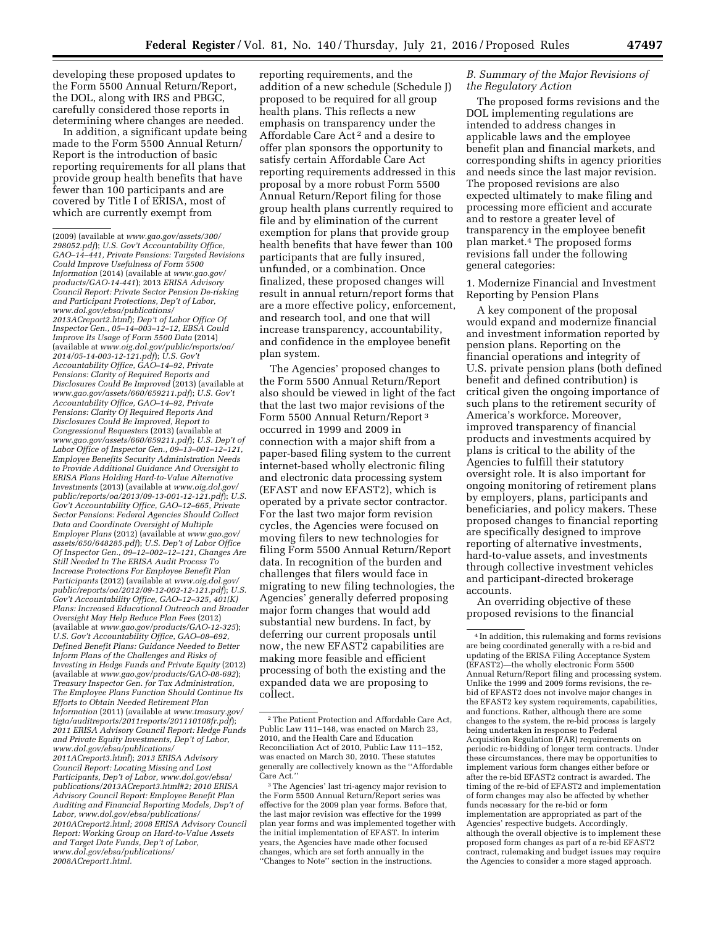developing these proposed updates to the Form 5500 Annual Return/Report, the DOL, along with IRS and PBGC, carefully considered those reports in determining where changes are needed.

In addition, a significant update being made to the Form 5500 Annual Return/ Report is the introduction of basic reporting requirements for all plans that provide group health benefits that have fewer than 100 participants and are covered by Title I of ERISA, most of which are currently exempt from

reporting requirements, and the addition of a new schedule (Schedule J) proposed to be required for all group health plans. This reflects a new emphasis on transparency under the Affordable Care Act 2 and a desire to offer plan sponsors the opportunity to satisfy certain Affordable Care Act reporting requirements addressed in this proposal by a more robust Form 5500 Annual Return/Report filing for those group health plans currently required to file and by elimination of the current exemption for plans that provide group health benefits that have fewer than 100 participants that are fully insured, unfunded, or a combination. Once finalized, these proposed changes will result in annual return/report forms that are a more effective policy, enforcement, and research tool, and one that will increase transparency, accountability, and confidence in the employee benefit plan system.

The Agencies' proposed changes to the Form 5500 Annual Return/Report also should be viewed in light of the fact that the last two major revisions of the Form 5500 Annual Return/Report 3 occurred in 1999 and 2009 in connection with a major shift from a paper-based filing system to the current internet-based wholly electronic filing and electronic data processing system (EFAST and now EFAST2), which is operated by a private sector contractor. For the last two major form revision cycles, the Agencies were focused on moving filers to new technologies for filing Form 5500 Annual Return/Report data. In recognition of the burden and challenges that filers would face in migrating to new filing technologies, the Agencies' generally deferred proposing major form changes that would add substantial new burdens. In fact, by deferring our current proposals until now, the new EFAST2 capabilities are making more feasible and efficient processing of both the existing and the expanded data we are proposing to collect.

# *B. Summary of the Major Revisions of the Regulatory Action*

The proposed forms revisions and the DOL implementing regulations are intended to address changes in applicable laws and the employee benefit plan and financial markets, and corresponding shifts in agency priorities and needs since the last major revision. The proposed revisions are also expected ultimately to make filing and processing more efficient and accurate and to restore a greater level of transparency in the employee benefit plan market.4 The proposed forms revisions fall under the following general categories:

1. Modernize Financial and Investment Reporting by Pension Plans

A key component of the proposal would expand and modernize financial and investment information reported by pension plans. Reporting on the financial operations and integrity of U.S. private pension plans (both defined benefit and defined contribution) is critical given the ongoing importance of such plans to the retirement security of America's workforce. Moreover, improved transparency of financial products and investments acquired by plans is critical to the ability of the Agencies to fulfill their statutory oversight role. It is also important for ongoing monitoring of retirement plans by employers, plans, participants and beneficiaries, and policy makers. These proposed changes to financial reporting are specifically designed to improve reporting of alternative investments, hard-to-value assets, and investments through collective investment vehicles and participant-directed brokerage accounts.

An overriding objective of these proposed revisions to the financial

<sup>(2009) (</sup>available at *[www.gao.gov/assets/300/](http://www.gao.gov/assets/300/298052.pdf)  [298052.pdf](http://www.gao.gov/assets/300/298052.pdf)*); *U.S. Gov't Accountability Office, GAO–14–441, Private Pensions: Targeted Revisions Could Improve Usefulness of Form 5500 Information* (2014) (available at *[www.gao.gov/](http://www.gao.gov/products/GAO-14-441) [products/GAO-14-441](http://www.gao.gov/products/GAO-14-441)*); 2013 *ERISA Advisory Council Report: Private Sector Pension De-risking and Participant Protections, Dep't of Labor, [www.dol.gov/ebsa/publications/](http://www.dol.gov/ebsa/publications/2013ACreport2.html)  [2013ACreport2.html](http://www.dol.gov/ebsa/publications/2013ACreport2.html)*); *Dep't of Labor Office Of Inspector Gen., 05–14–003–12–12, EBSA Could Improve Its Usage of Form 5500 Data* (2014) (available at *[www.oig.dol.gov/public/reports/oa/](http://www.oig.dol.gov/public/reports/oa/2014/05-14-003-12-121.pdf) [2014/05-14-003-12-121.pdf](http://www.oig.dol.gov/public/reports/oa/2014/05-14-003-12-121.pdf)*); *U.S. Gov't Accountability Office, GAO–14–92, Private Pensions: Clarity of Required Reports and Disclosures Could Be Improved* (2013) (available at *[www.gao.gov/assets/660/659211.pdf](http://www.gao.gov/assets/660/659211.pdf)*); *U.S. Gov't Accountability Office, GAO–14–92, Private Pensions: Clarity Of Required Reports And Disclosures Could Be Improved, Report to Congressional Requesters* (2013) (available at *[www.gao.gov/assets/660/659211.pdf](http://www.gao.gov/assets/660/659211.pdf)*); *U.S. Dep't of Labor Office of Inspector Gen., 09–13–001–12–121, Employee Benefits Security Administration Needs to Provide Additional Guidance And Oversight to ERISA Plans Holding Hard-to-Value Alternative Investments* (2013) (available at *[www.oig.dol.gov/](http://www.oig.dol.gov/public/reports/oa/2013/09-13-001-12-121.pdf)  [public/reports/oa/2013/09-13-001-12-121.pdf](http://www.oig.dol.gov/public/reports/oa/2013/09-13-001-12-121.pdf)*); *U.S. Gov't Accountability Office, GAO–12–665, Private Sector Pensions: Federal Agencies Should Collect Data and Coordinate Oversight of Multiple Employer Plans* (2012) (available at *[www.gao.gov/](http://www.gao.gov/assets/650/648285.pdf) [assets/650/648285.pdf](http://www.gao.gov/assets/650/648285.pdf)*); *U.S. Dep't of Labor Office Of Inspector Gen., 09–12–002–12–121, Changes Are Still Needed In The ERISA Audit Process To Increase Protections For Employee Benefit Plan Participants* (2012) (available at *[www.oig.dol.gov/](http://www.oig.dol.gov/public/reports/oa/2012/09-12-002-12-121.pdf) [public/reports/oa/2012/09-12-002-12-121.pdf](http://www.oig.dol.gov/public/reports/oa/2012/09-12-002-12-121.pdf)*); *U.S. Gov't Accountability Office, GAO–12–325, 401(K) Plans: Increased Educational Outreach and Broader Oversight May Help Reduce Plan Fees* (2012) (available at *[www.gao.gov/products/GAO-12-325](http://www.gao.gov/products/GAO-12-325)*); *U.S. Gov't Accountability Office, GAO–08–692, Defined Benefit Plans: Guidance Needed to Better Inform Plans of the Challenges and Risks of Investing in Hedge Funds and Private Equity* (2012) (available at *[www.gao.gov/products/GAO-08-692](http://www.gao.gov/products/GAO-08-692)*); *Treasury Inspector Gen. for Tax Administration, The Employee Plans Function Should Continue Its Efforts to Obtain Needed Retirement Plan Information* (2011) (available at *[www.treasury.gov/](http://www.treasury.gov/tigta/auditreports/2011reports/201110108fr.pdf) [tigta/auditreports/2011reports/201110108fr.pdf](http://www.treasury.gov/tigta/auditreports/2011reports/201110108fr.pdf)*); *2011 ERISA Advisory Council Report: Hedge Funds and Private Equity Investments, Dep't of Labor, [www.dol.gov/ebsa/](http://www.dol.gov/ebsa)publications/ 2011ACreport3.html*); *2013 ERISA Advisory Council Report: Locating Missing and Lost Participants, Dep't of Labor, [www.dol.gov/ebsa/](http://www.dol.gov/ebsa/publications/2013ACreport3.html#2) [publications/2013ACreport3.html#2;](http://www.dol.gov/ebsa/publications/2013ACreport3.html#2) 2010 ERISA Advisory Council Report: Employee Benefit Plan Auditing and Financial Reporting Models, Dep't of Labor, [www.dol.gov/ebsa/](http://www.dol.gov/ebsa)publications/ 2010ACreport2.html; 2008 ERISA Advisory Council Report: Working Group on Hard-to-Value Assets and Target Date Funds, Dep't of Labor, [www.dol.gov/ebsa/](http://www.dol.gov/ebsa)publications/ 2008ACreport1.html.* 

<sup>2</sup>The Patient Protection and Affordable Care Act, Public Law 111–148, was enacted on March 23, 2010, and the Health Care and Education Reconciliation Act of 2010, Public Law 111–152, was enacted on March 30, 2010. These statutes generally are collectively known as the ''Affordable Care Act.''

<sup>3</sup>The Agencies' last tri-agency major revision to the Form 5500 Annual Return/Report series was effective for the 2009 plan year forms. Before that, the last major revision was effective for the 1999 plan year forms and was implemented together with the initial implementation of EFAST. In interim years, the Agencies have made other focused changes, which are set forth annually in the ''Changes to Note'' section in the instructions.

<sup>4</sup> In addition, this rulemaking and forms revisions are being coordinated generally with a re-bid and updating of the ERISA Filing Acceptance System (EFAST2)—the wholly electronic Form 5500 Annual Return/Report filing and processing system. Unlike the 1999 and 2009 forms revisions, the rebid of EFAST2 does not involve major changes in the EFAST2 key system requirements, capabilities, and functions. Rather, although there are some changes to the system, the re-bid process is largely being undertaken in response to Federal Acquisition Regulation (FAR) requirements on periodic re-bidding of longer term contracts. Under these circumstances, there may be opportunities to implement various form changes either before or after the re-bid EFAST2 contract is awarded. The timing of the re-bid of EFAST2 and implementation of form changes may also be affected by whether funds necessary for the re-bid or form implementation are appropriated as part of the Agencies' respective budgets. Accordingly, although the overall objective is to implement these proposed form changes as part of a re-bid EFAST2 contract, rulemaking and budget issues may require the Agencies to consider a more staged approach.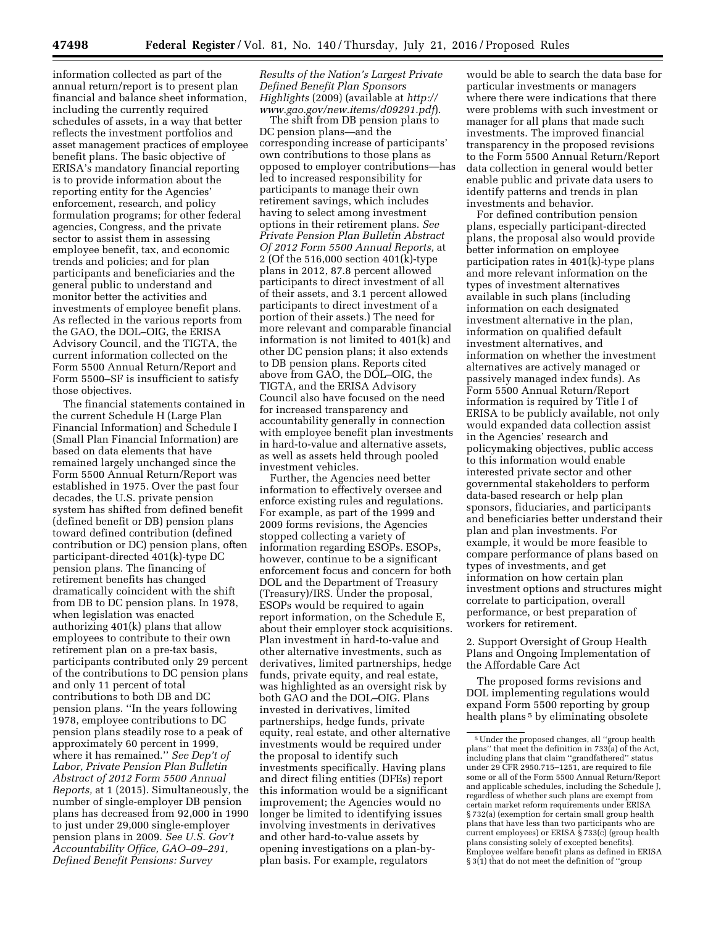information collected as part of the annual return/report is to present plan financial and balance sheet information, including the currently required schedules of assets, in a way that better reflects the investment portfolios and asset management practices of employee benefit plans. The basic objective of ERISA's mandatory financial reporting is to provide information about the reporting entity for the Agencies' enforcement, research, and policy formulation programs; for other federal agencies, Congress, and the private sector to assist them in assessing employee benefit, tax, and economic trends and policies; and for plan participants and beneficiaries and the general public to understand and monitor better the activities and investments of employee benefit plans. As reflected in the various reports from the GAO, the DOL–OIG, the ERISA Advisory Council, and the TIGTA, the current information collected on the Form 5500 Annual Return/Report and Form 5500–SF is insufficient to satisfy those objectives.

The financial statements contained in the current Schedule H (Large Plan Financial Information) and Schedule I (Small Plan Financial Information) are based on data elements that have remained largely unchanged since the Form 5500 Annual Return/Report was established in 1975. Over the past four decades, the U.S. private pension system has shifted from defined benefit (defined benefit or DB) pension plans toward defined contribution (defined contribution or DC) pension plans, often participant-directed 401(k)-type DC pension plans. The financing of retirement benefits has changed dramatically coincident with the shift from DB to DC pension plans. In 1978, when legislation was enacted authorizing 401(k) plans that allow employees to contribute to their own retirement plan on a pre-tax basis, participants contributed only 29 percent of the contributions to DC pension plans and only 11 percent of total contributions to both DB and DC pension plans. ''In the years following 1978, employee contributions to DC pension plans steadily rose to a peak of approximately 60 percent in 1999, where it has remained.'' *See Dep't of Labor, Private Pension Plan Bulletin Abstract of 2012 Form 5500 Annual Reports,* at 1 (2015). Simultaneously, the number of single-employer DB pension plans has decreased from 92,000 in 1990 to just under 29,000 single-employer pension plans in 2009. *See U.S. Gov't Accountability Office, GAO–09–291, Defined Benefit Pensions: Survey* 

*Results of the Nation's Largest Private Defined Benefit Plan Sponsors Highlights* (2009) (available at *[http://](http://www.gao.gov/new.items/d09291.pdf) [www.gao.gov/new.items/d09291.pdf](http://www.gao.gov/new.items/d09291.pdf)*).

The shift from DB pension plans to DC pension plans—and the corresponding increase of participants' own contributions to those plans as opposed to employer contributions—has led to increased responsibility for participants to manage their own retirement savings, which includes having to select among investment options in their retirement plans. *See Private Pension Plan Bulletin Abstract Of 2012 Form 5500 Annual Reports,* at 2 (Of the 516,000 section 401(k)-type plans in 2012, 87.8 percent allowed participants to direct investment of all of their assets, and 3.1 percent allowed participants to direct investment of a portion of their assets.) The need for more relevant and comparable financial information is not limited to 401(k) and other DC pension plans; it also extends to DB pension plans. Reports cited above from GAO, the DOL–OIG, the TIGTA, and the ERISA Advisory Council also have focused on the need for increased transparency and accountability generally in connection with employee benefit plan investments in hard-to-value and alternative assets, as well as assets held through pooled investment vehicles.

Further, the Agencies need better information to effectively oversee and enforce existing rules and regulations. For example, as part of the 1999 and 2009 forms revisions, the Agencies stopped collecting a variety of information regarding ESOPs. ESOPs, however, continue to be a significant enforcement focus and concern for both DOL and the Department of Treasury (Treasury)/IRS. Under the proposal, ESOPs would be required to again report information, on the Schedule E, about their employer stock acquisitions. Plan investment in hard-to-value and other alternative investments, such as derivatives, limited partnerships, hedge funds, private equity, and real estate, was highlighted as an oversight risk by both GAO and the DOL–OIG. Plans invested in derivatives, limited partnerships, hedge funds, private equity, real estate, and other alternative investments would be required under the proposal to identify such investments specifically. Having plans and direct filing entities (DFEs) report this information would be a significant improvement; the Agencies would no longer be limited to identifying issues involving investments in derivatives and other hard-to-value assets by opening investigations on a plan-byplan basis. For example, regulators

would be able to search the data base for particular investments or managers where there were indications that there were problems with such investment or manager for all plans that made such investments. The improved financial transparency in the proposed revisions to the Form 5500 Annual Return/Report data collection in general would better enable public and private data users to identify patterns and trends in plan investments and behavior.

For defined contribution pension plans, especially participant-directed plans, the proposal also would provide better information on employee participation rates in 401(k)-type plans and more relevant information on the types of investment alternatives available in such plans (including information on each designated investment alternative in the plan, information on qualified default investment alternatives, and information on whether the investment alternatives are actively managed or passively managed index funds). As Form 5500 Annual Return/Report information is required by Title I of ERISA to be publicly available, not only would expanded data collection assist in the Agencies' research and policymaking objectives, public access to this information would enable interested private sector and other governmental stakeholders to perform data-based research or help plan sponsors, fiduciaries, and participants and beneficiaries better understand their plan and plan investments. For example, it would be more feasible to compare performance of plans based on types of investments, and get information on how certain plan investment options and structures might correlate to participation, overall performance, or best preparation of workers for retirement.

2. Support Oversight of Group Health Plans and Ongoing Implementation of the Affordable Care Act

The proposed forms revisions and DOL implementing regulations would expand Form 5500 reporting by group health plans<sup>5</sup> by eliminating obsolete

<sup>5</sup>Under the proposed changes, all ''group health plans'' that meet the definition in 733(a) of the Act, including plans that claim ''grandfathered'' status under 29 CFR 2950.715–1251, are required to file some or all of the Form 5500 Annual Return/Report and applicable schedules, including the Schedule J, regardless of whether such plans are exempt from certain market reform requirements under ERISA § 732(a) (exemption for certain small group health plans that have less than two participants who are current employees) or ERISA § 733(c) (group health plans consisting solely of excepted benefits). Employee welfare benefit plans as defined in ERISA § 3(1) that do not meet the definition of "group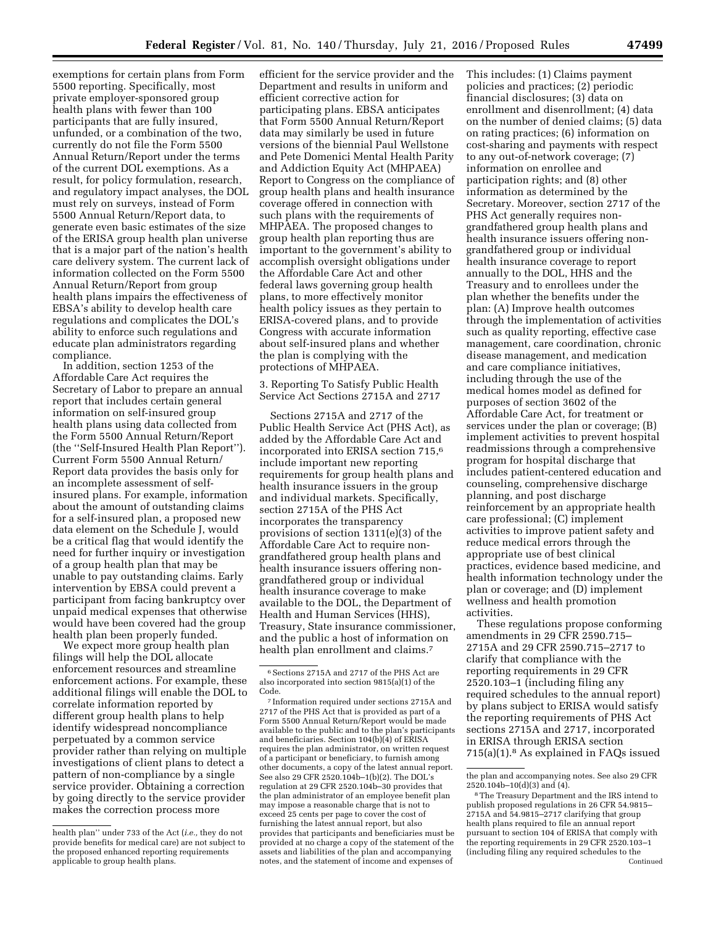exemptions for certain plans from Form 5500 reporting. Specifically, most private employer-sponsored group health plans with fewer than 100 participants that are fully insured, unfunded, or a combination of the two, currently do not file the Form 5500 Annual Return/Report under the terms of the current DOL exemptions. As a result, for policy formulation, research, and regulatory impact analyses, the DOL must rely on surveys, instead of Form 5500 Annual Return/Report data, to generate even basic estimates of the size of the ERISA group health plan universe that is a major part of the nation's health care delivery system. The current lack of information collected on the Form 5500 Annual Return/Report from group health plans impairs the effectiveness of EBSA's ability to develop health care regulations and complicates the DOL's ability to enforce such regulations and educate plan administrators regarding compliance.

In addition, section 1253 of the Affordable Care Act requires the Secretary of Labor to prepare an annual report that includes certain general information on self-insured group health plans using data collected from the Form 5500 Annual Return/Report (the ''Self-Insured Health Plan Report''). Current Form 5500 Annual Return/ Report data provides the basis only for an incomplete assessment of selfinsured plans. For example, information about the amount of outstanding claims for a self-insured plan, a proposed new data element on the Schedule J, would be a critical flag that would identify the need for further inquiry or investigation of a group health plan that may be unable to pay outstanding claims. Early intervention by EBSA could prevent a participant from facing bankruptcy over unpaid medical expenses that otherwise would have been covered had the group health plan been properly funded.

We expect more group health plan filings will help the DOL allocate enforcement resources and streamline enforcement actions. For example, these additional filings will enable the DOL to correlate information reported by different group health plans to help identify widespread noncompliance perpetuated by a common service provider rather than relying on multiple investigations of client plans to detect a pattern of non-compliance by a single service provider. Obtaining a correction by going directly to the service provider makes the correction process more

efficient for the service provider and the Department and results in uniform and efficient corrective action for participating plans. EBSA anticipates that Form 5500 Annual Return/Report data may similarly be used in future versions of the biennial Paul Wellstone and Pete Domenici Mental Health Parity and Addiction Equity Act (MHPAEA) Report to Congress on the compliance of group health plans and health insurance coverage offered in connection with such plans with the requirements of MHPAEA. The proposed changes to group health plan reporting thus are important to the government's ability to accomplish oversight obligations under the Affordable Care Act and other federal laws governing group health plans, to more effectively monitor health policy issues as they pertain to ERISA-covered plans, and to provide Congress with accurate information about self-insured plans and whether the plan is complying with the protections of MHPAEA.

3. Reporting To Satisfy Public Health Service Act Sections 2715A and 2717

Sections 2715A and 2717 of the Public Health Service Act (PHS Act), as added by the Affordable Care Act and incorporated into ERISA section 715,6 include important new reporting requirements for group health plans and health insurance issuers in the group and individual markets. Specifically, section 2715A of the PHS Act incorporates the transparency provisions of section 1311(e)(3) of the Affordable Care Act to require nongrandfathered group health plans and health insurance issuers offering nongrandfathered group or individual health insurance coverage to make available to the DOL, the Department of Health and Human Services (HHS), Treasury, State insurance commissioner, and the public a host of information on health plan enrollment and claims.<sup>7</sup>

This includes: (1) Claims payment policies and practices; (2) periodic financial disclosures; (3) data on enrollment and disenrollment; (4) data on the number of denied claims; (5) data on rating practices; (6) information on cost-sharing and payments with respect to any out-of-network coverage; (7) information on enrollee and participation rights; and (8) other information as determined by the Secretary. Moreover, section 2717 of the PHS Act generally requires nongrandfathered group health plans and health insurance issuers offering nongrandfathered group or individual health insurance coverage to report annually to the DOL, HHS and the Treasury and to enrollees under the plan whether the benefits under the plan: (A) Improve health outcomes through the implementation of activities such as quality reporting, effective case management, care coordination, chronic disease management, and medication and care compliance initiatives, including through the use of the medical homes model as defined for purposes of section 3602 of the Affordable Care Act, for treatment or services under the plan or coverage; (B) implement activities to prevent hospital readmissions through a comprehensive program for hospital discharge that includes patient-centered education and counseling, comprehensive discharge planning, and post discharge reinforcement by an appropriate health care professional; (C) implement activities to improve patient safety and reduce medical errors through the appropriate use of best clinical practices, evidence based medicine, and health information technology under the plan or coverage; and (D) implement wellness and health promotion activities.

These regulations propose conforming amendments in 29 CFR 2590.715– 2715A and 29 CFR 2590.715–2717 to clarify that compliance with the reporting requirements in 29 CFR 2520.103–1 (including filing any required schedules to the annual report) by plans subject to ERISA would satisfy the reporting requirements of PHS Act sections 2715A and 2717, incorporated in ERISA through ERISA section 715(a)(1).8 As explained in FAQs issued

health plan'' under 733 of the Act (*i.e.,* they do not provide benefits for medical care) are not subject to the proposed enhanced reporting requirements applicable to group health plans.

<sup>6</sup>Sections 2715A and 2717 of the PHS Act are also incorporated into section 9815(a)(1) of the Code.

<sup>7</sup> Information required under sections 2715A and 2717 of the PHS Act that is provided as part of a Form 5500 Annual Return/Report would be made available to the public and to the plan's participants and beneficiaries. Section 104(b)(4) of ERISA requires the plan administrator, on written request of a participant or beneficiary, to furnish among other documents, a copy of the latest annual report. See also 29 CFR 2520.104b–1(b)(2). The DOL's regulation at 29 CFR 2520.104b–30 provides that the plan administrator of an employee benefit plan may impose a reasonable charge that is not to exceed 25 cents per page to cover the cost of furnishing the latest annual report, but also provides that participants and beneficiaries must be provided at no charge a copy of the statement of the assets and liabilities of the plan and accompanying notes, and the statement of income and expenses of

the plan and accompanying notes. See also 29 CFR 2520.104b–10(d)(3) and (4).

<sup>8</sup>The Treasury Department and the IRS intend to publish proposed regulations in 26 CFR 54.9815– 2715A and 54.9815–2717 clarifying that group health plans required to file an annual report pursuant to section 104 of ERISA that comply with the reporting requirements in 29 CFR 2520.103–1 (including filing any required schedules to the Continued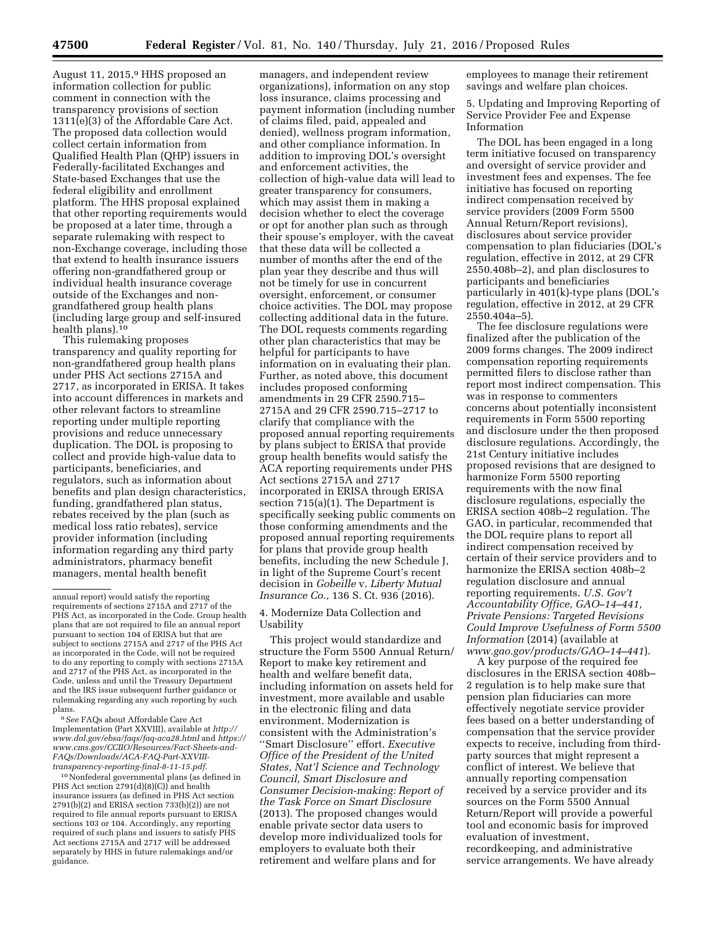August 11, 2015,<sup>9</sup> HHS proposed an information collection for public comment in connection with the transparency provisions of section 1311(e)(3) of the Affordable Care Act. The proposed data collection would collect certain information from Qualified Health Plan (QHP) issuers in Federally-facilitated Exchanges and State-based Exchanges that use the federal eligibility and enrollment platform. The HHS proposal explained that other reporting requirements would be proposed at a later time, through a separate rulemaking with respect to non-Exchange coverage, including those that extend to health insurance issuers offering non-grandfathered group or individual health insurance coverage outside of the Exchanges and nongrandfathered group health plans (including large group and self-insured health plans).10

This rulemaking proposes transparency and quality reporting for non-grandfathered group health plans under PHS Act sections 2715A and 2717, as incorporated in ERISA. It takes into account differences in markets and other relevant factors to streamline reporting under multiple reporting provisions and reduce unnecessary duplication. The DOL is proposing to collect and provide high-value data to participants, beneficiaries, and regulators, such as information about benefits and plan design characteristics, funding, grandfathered plan status, rebates received by the plan (such as medical loss ratio rebates), service provider information (including information regarding any third party administrators, pharmacy benefit managers, mental health benefit

9*See* FAQs about Affordable Care Act Implementation (Part XXVIII), available at *[http://](http://www.dol.gov/ebsa/faqs/faq-aca28.html)  [www.dol.gov/ebsa/faqs/faq-aca28.html](http://www.dol.gov/ebsa/faqs/faq-aca28.html)* and *[https://](https://www.cms.gov/CCIIO/Resources/Fact-Sheets-and-FAQs/Downloads/ACA-FAQ-Part-XXVIII-transparency-reporting-final-8-11-15.pdf) [www.cms.gov/CCIIO/Resources/Fact-Sheets-and-](https://www.cms.gov/CCIIO/Resources/Fact-Sheets-and-FAQs/Downloads/ACA-FAQ-Part-XXVIII-transparency-reporting-final-8-11-15.pdf)[FAQs/Downloads/ACA-FAQ-Part-XXVIII](https://www.cms.gov/CCIIO/Resources/Fact-Sheets-and-FAQs/Downloads/ACA-FAQ-Part-XXVIII-transparency-reporting-final-8-11-15.pdf)[transparency-reporting-final-8-11-15.pdf.](https://www.cms.gov/CCIIO/Resources/Fact-Sheets-and-FAQs/Downloads/ACA-FAQ-Part-XXVIII-transparency-reporting-final-8-11-15.pdf)* 

10Nonfederal governmental plans (as defined in PHS Act section 2791(d)(8)(C)) and health insurance issuers (as defined in PHS Act section 2791(b)(2) and ERISA section 733(b)(2)) are not required to file annual reports pursuant to ERISA sections 103 or 104. Accordingly, any reporting required of such plans and issuers to satisfy PHS Act sections 2715A and 2717 will be addressed separately by HHS in future rulemakings and/or guidance.

managers, and independent review organizations), information on any stop loss insurance, claims processing and payment information (including number of claims filed, paid, appealed and denied), wellness program information, and other compliance information. In addition to improving DOL's oversight and enforcement activities, the collection of high-value data will lead to greater transparency for consumers, which may assist them in making a decision whether to elect the coverage or opt for another plan such as through their spouse's employer, with the caveat that these data will be collected a number of months after the end of the plan year they describe and thus will not be timely for use in concurrent oversight, enforcement, or consumer choice activities. The DOL may propose collecting additional data in the future. The DOL requests comments regarding other plan characteristics that may be helpful for participants to have information on in evaluating their plan. Further, as noted above, this document includes proposed conforming amendments in 29 CFR 2590.715– 2715A and 29 CFR 2590.715–2717 to clarify that compliance with the proposed annual reporting requirements by plans subject to ERISA that provide group health benefits would satisfy the ACA reporting requirements under PHS Act sections 2715A and 2717 incorporated in ERISA through ERISA section 715(a)(1). The Department is specifically seeking public comments on those conforming amendments and the proposed annual reporting requirements for plans that provide group health benefits, including the new Schedule J, in light of the Supreme Court's recent decision in *Gobeille* v. *Liberty Mutual Insurance Co.,* 136 S. Ct. 936 (2016).

4. Modernize Data Collection and Usability

This project would standardize and structure the Form 5500 Annual Return/ Report to make key retirement and health and welfare benefit data, including information on assets held for investment, more available and usable in the electronic filing and data environment. Modernization is consistent with the Administration's ''Smart Disclosure'' effort. *Executive Office of the President of the United States, Nat'l Science and Technology Council, Smart Disclosure and Consumer Decision-making: Report of the Task Force on Smart Disclosure*  (2013). The proposed changes would enable private sector data users to develop more individualized tools for employers to evaluate both their retirement and welfare plans and for

employees to manage their retirement savings and welfare plan choices.

5. Updating and Improving Reporting of Service Provider Fee and Expense Information

The DOL has been engaged in a long term initiative focused on transparency and oversight of service provider and investment fees and expenses. The fee initiative has focused on reporting indirect compensation received by service providers (2009 Form 5500 Annual Return/Report revisions), disclosures about service provider compensation to plan fiduciaries (DOL's regulation, effective in 2012, at 29 CFR 2550.408b–2), and plan disclosures to participants and beneficiaries particularly in 401(k)-type plans (DOL's regulation, effective in 2012, at 29 CFR 2550.404a–5).

The fee disclosure regulations were finalized after the publication of the 2009 forms changes. The 2009 indirect compensation reporting requirements permitted filers to disclose rather than report most indirect compensation. This was in response to commenters concerns about potentially inconsistent requirements in Form 5500 reporting and disclosure under the then proposed disclosure regulations. Accordingly, the 21st Century initiative includes proposed revisions that are designed to harmonize Form 5500 reporting requirements with the now final disclosure regulations, especially the ERISA section 408b–2 regulation. The GAO, in particular, recommended that the DOL require plans to report all indirect compensation received by certain of their service providers and to harmonize the ERISA section 408b–2 regulation disclosure and annual reporting requirements. *U.S. Gov't Accountability Office, GAO–14–441, Private Pensions: Targeted Revisions Could Improve Usefulness of Form 5500 Information* (2014) (available at *[www.gao.gov/products/GAO–14–441](http://www.gao.gov/products/GAO-14-441)*).

A key purpose of the required fee disclosures in the ERISA section 408b– 2 regulation is to help make sure that pension plan fiduciaries can more effectively negotiate service provider fees based on a better understanding of compensation that the service provider expects to receive, including from thirdparty sources that might represent a conflict of interest. We believe that annually reporting compensation received by a service provider and its sources on the Form 5500 Annual Return/Report will provide a powerful tool and economic basis for improved evaluation of investment, recordkeeping, and administrative service arrangements. We have already

annual report) would satisfy the reporting requirements of sections 2715A and 2717 of the PHS Act, as incorporated in the Code. Group health plans that are not required to file an annual report pursuant to section 104 of ERISA but that are subject to sections 2715A and 2717 of the PHS Act as incorporated in the Code, will not be required to do any reporting to comply with sections 2715A and 2717 of the PHS Act, as incorporated in the Code, unless and until the Treasury Department and the IRS issue subsequent further guidance or rulemaking regarding any such reporting by such plans.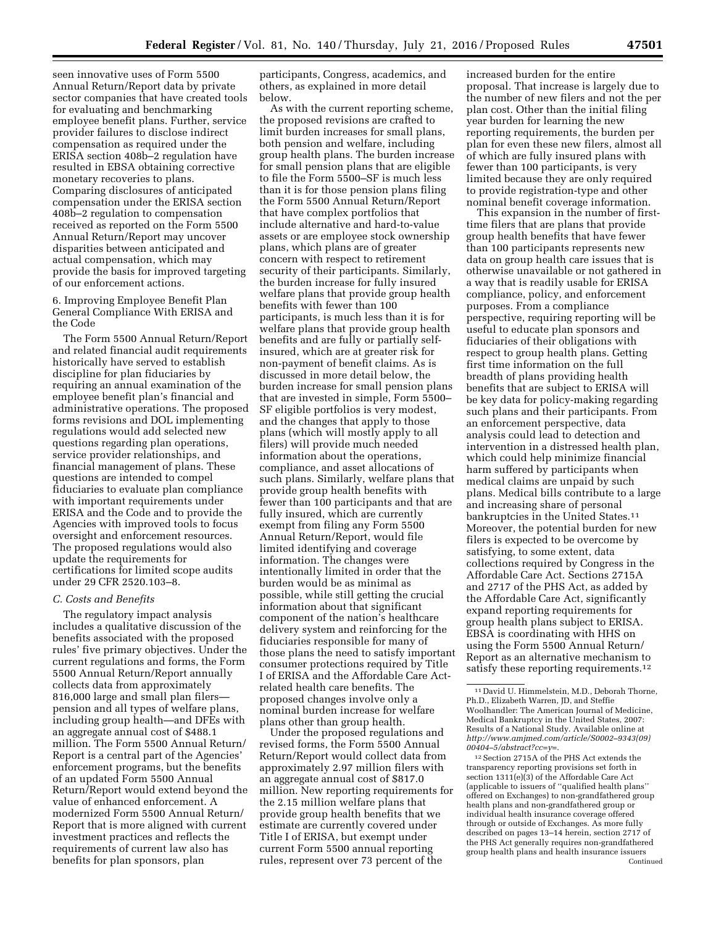seen innovative uses of Form 5500 Annual Return/Report data by private sector companies that have created tools for evaluating and benchmarking employee benefit plans. Further, service provider failures to disclose indirect compensation as required under the ERISA section 408b–2 regulation have resulted in EBSA obtaining corrective monetary recoveries to plans. Comparing disclosures of anticipated compensation under the ERISA section 408b–2 regulation to compensation received as reported on the Form 5500 Annual Return/Report may uncover disparities between anticipated and actual compensation, which may provide the basis for improved targeting of our enforcement actions.

6. Improving Employee Benefit Plan General Compliance With ERISA and the Code

The Form 5500 Annual Return/Report and related financial audit requirements historically have served to establish discipline for plan fiduciaries by requiring an annual examination of the employee benefit plan's financial and administrative operations. The proposed forms revisions and DOL implementing regulations would add selected new questions regarding plan operations, service provider relationships, and financial management of plans. These questions are intended to compel fiduciaries to evaluate plan compliance with important requirements under ERISA and the Code and to provide the Agencies with improved tools to focus oversight and enforcement resources. The proposed regulations would also update the requirements for certifications for limited scope audits under 29 CFR 2520.103–8.

## *C. Costs and Benefits*

The regulatory impact analysis includes a qualitative discussion of the benefits associated with the proposed rules' five primary objectives. Under the current regulations and forms, the Form 5500 Annual Return/Report annually collects data from approximately 816,000 large and small plan filers pension and all types of welfare plans, including group health—and DFEs with an aggregate annual cost of \$488.1 million. The Form 5500 Annual Return/ Report is a central part of the Agencies' enforcement programs, but the benefits of an updated Form 5500 Annual Return/Report would extend beyond the value of enhanced enforcement. A modernized Form 5500 Annual Return/ Report that is more aligned with current investment practices and reflects the requirements of current law also has benefits for plan sponsors, plan

participants, Congress, academics, and others, as explained in more detail below.

As with the current reporting scheme, the proposed revisions are crafted to limit burden increases for small plans, both pension and welfare, including group health plans. The burden increase for small pension plans that are eligible to file the Form 5500–SF is much less than it is for those pension plans filing the Form 5500 Annual Return/Report that have complex portfolios that include alternative and hard-to-value assets or are employee stock ownership plans, which plans are of greater concern with respect to retirement security of their participants. Similarly, the burden increase for fully insured welfare plans that provide group health benefits with fewer than 100 participants, is much less than it is for welfare plans that provide group health benefits and are fully or partially selfinsured, which are at greater risk for non-payment of benefit claims. As is discussed in more detail below, the burden increase for small pension plans that are invested in simple, Form 5500– SF eligible portfolios is very modest, and the changes that apply to those plans (which will mostly apply to all filers) will provide much needed information about the operations, compliance, and asset allocations of such plans. Similarly, welfare plans that provide group health benefits with fewer than 100 participants and that are fully insured, which are currently exempt from filing any Form 5500 Annual Return/Report, would file limited identifying and coverage information. The changes were intentionally limited in order that the burden would be as minimal as possible, while still getting the crucial information about that significant component of the nation's healthcare delivery system and reinforcing for the fiduciaries responsible for many of those plans the need to satisfy important consumer protections required by Title I of ERISA and the Affordable Care Actrelated health care benefits. The proposed changes involve only a nominal burden increase for welfare plans other than group health.

Under the proposed regulations and revised forms, the Form 5500 Annual Return/Report would collect data from approximately 2.97 million filers with an aggregate annual cost of \$817.0 million. New reporting requirements for the 2.15 million welfare plans that provide group health benefits that we estimate are currently covered under Title I of ERISA, but exempt under current Form 5500 annual reporting rules, represent over 73 percent of the

increased burden for the entire proposal. That increase is largely due to the number of new filers and not the per plan cost. Other than the initial filing year burden for learning the new reporting requirements, the burden per plan for even these new filers, almost all of which are fully insured plans with fewer than 100 participants, is very limited because they are only required to provide registration-type and other nominal benefit coverage information.

This expansion in the number of firsttime filers that are plans that provide group health benefits that have fewer than 100 participants represents new data on group health care issues that is otherwise unavailable or not gathered in a way that is readily usable for ERISA compliance, policy, and enforcement purposes. From a compliance perspective, requiring reporting will be useful to educate plan sponsors and fiduciaries of their obligations with respect to group health plans. Getting first time information on the full breadth of plans providing health benefits that are subject to ERISA will be key data for policy-making regarding such plans and their participants. From an enforcement perspective, data analysis could lead to detection and intervention in a distressed health plan, which could help minimize financial harm suffered by participants when medical claims are unpaid by such plans. Medical bills contribute to a large and increasing share of personal bankruptcies in the United States.11 Moreover, the potential burden for new filers is expected to be overcome by satisfying, to some extent, data collections required by Congress in the Affordable Care Act. Sections 2715A and 2717 of the PHS Act, as added by the Affordable Care Act, significantly expand reporting requirements for group health plans subject to ERISA. EBSA is coordinating with HHS on using the Form 5500 Annual Return/ Report as an alternative mechanism to satisfy these reporting requirements.<sup>12</sup>

12Section 2715A of the PHS Act extends the transparency reporting provisions set forth in section 1311(e)(3) of the Affordable Care Act (applicable to issuers of ''qualified health plans'' offered on Exchanges) to non-grandfathered group health plans and non-grandfathered group or individual health insurance coverage offered through or outside of Exchanges. As more fully described on pages 13–14 herein, section 2717 of the PHS Act generally requires non-grandfathered group health plans and health insurance issuers Continued

<sup>11</sup> David U. Himmelstein, M.D., Deborah Thorne, Ph.D., Elizabeth Warren, JD, and Steffie Woolhandler: The American Journal of Medicine, Medical Bankruptcy in the United States, 2007: Results of a National Study. Available online at *[http://www.amjmed.com/article/S0002–9343\(09\)](http://www.amjmed.com/article/S0002%E2%80%939343(09)00404%E2%80%935/abstract?cc=y=) [00404–5/abstract?cc=y=](http://www.amjmed.com/article/S0002%E2%80%939343(09)00404%E2%80%935/abstract?cc=y=)*.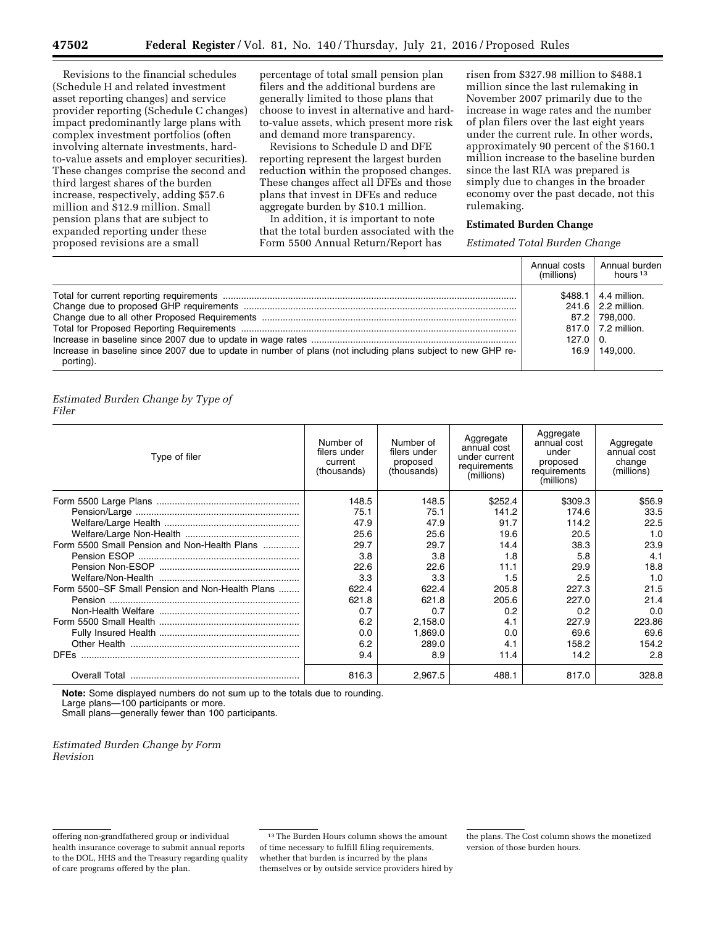Revisions to the financial schedules (Schedule H and related investment asset reporting changes) and service provider reporting (Schedule C changes) impact predominantly large plans with complex investment portfolios (often involving alternate investments, hardto-value assets and employer securities). These changes comprise the second and third largest shares of the burden increase, respectively, adding \$57.6 million and \$12.9 million. Small pension plans that are subject to expanded reporting under these proposed revisions are a small

percentage of total small pension plan filers and the additional burdens are generally limited to those plans that choose to invest in alternative and hardto-value assets, which present more risk and demand more transparency.

Revisions to Schedule D and DFE reporting represent the largest burden reduction within the proposed changes. These changes affect all DFEs and those plans that invest in DFEs and reduce aggregate burden by \$10.1 million.

In addition, it is important to note that the total burden associated with the Form 5500 Annual Return/Report has

risen from \$327.98 million to \$488.1 million since the last rulemaking in November 2007 primarily due to the increase in wage rates and the number of plan filers over the last eight years under the current rule. In other words, approximately 90 percent of the \$160.1 million increase to the baseline burden since the last RIA was prepared is simply due to changes in the broader economy over the past decade, not this rulemaking.

# **Estimated Burden Change**

*Estimated Total Burden Change* 

|                                                                                                                           | Annual costs<br>(millions) | Annual burden<br>hours $13$ |
|---------------------------------------------------------------------------------------------------------------------------|----------------------------|-----------------------------|
|                                                                                                                           | \$488.1                    | 4.4 million.                |
|                                                                                                                           |                            | 241.6 2.2 million.          |
|                                                                                                                           |                            | 87.2 798.000.               |
|                                                                                                                           |                            | 817.0 7.2 million.          |
|                                                                                                                           | 127.0                      | 0.                          |
| Increase in baseline since 2007 due to update in number of plans (not including plans subject to new GHP re-<br>porting). |                            | $16.9$   $149.000$ .        |

# *Estimated Burden Change by Type of Filer*

| Type of filer                                   | Number of<br>filers under<br>current<br>(thousands) | Number of<br>filers under<br>proposed<br>(thousands) | Aggregate<br>annual cost<br>under current<br>requirements<br>(millions) | Aggregate<br>annual cost<br>under<br>proposed<br>requirements<br>(millions) | Aggregate<br>annual cost<br>change<br>(millions) |
|-------------------------------------------------|-----------------------------------------------------|------------------------------------------------------|-------------------------------------------------------------------------|-----------------------------------------------------------------------------|--------------------------------------------------|
|                                                 | 148.5                                               | 148.5                                                | \$252.4                                                                 | \$309.3                                                                     | \$56.9                                           |
|                                                 | 75.1                                                | 75.1                                                 | 141.2                                                                   | 174.6                                                                       | 33.5                                             |
|                                                 | 47.9                                                | 47.9                                                 | 91.7                                                                    | 114.2                                                                       | 22.5                                             |
|                                                 | 25.6                                                | 25.6                                                 | 19.6                                                                    | 20.5                                                                        | 1.0                                              |
| Form 5500 Small Pension and Non-Health Plans    | 29.7                                                | 29.7                                                 | 14.4                                                                    | 38.3                                                                        | 23.9                                             |
|                                                 | 3.8                                                 | 3.8                                                  | 1.8                                                                     | 5.8                                                                         | 4.1                                              |
|                                                 | 22.6                                                | 22.6                                                 | 11.1                                                                    | 29.9                                                                        | 18.8                                             |
|                                                 | 3.3                                                 | 3.3                                                  | 1.5                                                                     | 2.5                                                                         | 1.0                                              |
| Form 5500–SF Small Pension and Non-Health Plans | 622.4                                               | 622.4                                                | 205.8                                                                   | 227.3                                                                       | 21.5                                             |
|                                                 | 621.8                                               | 621.8                                                | 205.6                                                                   | 227.0                                                                       | 21.4                                             |
|                                                 | 0.7                                                 | 0.7                                                  | 0.2                                                                     | 0.2                                                                         | 0.0                                              |
|                                                 | 6.2                                                 | 2,158.0                                              | 4.1                                                                     | 227.9                                                                       | 223.86                                           |
|                                                 | 0.0                                                 | 1.869.0                                              | 0.0                                                                     | 69.6                                                                        | 69.6                                             |
|                                                 | 6.2                                                 | 289.0                                                | 4.1                                                                     | 158.2                                                                       | 154.2                                            |
| <b>DFEs</b>                                     | 9.4                                                 | 8.9                                                  | 11.4                                                                    | 14.2                                                                        | 2.8                                              |
|                                                 | 816.3                                               | 2,967.5                                              | 488.1                                                                   | 817.0                                                                       | 328.8                                            |

**Note:** Some displayed numbers do not sum up to the totals due to rounding.

Large plans—100 participants or more.

Small plans—generally fewer than 100 participants.

*Estimated Burden Change by Form Revision* 

offering non-grandfathered group or individual health insurance coverage to submit annual reports to the DOL, HHS and the Treasury regarding quality of care programs offered by the plan.

13The Burden Hours column shows the amount of time necessary to fulfill filing requirements, whether that burden is incurred by the plans themselves or by outside service providers hired by the plans. The Cost column shows the monetized version of those burden hours.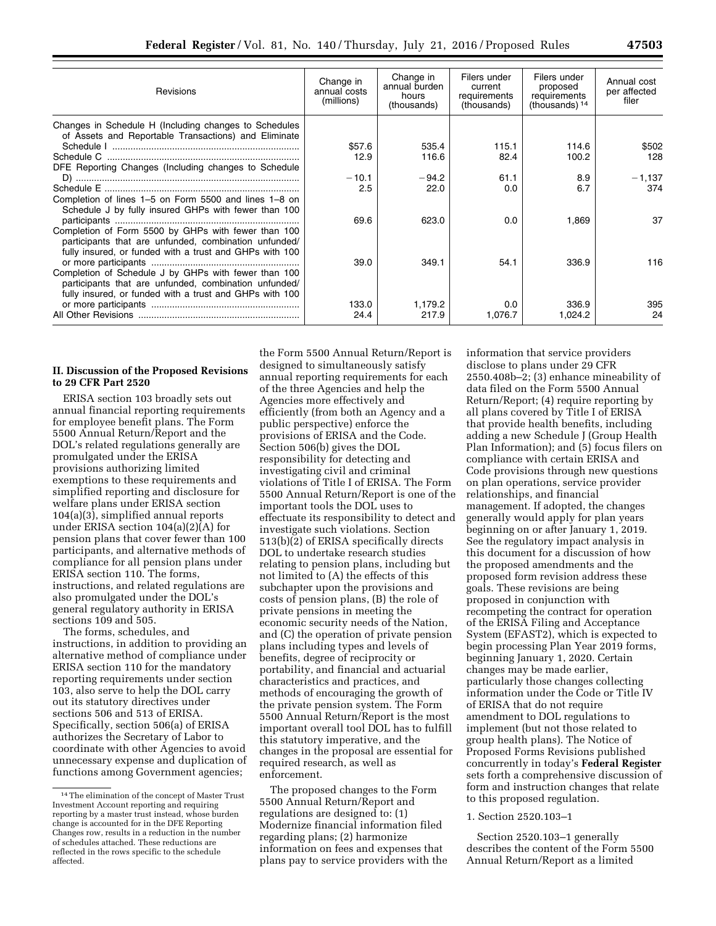| Revisions                                                                                                        | Change in<br>annual costs<br>(millions) | Change in<br>annual burden<br>hours<br>(thousands) | Filers under<br>current<br>requirements<br>(thousands) | Filers under<br>proposed<br>requirements<br>(thousands) 14 | Annual cost<br>per affected<br>filer |
|------------------------------------------------------------------------------------------------------------------|-----------------------------------------|----------------------------------------------------|--------------------------------------------------------|------------------------------------------------------------|--------------------------------------|
| Changes in Schedule H (Including changes to Schedules<br>of Assets and Reportable Transactions) and Eliminate    | \$57.6                                  | 535.4                                              | 115.1                                                  | 114.6                                                      | \$502                                |
|                                                                                                                  | 12.9                                    | 116.6                                              | 82.4                                                   | 100.2                                                      | 128                                  |
| DFE Reporting Changes (Including changes to Schedule                                                             | $-10.1$                                 | $-94.2$                                            | 61.1                                                   | 8.9                                                        | $-1.137$                             |
|                                                                                                                  | 2.5                                     | 22.0                                               | 0.0                                                    | 6.7                                                        | 374                                  |
| Completion of lines 1-5 on Form 5500 and lines 1-8 on<br>Schedule J by fully insured GHPs with fewer than 100    |                                         |                                                    |                                                        |                                                            |                                      |
| Completion of Form 5500 by GHPs with fewer than 100<br>participants that are unfunded, combination unfunded/     | 69.6                                    | 623.0                                              | 0.0                                                    | 1,869                                                      | 37                                   |
| fully insured, or funded with a trust and GHPs with 100<br>Completion of Schedule J by GHPs with fewer than 100  | 39.0                                    | 349.1                                              | 54.1                                                   | 336.9                                                      | 116                                  |
| participants that are unfunded, combination unfunded/<br>fully insured, or funded with a trust and GHPs with 100 | 133.0                                   | 1.179.2                                            | 0.0                                                    | 336.9                                                      | 395                                  |
|                                                                                                                  | 24.4                                    | 217.9                                              | 1,076.7                                                | 1,024.2                                                    | 24                                   |

# **II. Discussion of the Proposed Revisions to 29 CFR Part 2520**

ERISA section 103 broadly sets out annual financial reporting requirements for employee benefit plans. The Form 5500 Annual Return/Report and the DOL's related regulations generally are promulgated under the ERISA provisions authorizing limited exemptions to these requirements and simplified reporting and disclosure for welfare plans under ERISA section 104(a)(3), simplified annual reports under ERISA section 104(a)(2)(A) for pension plans that cover fewer than 100 participants, and alternative methods of compliance for all pension plans under ERISA section 110. The forms, instructions, and related regulations are also promulgated under the DOL's general regulatory authority in ERISA sections 109 and 505.

The forms, schedules, and instructions, in addition to providing an alternative method of compliance under ERISA section 110 for the mandatory reporting requirements under section 103, also serve to help the DOL carry out its statutory directives under sections 506 and 513 of ERISA. Specifically, section 506(a) of ERISA authorizes the Secretary of Labor to coordinate with other Agencies to avoid unnecessary expense and duplication of functions among Government agencies;

the Form 5500 Annual Return/Report is designed to simultaneously satisfy annual reporting requirements for each of the three Agencies and help the Agencies more effectively and efficiently (from both an Agency and a public perspective) enforce the provisions of ERISA and the Code. Section 506(b) gives the DOL responsibility for detecting and investigating civil and criminal violations of Title I of ERISA. The Form 5500 Annual Return/Report is one of the important tools the DOL uses to effectuate its responsibility to detect and investigate such violations. Section 513(b)(2) of ERISA specifically directs DOL to undertake research studies relating to pension plans, including but not limited to (A) the effects of this subchapter upon the provisions and costs of pension plans, (B) the role of private pensions in meeting the economic security needs of the Nation, and (C) the operation of private pension plans including types and levels of benefits, degree of reciprocity or portability, and financial and actuarial characteristics and practices, and methods of encouraging the growth of the private pension system. The Form 5500 Annual Return/Report is the most important overall tool DOL has to fulfill this statutory imperative, and the changes in the proposal are essential for required research, as well as enforcement.

The proposed changes to the Form 5500 Annual Return/Report and regulations are designed to: (1) Modernize financial information filed regarding plans; (2) harmonize information on fees and expenses that plans pay to service providers with the information that service providers disclose to plans under 29 CFR 2550.408b–2; (3) enhance mineability of data filed on the Form 5500 Annual Return/Report; (4) require reporting by all plans covered by Title I of ERISA that provide health benefits, including adding a new Schedule J (Group Health Plan Information); and (5) focus filers on compliance with certain ERISA and Code provisions through new questions on plan operations, service provider relationships, and financial management. If adopted, the changes generally would apply for plan years beginning on or after January 1, 2019. See the regulatory impact analysis in this document for a discussion of how the proposed amendments and the proposed form revision address these goals. These revisions are being proposed in conjunction with recompeting the contract for operation of the ERISA Filing and Acceptance System (EFAST2), which is expected to begin processing Plan Year 2019 forms, beginning January 1, 2020. Certain changes may be made earlier, particularly those changes collecting information under the Code or Title IV of ERISA that do not require amendment to DOL regulations to implement (but not those related to group health plans). The Notice of Proposed Forms Revisions published concurrently in today's **Federal Register**  sets forth a comprehensive discussion of form and instruction changes that relate to this proposed regulation.

#### 1. Section 2520.103–1

Section 2520.103–1 generally describes the content of the Form 5500 Annual Return/Report as a limited

<sup>14</sup>The elimination of the concept of Master Trust Investment Account reporting and requiring reporting by a master trust instead, whose burden change is accounted for in the DFE Reporting Changes row, results in a reduction in the number of schedules attached. These reductions are reflected in the rows specific to the schedule affected.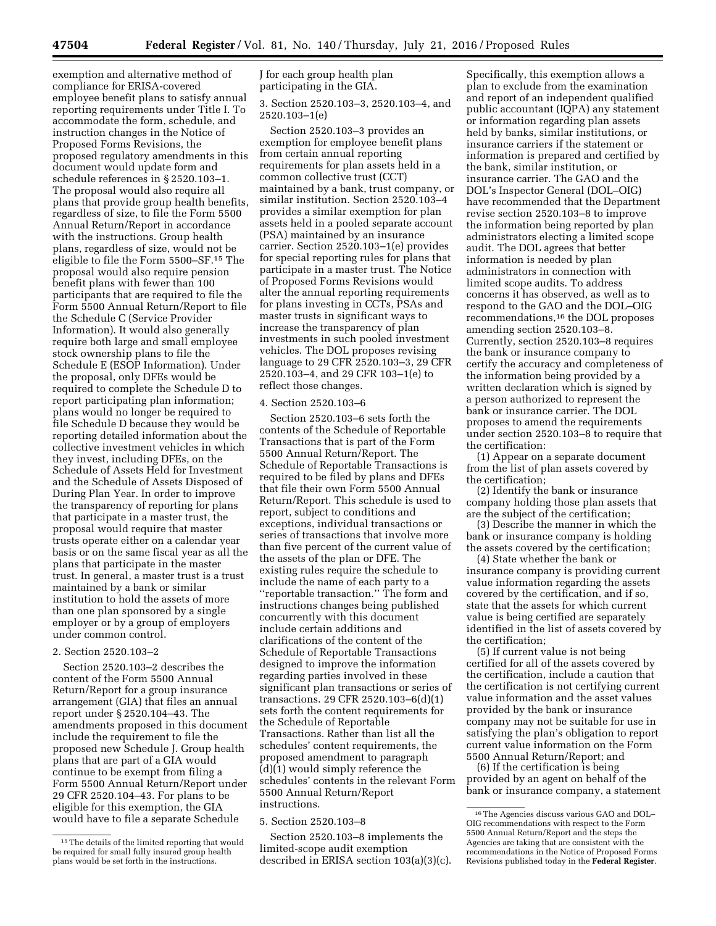exemption and alternative method of compliance for ERISA-covered employee benefit plans to satisfy annual reporting requirements under Title I. To accommodate the form, schedule, and instruction changes in the Notice of Proposed Forms Revisions, the proposed regulatory amendments in this document would update form and schedule references in § 2520.103–1. The proposal would also require all plans that provide group health benefits, regardless of size, to file the Form 5500 Annual Return/Report in accordance with the instructions. Group health plans, regardless of size, would not be eligible to file the Form 5500–SF.15 The proposal would also require pension benefit plans with fewer than 100 participants that are required to file the Form 5500 Annual Return/Report to file the Schedule C (Service Provider Information). It would also generally require both large and small employee stock ownership plans to file the Schedule E (ESOP Information). Under the proposal, only DFEs would be required to complete the Schedule D to report participating plan information; plans would no longer be required to file Schedule D because they would be reporting detailed information about the collective investment vehicles in which they invest, including DFEs, on the Schedule of Assets Held for Investment and the Schedule of Assets Disposed of During Plan Year. In order to improve the transparency of reporting for plans that participate in a master trust, the proposal would require that master trusts operate either on a calendar year basis or on the same fiscal year as all the plans that participate in the master trust. In general, a master trust is a trust maintained by a bank or similar institution to hold the assets of more than one plan sponsored by a single employer or by a group of employers under common control.

## 2. Section 2520.103–2

Section 2520.103–2 describes the content of the Form 5500 Annual Return/Report for a group insurance arrangement (GIA) that files an annual report under § 2520.104–43. The amendments proposed in this document include the requirement to file the proposed new Schedule J. Group health plans that are part of a GIA would continue to be exempt from filing a Form 5500 Annual Return/Report under 29 CFR 2520.104–43. For plans to be eligible for this exemption, the GIA would have to file a separate Schedule

J for each group health plan participating in the GIA.

3. Section 2520.103–3, 2520.103–4, and 2520.103–1(e)

Section 2520.103–3 provides an exemption for employee benefit plans from certain annual reporting requirements for plan assets held in a common collective trust (CCT) maintained by a bank, trust company, or similar institution. Section 2520.103–4 provides a similar exemption for plan assets held in a pooled separate account (PSA) maintained by an insurance carrier. Section 2520.103–1(e) provides for special reporting rules for plans that participate in a master trust. The Notice of Proposed Forms Revisions would alter the annual reporting requirements for plans investing in CCTs, PSAs and master trusts in significant ways to increase the transparency of plan investments in such pooled investment vehicles. The DOL proposes revising language to 29 CFR 2520.103–3, 29 CFR 2520.103–4, and 29 CFR 103–1(e) to reflect those changes.

## 4. Section 2520.103–6

Section 2520.103–6 sets forth the contents of the Schedule of Reportable Transactions that is part of the Form 5500 Annual Return/Report. The Schedule of Reportable Transactions is required to be filed by plans and DFEs that file their own Form 5500 Annual Return/Report. This schedule is used to report, subject to conditions and exceptions, individual transactions or series of transactions that involve more than five percent of the current value of the assets of the plan or DFE. The existing rules require the schedule to include the name of each party to a ''reportable transaction.'' The form and instructions changes being published concurrently with this document include certain additions and clarifications of the content of the Schedule of Reportable Transactions designed to improve the information regarding parties involved in these significant plan transactions or series of transactions. 29 CFR 2520.103–6(d)(1) sets forth the content requirements for the Schedule of Reportable Transactions. Rather than list all the schedules' content requirements, the proposed amendment to paragraph (d)(1) would simply reference the schedules' contents in the relevant Form 5500 Annual Return/Report instructions.

## 5. Section 2520.103–8

Section 2520.103–8 implements the limited-scope audit exemption described in ERISA section 103(a)(3)(c).

Specifically, this exemption allows a plan to exclude from the examination and report of an independent qualified public accountant (IQPA) any statement or information regarding plan assets held by banks, similar institutions, or insurance carriers if the statement or information is prepared and certified by the bank, similar institution, or insurance carrier. The GAO and the DOL's Inspector General (DOL–OIG) have recommended that the Department revise section 2520.103–8 to improve the information being reported by plan administrators electing a limited scope audit. The DOL agrees that better information is needed by plan administrators in connection with limited scope audits. To address concerns it has observed, as well as to respond to the GAO and the DOL–OIG recommendations,16 the DOL proposes amending section 2520.103–8. Currently, section 2520.103–8 requires the bank or insurance company to certify the accuracy and completeness of the information being provided by a written declaration which is signed by a person authorized to represent the bank or insurance carrier. The DOL proposes to amend the requirements under section 2520.103–8 to require that the certification:

(1) Appear on a separate document from the list of plan assets covered by the certification;

(2) Identify the bank or insurance company holding those plan assets that are the subject of the certification;

(3) Describe the manner in which the bank or insurance company is holding the assets covered by the certification;

(4) State whether the bank or insurance company is providing current value information regarding the assets covered by the certification, and if so, state that the assets for which current value is being certified are separately identified in the list of assets covered by the certification;

(5) If current value is not being certified for all of the assets covered by the certification, include a caution that the certification is not certifying current value information and the asset values provided by the bank or insurance company may not be suitable for use in satisfying the plan's obligation to report current value information on the Form 5500 Annual Return/Report; and

(6) If the certification is being provided by an agent on behalf of the bank or insurance company, a statement

<sup>&</sup>lt;sup>15</sup> The details of the limited reporting that would be required for small fully insured group health plans would be set forth in the instructions.

<sup>16</sup>The Agencies discuss various GAO and DOL– OIG recommendations with respect to the Form 5500 Annual Return/Report and the steps the Agencies are taking that are consistent with the recommendations in the Notice of Proposed Forms Revisions published today in the **Federal Register**.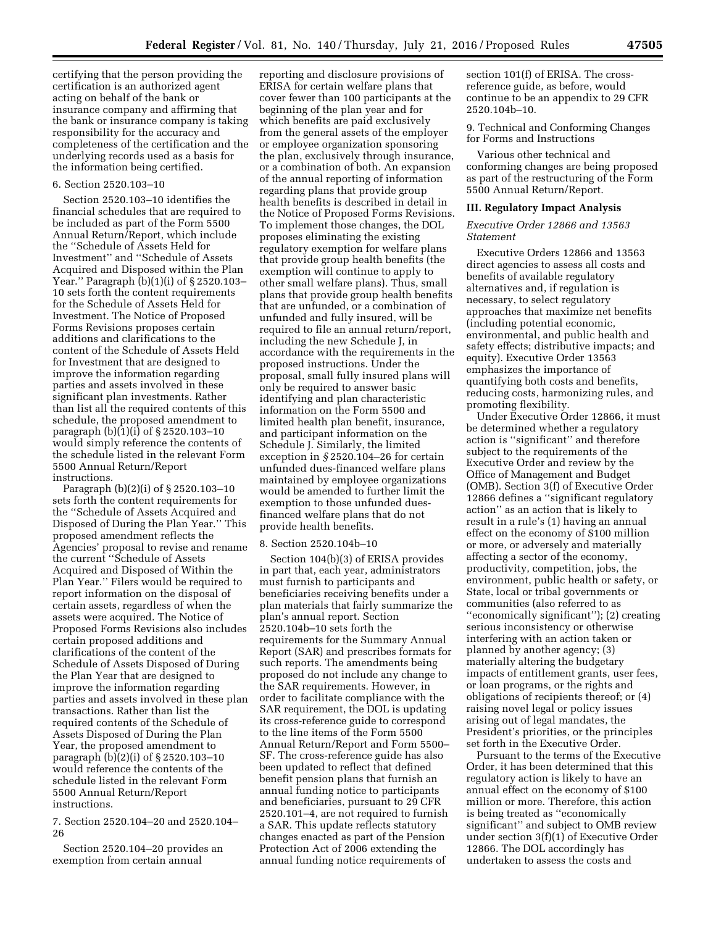certifying that the person providing the certification is an authorized agent acting on behalf of the bank or insurance company and affirming that the bank or insurance company is taking responsibility for the accuracy and completeness of the certification and the underlying records used as a basis for the information being certified.

# 6. Section 2520.103–10

Section 2520.103–10 identifies the financial schedules that are required to be included as part of the Form 5500 Annual Return/Report, which include the ''Schedule of Assets Held for Investment'' and ''Schedule of Assets Acquired and Disposed within the Plan Year.'' Paragraph (b)(1)(i) of § 2520.103– 10 sets forth the content requirements for the Schedule of Assets Held for Investment. The Notice of Proposed Forms Revisions proposes certain additions and clarifications to the content of the Schedule of Assets Held for Investment that are designed to improve the information regarding parties and assets involved in these significant plan investments. Rather than list all the required contents of this schedule, the proposed amendment to paragraph (b)(1)(i) of § 2520.103–10 would simply reference the contents of the schedule listed in the relevant Form 5500 Annual Return/Report instructions.

Paragraph (b)(2)(i) of § 2520.103–10 sets forth the content requirements for the ''Schedule of Assets Acquired and Disposed of During the Plan Year.'' This proposed amendment reflects the Agencies' proposal to revise and rename the current ''Schedule of Assets Acquired and Disposed of Within the Plan Year.'' Filers would be required to report information on the disposal of certain assets, regardless of when the assets were acquired. The Notice of Proposed Forms Revisions also includes certain proposed additions and clarifications of the content of the Schedule of Assets Disposed of During the Plan Year that are designed to improve the information regarding parties and assets involved in these plan transactions. Rather than list the required contents of the Schedule of Assets Disposed of During the Plan Year, the proposed amendment to paragraph (b)(2)(i) of § 2520.103–10 would reference the contents of the schedule listed in the relevant Form 5500 Annual Return/Report instructions.

7. Section 2520.104–20 and 2520.104– 26

Section 2520.104–20 provides an exemption from certain annual

reporting and disclosure provisions of ERISA for certain welfare plans that cover fewer than 100 participants at the beginning of the plan year and for which benefits are paid exclusively from the general assets of the employer or employee organization sponsoring the plan, exclusively through insurance, or a combination of both. An expansion of the annual reporting of information regarding plans that provide group health benefits is described in detail in the Notice of Proposed Forms Revisions. To implement those changes, the DOL proposes eliminating the existing regulatory exemption for welfare plans that provide group health benefits (the exemption will continue to apply to other small welfare plans). Thus, small plans that provide group health benefits that are unfunded, or a combination of unfunded and fully insured, will be required to file an annual return/report, including the new Schedule J, in accordance with the requirements in the proposed instructions. Under the proposal, small fully insured plans will only be required to answer basic identifying and plan characteristic information on the Form 5500 and limited health plan benefit, insurance, and participant information on the Schedule J. Similarly, the limited exception in *§* 2520.104–26 for certain unfunded dues-financed welfare plans maintained by employee organizations would be amended to further limit the exemption to those unfunded duesfinanced welfare plans that do not provide health benefits.

#### 8. Section 2520.104b–10

Section 104(b)(3) of ERISA provides in part that, each year, administrators must furnish to participants and beneficiaries receiving benefits under a plan materials that fairly summarize the plan's annual report. Section 2520.104b–10 sets forth the requirements for the Summary Annual Report (SAR) and prescribes formats for such reports. The amendments being proposed do not include any change to the SAR requirements. However, in order to facilitate compliance with the SAR requirement, the DOL is updating its cross-reference guide to correspond to the line items of the Form 5500 Annual Return/Report and Form 5500– SF. The cross-reference guide has also been updated to reflect that defined benefit pension plans that furnish an annual funding notice to participants and beneficiaries, pursuant to 29 CFR 2520.101–4, are not required to furnish a SAR. This update reflects statutory changes enacted as part of the Pension Protection Act of 2006 extending the annual funding notice requirements of

section 101(f) of ERISA. The crossreference guide, as before, would continue to be an appendix to 29 CFR 2520.104b–10.

9. Technical and Conforming Changes for Forms and Instructions

Various other technical and conforming changes are being proposed as part of the restructuring of the Form 5500 Annual Return/Report.

#### **III. Regulatory Impact Analysis**

## *Executive Order 12866 and 13563 Statement*

Executive Orders 12866 and 13563 direct agencies to assess all costs and benefits of available regulatory alternatives and, if regulation is necessary, to select regulatory approaches that maximize net benefits (including potential economic, environmental, and public health and safety effects; distributive impacts; and equity). Executive Order 13563 emphasizes the importance of quantifying both costs and benefits, reducing costs, harmonizing rules, and promoting flexibility.

Under Executive Order 12866, it must be determined whether a regulatory action is ''significant'' and therefore subject to the requirements of the Executive Order and review by the Office of Management and Budget (OMB). Section 3(f) of Executive Order 12866 defines a ''significant regulatory action'' as an action that is likely to result in a rule's (1) having an annual effect on the economy of \$100 million or more, or adversely and materially affecting a sector of the economy, productivity, competition, jobs, the environment, public health or safety, or State, local or tribal governments or communities (also referred to as ''economically significant''); (2) creating serious inconsistency or otherwise interfering with an action taken or planned by another agency; (3) materially altering the budgetary impacts of entitlement grants, user fees, or loan programs, or the rights and obligations of recipients thereof; or (4) raising novel legal or policy issues arising out of legal mandates, the President's priorities, or the principles set forth in the Executive Order.

Pursuant to the terms of the Executive Order, it has been determined that this regulatory action is likely to have an annual effect on the economy of \$100 million or more. Therefore, this action is being treated as ''economically significant'' and subject to OMB review under section 3(f)(1) of Executive Order 12866. The DOL accordingly has undertaken to assess the costs and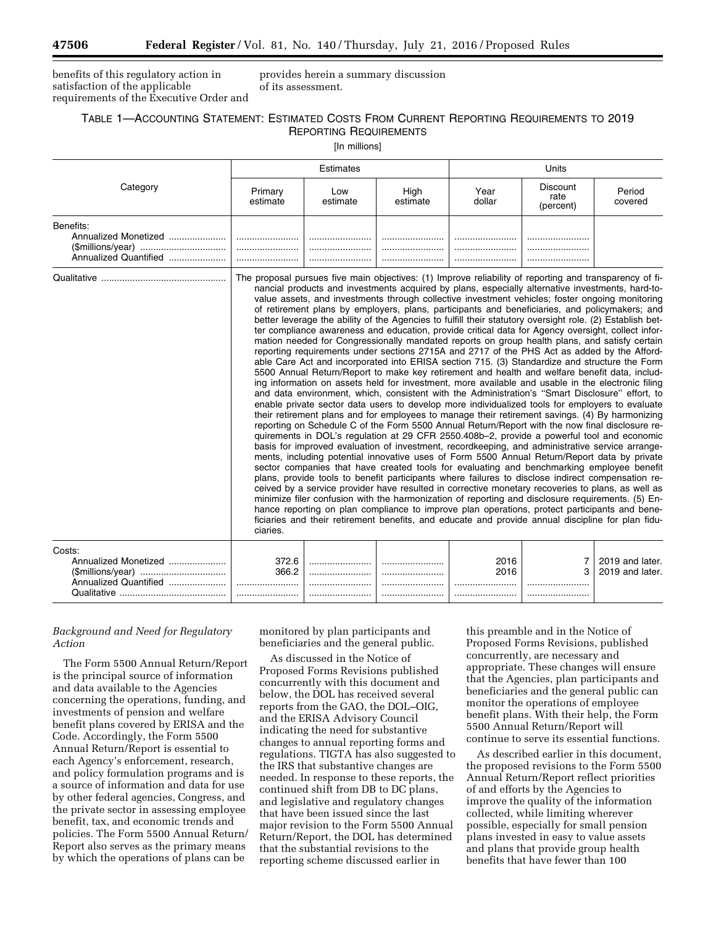benefits of this regulatory action in satisfaction of the applicable requirements of the Executive Order and provides herein a summary discussion of its assessment.

# TABLE 1—ACCOUNTING STATEMENT: ESTIMATED COSTS FROM CURRENT REPORTING REQUIREMENTS TO 2019 REPORTING REQUIREMENTS

[In millions]

|                                                            | Estimates                                                                                                                                                                                                                                                                                                                                                                                                                                                                                                                                                                                                                                                                                                                                                                                                                                                                                                                                                                                                                                                                                                                                                                                                                                                                                                                                                                                                                                                                                                                                                                                                                                                                                                                                                                                                                                                                                                                                                                                                                                                                                                                                                                                                                                                                                                                                                                                                                                                                             |                 |                  | Units          |                                      |                                    |
|------------------------------------------------------------|---------------------------------------------------------------------------------------------------------------------------------------------------------------------------------------------------------------------------------------------------------------------------------------------------------------------------------------------------------------------------------------------------------------------------------------------------------------------------------------------------------------------------------------------------------------------------------------------------------------------------------------------------------------------------------------------------------------------------------------------------------------------------------------------------------------------------------------------------------------------------------------------------------------------------------------------------------------------------------------------------------------------------------------------------------------------------------------------------------------------------------------------------------------------------------------------------------------------------------------------------------------------------------------------------------------------------------------------------------------------------------------------------------------------------------------------------------------------------------------------------------------------------------------------------------------------------------------------------------------------------------------------------------------------------------------------------------------------------------------------------------------------------------------------------------------------------------------------------------------------------------------------------------------------------------------------------------------------------------------------------------------------------------------------------------------------------------------------------------------------------------------------------------------------------------------------------------------------------------------------------------------------------------------------------------------------------------------------------------------------------------------------------------------------------------------------------------------------------------------|-----------------|------------------|----------------|--------------------------------------|------------------------------------|
| Category                                                   | Primary<br>estimate                                                                                                                                                                                                                                                                                                                                                                                                                                                                                                                                                                                                                                                                                                                                                                                                                                                                                                                                                                                                                                                                                                                                                                                                                                                                                                                                                                                                                                                                                                                                                                                                                                                                                                                                                                                                                                                                                                                                                                                                                                                                                                                                                                                                                                                                                                                                                                                                                                                                   | Low<br>estimate | High<br>estimate | Year<br>dollar | <b>Discount</b><br>rate<br>(percent) | Period<br>covered                  |
| Benefits:<br>Annualized Monetized<br>Annualized Quantified |                                                                                                                                                                                                                                                                                                                                                                                                                                                                                                                                                                                                                                                                                                                                                                                                                                                                                                                                                                                                                                                                                                                                                                                                                                                                                                                                                                                                                                                                                                                                                                                                                                                                                                                                                                                                                                                                                                                                                                                                                                                                                                                                                                                                                                                                                                                                                                                                                                                                                       |                 |                  |                |                                      |                                    |
|                                                            | The proposal pursues five main objectives: (1) Improve reliability of reporting and transparency of fi-<br>nancial products and investments acquired by plans, especially alternative investments, hard-to-<br>value assets, and investments through collective investment vehicles; foster ongoing monitoring<br>of retirement plans by employers, plans, participants and beneficiaries, and policymakers; and<br>better leverage the ability of the Agencies to fulfill their statutory oversight role. (2) Establish bet-<br>ter compliance awareness and education, provide critical data for Agency oversight, collect infor-<br>mation needed for Congressionally mandated reports on group health plans, and satisfy certain<br>reporting requirements under sections 2715A and 2717 of the PHS Act as added by the Afford-<br>able Care Act and incorporated into ERISA section 715. (3) Standardize and structure the Form<br>5500 Annual Return/Report to make key retirement and health and welfare benefit data, includ-<br>ing information on assets held for investment, more available and usable in the electronic filing<br>and data environment, which, consistent with the Administration's "Smart Disclosure" effort, to<br>enable private sector data users to develop more individualized tools for employers to evaluate<br>their retirement plans and for employees to manage their retirement savings. (4) By harmonizing<br>reporting on Schedule C of the Form 5500 Annual Return/Report with the now final disclosure re-<br>quirements in DOL's regulation at 29 CFR 2550.408b-2, provide a powerful tool and economic<br>basis for improved evaluation of investment, recordkeeping, and administrative service arrange-<br>ments, including potential innovative uses of Form 5500 Annual Return/Report data by private<br>sector companies that have created tools for evaluating and benchmarking employee benefit<br>plans, provide tools to benefit participants where failures to disclose indirect compensation re-<br>ceived by a service provider have resulted in corrective monetary recoveries to plans, as well as<br>minimize filer confusion with the harmonization of reporting and disclosure requirements. (5) En-<br>hance reporting on plan compliance to improve plan operations, protect participants and bene-<br>ficiaries and their retirement benefits, and educate and provide annual discipline for plan fidu-<br>ciaries. |                 |                  |                |                                      |                                    |
| Costs:<br>Annualized Monetized<br>Annualized Quantified    | 372.6<br>366.2                                                                                                                                                                                                                                                                                                                                                                                                                                                                                                                                                                                                                                                                                                                                                                                                                                                                                                                                                                                                                                                                                                                                                                                                                                                                                                                                                                                                                                                                                                                                                                                                                                                                                                                                                                                                                                                                                                                                                                                                                                                                                                                                                                                                                                                                                                                                                                                                                                                                        |                 |                  | 2016<br>2016   | 7<br>3                               | 2019 and later.<br>2019 and later. |

# *Background and Need for Regulatory Action*

The Form 5500 Annual Return/Report is the principal source of information and data available to the Agencies concerning the operations, funding, and investments of pension and welfare benefit plans covered by ERISA and the Code. Accordingly, the Form 5500 Annual Return/Report is essential to each Agency's enforcement, research, and policy formulation programs and is a source of information and data for use by other federal agencies, Congress, and the private sector in assessing employee benefit, tax, and economic trends and policies. The Form 5500 Annual Return/ Report also serves as the primary means by which the operations of plans can be

monitored by plan participants and beneficiaries and the general public.

As discussed in the Notice of Proposed Forms Revisions published concurrently with this document and below, the DOL has received several reports from the GAO, the DOL–OIG, and the ERISA Advisory Council indicating the need for substantive changes to annual reporting forms and regulations. TIGTA has also suggested to the IRS that substantive changes are needed. In response to these reports, the continued shift from DB to DC plans, and legislative and regulatory changes that have been issued since the last major revision to the Form 5500 Annual Return/Report, the DOL has determined that the substantial revisions to the reporting scheme discussed earlier in

this preamble and in the Notice of Proposed Forms Revisions, published concurrently, are necessary and appropriate. These changes will ensure that the Agencies, plan participants and beneficiaries and the general public can monitor the operations of employee benefit plans. With their help, the Form 5500 Annual Return/Report will continue to serve its essential functions.

As described earlier in this document, the proposed revisions to the Form 5500 Annual Return/Report reflect priorities of and efforts by the Agencies to improve the quality of the information collected, while limiting wherever possible, especially for small pension plans invested in easy to value assets and plans that provide group health benefits that have fewer than 100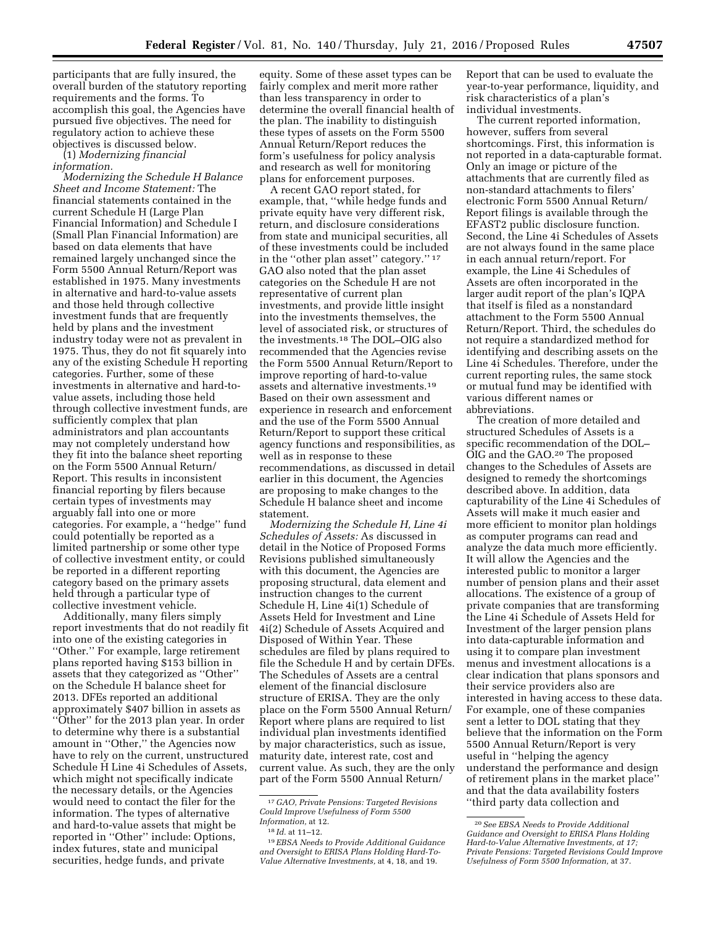participants that are fully insured, the overall burden of the statutory reporting requirements and the forms. To accomplish this goal, the Agencies have pursued five objectives. The need for regulatory action to achieve these objectives is discussed below.

(1) *Modernizing financial information.* 

*Modernizing the Schedule H Balance Sheet and Income Statement:* The financial statements contained in the current Schedule H (Large Plan Financial Information) and Schedule I (Small Plan Financial Information) are based on data elements that have remained largely unchanged since the Form 5500 Annual Return/Report was established in 1975. Many investments in alternative and hard-to-value assets and those held through collective investment funds that are frequently held by plans and the investment industry today were not as prevalent in 1975. Thus, they do not fit squarely into any of the existing Schedule H reporting categories. Further, some of these investments in alternative and hard-tovalue assets, including those held through collective investment funds, are sufficiently complex that plan administrators and plan accountants may not completely understand how they fit into the balance sheet reporting on the Form 5500 Annual Return/ Report. This results in inconsistent financial reporting by filers because certain types of investments may arguably fall into one or more categories. For example, a ''hedge'' fund could potentially be reported as a limited partnership or some other type of collective investment entity, or could be reported in a different reporting category based on the primary assets held through a particular type of collective investment vehicle.

Additionally, many filers simply report investments that do not readily fit into one of the existing categories in ''Other.'' For example, large retirement plans reported having \$153 billion in assets that they categorized as ''Other'' on the Schedule H balance sheet for 2013. DFEs reported an additional approximately \$407 billion in assets as ''Other'' for the 2013 plan year. In order to determine why there is a substantial amount in ''Other,'' the Agencies now have to rely on the current, unstructured Schedule H Line 4i Schedules of Assets, which might not specifically indicate the necessary details, or the Agencies would need to contact the filer for the information. The types of alternative and hard-to-value assets that might be reported in ''Other'' include: Options, index futures, state and municipal securities, hedge funds, and private

equity. Some of these asset types can be fairly complex and merit more rather than less transparency in order to determine the overall financial health of the plan. The inability to distinguish these types of assets on the Form 5500 Annual Return/Report reduces the form's usefulness for policy analysis and research as well for monitoring plans for enforcement purposes.

A recent GAO report stated, for example, that, ''while hedge funds and private equity have very different risk, return, and disclosure considerations from state and municipal securities, all of these investments could be included in the ''other plan asset'' category.'' 17 GAO also noted that the plan asset categories on the Schedule H are not representative of current plan investments, and provide little insight into the investments themselves, the level of associated risk, or structures of the investments.18 The DOL–OIG also recommended that the Agencies revise the Form 5500 Annual Return/Report to improve reporting of hard-to-value assets and alternative investments.19 Based on their own assessment and experience in research and enforcement and the use of the Form 5500 Annual Return/Report to support these critical agency functions and responsibilities, as well as in response to these recommendations, as discussed in detail earlier in this document, the Agencies are proposing to make changes to the Schedule H balance sheet and income statement.

*Modernizing the Schedule H, Line 4i Schedules of Assets:* As discussed in detail in the Notice of Proposed Forms Revisions published simultaneously with this document, the Agencies are proposing structural, data element and instruction changes to the current Schedule H, Line 4i(1) Schedule of Assets Held for Investment and Line 4i(2) Schedule of Assets Acquired and Disposed of Within Year. These schedules are filed by plans required to file the Schedule H and by certain DFEs. The Schedules of Assets are a central element of the financial disclosure structure of ERISA. They are the only place on the Form 5500 Annual Return/ Report where plans are required to list individual plan investments identified by major characteristics, such as issue, maturity date, interest rate, cost and current value. As such, they are the only part of the Form 5500 Annual Return/

Report that can be used to evaluate the year-to-year performance, liquidity, and risk characteristics of a plan's individual investments.

The current reported information, however, suffers from several shortcomings. First, this information is not reported in a data-capturable format. Only an image or picture of the attachments that are currently filed as non-standard attachments to filers' electronic Form 5500 Annual Return/ Report filings is available through the EFAST2 public disclosure function. Second, the Line 4i Schedules of Assets are not always found in the same place in each annual return/report. For example, the Line 4i Schedules of Assets are often incorporated in the larger audit report of the plan's IQPA that itself is filed as a nonstandard attachment to the Form 5500 Annual Return/Report. Third, the schedules do not require a standardized method for identifying and describing assets on the Line 4i Schedules. Therefore, under the current reporting rules, the same stock or mutual fund may be identified with various different names or abbreviations.

The creation of more detailed and structured Schedules of Assets is a specific recommendation of the DOL– OIG and the GAO.<sup>20</sup> The proposed changes to the Schedules of Assets are designed to remedy the shortcomings described above. In addition, data capturability of the Line 4i Schedules of Assets will make it much easier and more efficient to monitor plan holdings as computer programs can read and analyze the data much more efficiently. It will allow the Agencies and the interested public to monitor a larger number of pension plans and their asset allocations. The existence of a group of private companies that are transforming the Line 4i Schedule of Assets Held for Investment of the larger pension plans into data-capturable information and using it to compare plan investment menus and investment allocations is a clear indication that plans sponsors and their service providers also are interested in having access to these data. For example, one of these companies sent a letter to DOL stating that they believe that the information on the Form 5500 Annual Return/Report is very useful in ''helping the agency understand the performance and design of retirement plans in the market place'' and that the data availability fosters ''third party data collection and

<sup>17</sup> *GAO, Private Pensions: Targeted Revisions Could Improve Usefulness of Form 5500 Information,* at 12.

<sup>18</sup> *Id.* at 11–12.

<sup>19</sup>*EBSA Needs to Provide Additional Guidance and Oversight to ERISA Plans Holding Hard-To-Value Alternative Investments,* at 4, 18, and 19.

<sup>20</sup>*See EBSA Needs to Provide Additional Guidance and Oversight to ERISA Plans Holding Hard-to-Value Alternative Investments, at 17; Private Pensions: Targeted Revisions Could Improve Usefulness of Form 5500 Information,* at 37.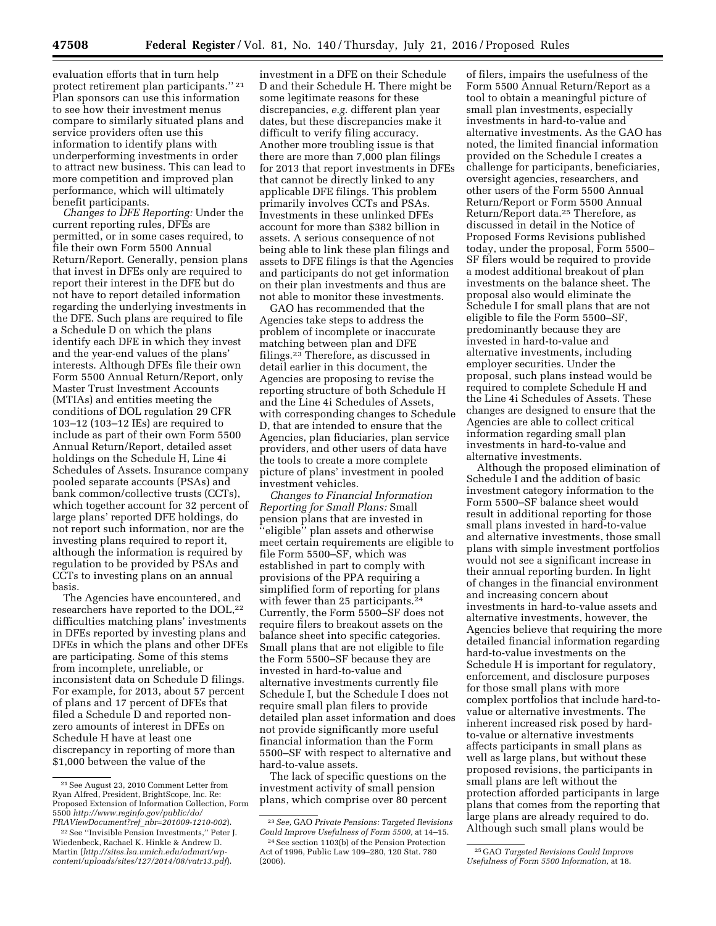evaluation efforts that in turn help protect retirement plan participants.'' 21 Plan sponsors can use this information to see how their investment menus compare to similarly situated plans and service providers often use this information to identify plans with underperforming investments in order to attract new business. This can lead to more competition and improved plan performance, which will ultimately benefit participants.

*Changes to DFE Reporting:* Under the current reporting rules, DFEs are permitted, or in some cases required, to file their own Form 5500 Annual Return/Report. Generally, pension plans that invest in DFEs only are required to report their interest in the DFE but do not have to report detailed information regarding the underlying investments in the DFE. Such plans are required to file a Schedule D on which the plans identify each DFE in which they invest and the year-end values of the plans' interests. Although DFEs file their own Form 5500 Annual Return/Report, only Master Trust Investment Accounts (MTIAs) and entities meeting the conditions of DOL regulation 29 CFR 103–12 (103–12 IEs) are required to include as part of their own Form 5500 Annual Return/Report, detailed asset holdings on the Schedule H, Line 4i Schedules of Assets. Insurance company pooled separate accounts (PSAs) and bank common/collective trusts (CCTs), which together account for 32 percent of large plans' reported DFE holdings, do not report such information, nor are the investing plans required to report it, although the information is required by regulation to be provided by PSAs and CCTs to investing plans on an annual basis.

The Agencies have encountered, and researchers have reported to the DOL,<sup>22</sup> difficulties matching plans' investments in DFEs reported by investing plans and DFEs in which the plans and other DFEs are participating. Some of this stems from incomplete, unreliable, or inconsistent data on Schedule D filings. For example, for 2013, about 57 percent of plans and 17 percent of DFEs that filed a Schedule D and reported nonzero amounts of interest in DFEs on Schedule H have at least one discrepancy in reporting of more than \$1,000 between the value of the

investment in a DFE on their Schedule D and their Schedule H. There might be some legitimate reasons for these discrepancies, *e.g.* different plan year dates, but these discrepancies make it difficult to verify filing accuracy. Another more troubling issue is that there are more than 7,000 plan filings for 2013 that report investments in DFEs that cannot be directly linked to any applicable DFE filings. This problem primarily involves CCTs and PSAs. Investments in these unlinked DFEs account for more than \$382 billion in assets. A serious consequence of not being able to link these plan filings and assets to DFE filings is that the Agencies and participants do not get information on their plan investments and thus are not able to monitor these investments.

GAO has recommended that the Agencies take steps to address the problem of incomplete or inaccurate matching between plan and DFE filings.23 Therefore, as discussed in detail earlier in this document, the Agencies are proposing to revise the reporting structure of both Schedule H and the Line 4i Schedules of Assets, with corresponding changes to Schedule D, that are intended to ensure that the Agencies, plan fiduciaries, plan service providers, and other users of data have the tools to create a more complete picture of plans' investment in pooled investment vehicles.

*Changes to Financial Information Reporting for Small Plans:* Small pension plans that are invested in ''eligible'' plan assets and otherwise meet certain requirements are eligible to file Form 5500–SF, which was established in part to comply with provisions of the PPA requiring a simplified form of reporting for plans with fewer than 25 participants.<sup>24</sup> Currently, the Form 5500–SF does not require filers to breakout assets on the balance sheet into specific categories. Small plans that are not eligible to file the Form 5500–SF because they are invested in hard-to-value and alternative investments currently file Schedule I, but the Schedule I does not require small plan filers to provide detailed plan asset information and does not provide significantly more useful financial information than the Form 5500–SF with respect to alternative and hard-to-value assets.

The lack of specific questions on the investment activity of small pension plans, which comprise over 80 percent

of filers, impairs the usefulness of the Form 5500 Annual Return/Report as a tool to obtain a meaningful picture of small plan investments, especially investments in hard-to-value and alternative investments. As the GAO has noted, the limited financial information provided on the Schedule I creates a challenge for participants, beneficiaries, oversight agencies, researchers, and other users of the Form 5500 Annual Return/Report or Form 5500 Annual Return/Report data.25 Therefore, as discussed in detail in the Notice of Proposed Forms Revisions published today, under the proposal, Form 5500– SF filers would be required to provide a modest additional breakout of plan investments on the balance sheet. The proposal also would eliminate the Schedule I for small plans that are not eligible to file the Form 5500–SF, predominantly because they are invested in hard-to-value and alternative investments, including employer securities. Under the proposal, such plans instead would be required to complete Schedule H and the Line 4i Schedules of Assets. These changes are designed to ensure that the Agencies are able to collect critical information regarding small plan investments in hard-to-value and alternative investments.

Although the proposed elimination of Schedule I and the addition of basic investment category information to the Form 5500–SF balance sheet would result in additional reporting for those small plans invested in hard-to-value and alternative investments, those small plans with simple investment portfolios would not see a significant increase in their annual reporting burden. In light of changes in the financial environment and increasing concern about investments in hard-to-value assets and alternative investments, however, the Agencies believe that requiring the more detailed financial information regarding hard-to-value investments on the Schedule H is important for regulatory, enforcement, and disclosure purposes for those small plans with more complex portfolios that include hard-tovalue or alternative investments. The inherent increased risk posed by hardto-value or alternative investments affects participants in small plans as well as large plans, but without these proposed revisions, the participants in small plans are left without the protection afforded participants in large plans that comes from the reporting that large plans are already required to do. Although such small plans would be

<sup>21</sup>See August 23, 2010 Comment Letter from Ryan Alfred, President, BrightScope, Inc. Re: Proposed Extension of Information Collection, Form 5500 *[http://www.reginfo.gov/public/do/](http://www.reginfo.gov/public/do/PRAViewDocument?ref_nbr=201009-1210-002) [PRAViewDocument?ref](http://www.reginfo.gov/public/do/PRAViewDocument?ref_nbr=201009-1210-002)*\_*nbr=201009-1210-002*).

<sup>22</sup>See ''Invisible Pension Investments,'' Peter J. Wiedenbeck, Rachael K. Hinkle & Andrew D. Martin (*[http://sites.lsa.umich.edu/admart/wp](http://sites.lsa.umich.edu/admart/wp-content/uploads/sites/127/2014/08/vatr13.pdf)[content/uploads/sites/127/2014/08/vatr13.pdf](http://sites.lsa.umich.edu/admart/wp-content/uploads/sites/127/2014/08/vatr13.pdf)*).

<sup>23</sup>*See,* GAO *Private Pensions: Targeted Revisions Could Improve Usefulness of Form 5500,* at 14–15. 24See section 1103(b) of the Pension Protection Act of 1996, Public Law 109–280, 120 Stat. 780 (2006).

<sup>25</sup> GAO *Targeted Revisions Could Improve Usefulness of Form 5500 Information,* at 18.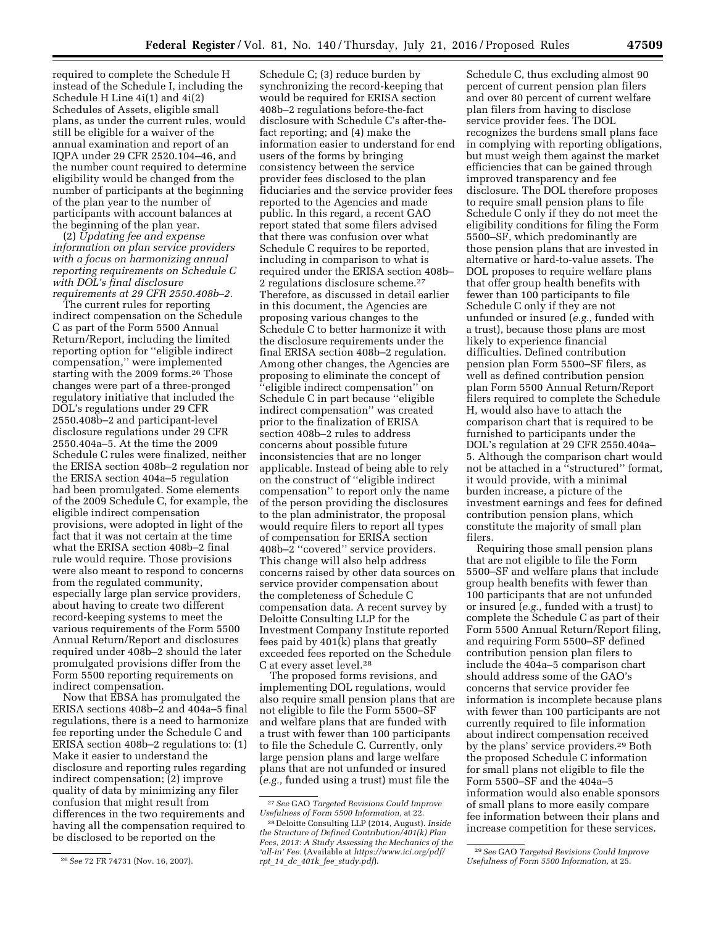required to complete the Schedule H instead of the Schedule I, including the Schedule H Line 4i(1) and 4i(2) Schedules of Assets, eligible small plans, as under the current rules, would still be eligible for a waiver of the annual examination and report of an IQPA under 29 CFR 2520.104–46, and the number count required to determine eligibility would be changed from the number of participants at the beginning of the plan year to the number of participants with account balances at the beginning of the plan year.

(2) *Updating fee and expense information on plan service providers with a focus on harmonizing annual reporting requirements on Schedule C with DOL's final disclosure requirements at 29 CFR 2550.408b–2.* 

The current rules for reporting indirect compensation on the Schedule C as part of the Form 5500 Annual Return/Report, including the limited reporting option for ''eligible indirect compensation,'' were implemented starting with the 2009 forms.26 Those changes were part of a three-pronged regulatory initiative that included the DOL's regulations under 29 CFR 2550.408b–2 and participant-level disclosure regulations under 29 CFR 2550.404a–5. At the time the 2009 Schedule C rules were finalized, neither the ERISA section 408b–2 regulation nor the ERISA section 404a–5 regulation had been promulgated. Some elements of the 2009 Schedule C, for example, the eligible indirect compensation provisions, were adopted in light of the fact that it was not certain at the time what the ERISA section 408b–2 final rule would require. Those provisions were also meant to respond to concerns from the regulated community, especially large plan service providers, about having to create two different record-keeping systems to meet the various requirements of the Form 5500 Annual Return/Report and disclosures required under 408b–2 should the later promulgated provisions differ from the Form 5500 reporting requirements on indirect compensation.

Now that EBSA has promulgated the ERISA sections 408b–2 and 404a–5 final regulations, there is a need to harmonize fee reporting under the Schedule C and ERISA section 408b–2 regulations to: (1) Make it easier to understand the disclosure and reporting rules regarding indirect compensation; (2) improve quality of data by minimizing any filer confusion that might result from differences in the two requirements and having all the compensation required to be disclosed to be reported on the

Schedule C; (3) reduce burden by synchronizing the record-keeping that would be required for ERISA section 408b–2 regulations before-the-fact disclosure with Schedule C's after-thefact reporting; and (4) make the information easier to understand for end users of the forms by bringing consistency between the service provider fees disclosed to the plan fiduciaries and the service provider fees reported to the Agencies and made public. In this regard, a recent GAO report stated that some filers advised that there was confusion over what Schedule C requires to be reported, including in comparison to what is required under the ERISA section 408b– 2 regulations disclosure scheme.27 Therefore, as discussed in detail earlier in this document, the Agencies are proposing various changes to the Schedule C to better harmonize it with the disclosure requirements under the final ERISA section 408b–2 regulation. Among other changes, the Agencies are proposing to eliminate the concept of ''eligible indirect compensation'' on Schedule C in part because ''eligible indirect compensation'' was created prior to the finalization of ERISA section 408b–2 rules to address concerns about possible future inconsistencies that are no longer applicable. Instead of being able to rely on the construct of ''eligible indirect compensation'' to report only the name of the person providing the disclosures to the plan administrator, the proposal would require filers to report all types of compensation for ERISA section 408b–2 ''covered'' service providers. This change will also help address concerns raised by other data sources on service provider compensation about the completeness of Schedule C compensation data. A recent survey by Deloitte Consulting LLP for the Investment Company Institute reported fees paid by 401(k) plans that greatly exceeded fees reported on the Schedule C at every asset level.28

The proposed forms revisions, and implementing DOL regulations, would also require small pension plans that are not eligible to file the Form 5500–SF and welfare plans that are funded with a trust with fewer than 100 participants to file the Schedule C. Currently, only large pension plans and large welfare plans that are not unfunded or insured (*e.g.,* funded using a trust) must file the

Schedule C, thus excluding almost 90 percent of current pension plan filers and over 80 percent of current welfare plan filers from having to disclose service provider fees. The DOL recognizes the burdens small plans face in complying with reporting obligations, but must weigh them against the market efficiencies that can be gained through improved transparency and fee disclosure. The DOL therefore proposes to require small pension plans to file Schedule C only if they do not meet the eligibility conditions for filing the Form 5500–SF, which predominantly are those pension plans that are invested in alternative or hard-to-value assets. The DOL proposes to require welfare plans that offer group health benefits with fewer than 100 participants to file Schedule C only if they are not unfunded or insured (*e.g.,* funded with a trust), because those plans are most likely to experience financial difficulties. Defined contribution pension plan Form 5500–SF filers, as well as defined contribution pension plan Form 5500 Annual Return/Report filers required to complete the Schedule H, would also have to attach the comparison chart that is required to be furnished to participants under the DOL's regulation at 29 CFR 2550.404a– 5. Although the comparison chart would not be attached in a ''structured'' format, it would provide, with a minimal burden increase, a picture of the investment earnings and fees for defined contribution pension plans, which constitute the majority of small plan filers.

Requiring those small pension plans that are not eligible to file the Form 5500–SF and welfare plans that include group health benefits with fewer than 100 participants that are not unfunded or insured (*e.g.,* funded with a trust) to complete the Schedule C as part of their Form 5500 Annual Return/Report filing, and requiring Form 5500–SF defined contribution pension plan filers to include the 404a–5 comparison chart should address some of the GAO's concerns that service provider fee information is incomplete because plans with fewer than 100 participants are not currently required to file information about indirect compensation received by the plans' service providers.29 Both the proposed Schedule C information for small plans not eligible to file the Form 5500–SF and the 404a–5 information would also enable sponsors of small plans to more easily compare fee information between their plans and increase competition for these services.

<sup>26</sup>*See* 72 FR 74731 (Nov. 16, 2007).

<sup>27</sup>*See* GAO *Targeted Revisions Could Improve Usefulness of Form 5500 Information,* at 22.

<sup>28</sup> Deloitte Consulting LLP (2014, August). *Inside the Structure of Defined Contribution/401(k) Plan Fees, 2013: A Study Assessing the Mechanics of the 'all-in' Fee.* (Available at *[https://www.ici.org/pdf/](https://www.ici.org/pdf/rpt_14_dc_401k_fee_study.pdf) rpt*\_*14*\_*dc*\_*401k*\_*fee*\_*[study.pdf](https://www.ici.org/pdf/rpt_14_dc_401k_fee_study.pdf)*).

<sup>29</sup>*See* GAO *Targeted Revisions Could Improve Usefulness of Form 5500 Information,* at 25.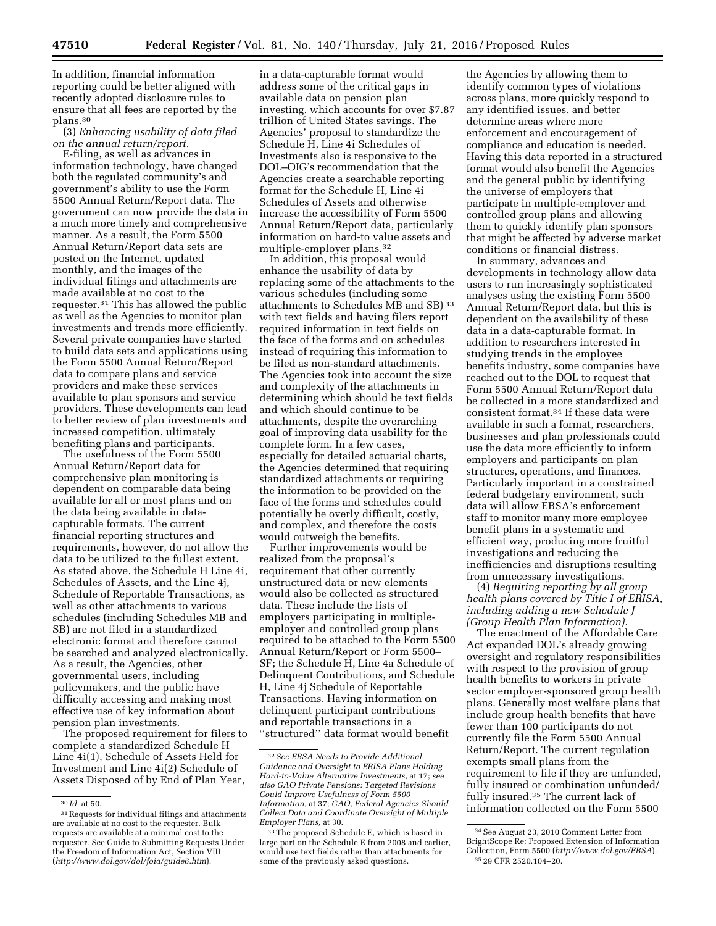In addition, financial information reporting could be better aligned with recently adopted disclosure rules to ensure that all fees are reported by the plans.30

(3) *Enhancing usability of data filed on the annual return/report.* 

E-filing, as well as advances in information technology, have changed both the regulated community's and government's ability to use the Form 5500 Annual Return/Report data. The government can now provide the data in a much more timely and comprehensive manner. As a result, the Form 5500 Annual Return/Report data sets are posted on the Internet, updated monthly, and the images of the individual filings and attachments are made available at no cost to the requester.31 This has allowed the public as well as the Agencies to monitor plan investments and trends more efficiently. Several private companies have started to build data sets and applications using the Form 5500 Annual Return/Report data to compare plans and service providers and make these services available to plan sponsors and service providers. These developments can lead to better review of plan investments and increased competition, ultimately benefiting plans and participants.

The usefulness of the Form 5500 Annual Return/Report data for comprehensive plan monitoring is dependent on comparable data being available for all or most plans and on the data being available in datacapturable formats. The current financial reporting structures and requirements, however, do not allow the data to be utilized to the fullest extent. As stated above, the Schedule H Line 4i, Schedules of Assets, and the Line 4j, Schedule of Reportable Transactions, as well as other attachments to various schedules (including Schedules MB and SB) are not filed in a standardized electronic format and therefore cannot be searched and analyzed electronically. As a result, the Agencies, other governmental users, including policymakers, and the public have difficulty accessing and making most effective use of key information about pension plan investments.

The proposed requirement for filers to complete a standardized Schedule H Line 4i(1), Schedule of Assets Held for Investment and Line 4i(2) Schedule of Assets Disposed of by End of Plan Year,

in a data-capturable format would address some of the critical gaps in available data on pension plan investing, which accounts for over \$7.87 trillion of United States savings. The Agencies' proposal to standardize the Schedule H, Line 4i Schedules of Investments also is responsive to the DOL–OIG's recommendation that the Agencies create a searchable reporting format for the Schedule H, Line 4i Schedules of Assets and otherwise increase the accessibility of Form 5500 Annual Return/Report data, particularly information on hard-to value assets and multiple-employer plans.32

In addition, this proposal would enhance the usability of data by replacing some of the attachments to the various schedules (including some attachments to Schedules MB and SB) 33 with text fields and having filers report required information in text fields on the face of the forms and on schedules instead of requiring this information to be filed as non-standard attachments. The Agencies took into account the size and complexity of the attachments in determining which should be text fields and which should continue to be attachments, despite the overarching goal of improving data usability for the complete form. In a few cases, especially for detailed actuarial charts, the Agencies determined that requiring standardized attachments or requiring the information to be provided on the face of the forms and schedules could potentially be overly difficult, costly, and complex, and therefore the costs would outweigh the benefits.

Further improvements would be realized from the proposal's requirement that other currently unstructured data or new elements would also be collected as structured data. These include the lists of employers participating in multipleemployer and controlled group plans required to be attached to the Form 5500 Annual Return/Report or Form 5500– SF; the Schedule H, Line 4a Schedule of Delinquent Contributions, and Schedule H, Line 4j Schedule of Reportable Transactions. Having information on delinquent participant contributions and reportable transactions in a ''structured'' data format would benefit

32*See EBSA Needs to Provide Additional Guidance and Oversight to ERISA Plans Holding Hard-to-Value Alternative Investments,* at 17; *see also GAO Private Pensions: Targeted Revisions Could Improve Usefulness of Form 5500 Information,* at 37; *GAO, Federal Agencies Should Collect Data and Coordinate Oversight of Multiple Employer Plans,* at 30.

the Agencies by allowing them to identify common types of violations across plans, more quickly respond to any identified issues, and better determine areas where more enforcement and encouragement of compliance and education is needed. Having this data reported in a structured format would also benefit the Agencies and the general public by identifying the universe of employers that participate in multiple-employer and controlled group plans and allowing them to quickly identify plan sponsors that might be affected by adverse market conditions or financial distress.

In summary, advances and developments in technology allow data users to run increasingly sophisticated analyses using the existing Form 5500 Annual Return/Report data, but this is dependent on the availability of these data in a data-capturable format. In addition to researchers interested in studying trends in the employee benefits industry, some companies have reached out to the DOL to request that Form 5500 Annual Return/Report data be collected in a more standardized and consistent format.34 If these data were available in such a format, researchers, businesses and plan professionals could use the data more efficiently to inform employers and participants on plan structures, operations, and finances. Particularly important in a constrained federal budgetary environment, such data will allow EBSA's enforcement staff to monitor many more employee benefit plans in a systematic and efficient way, producing more fruitful investigations and reducing the inefficiencies and disruptions resulting from unnecessary investigations.

(4) *Requiring reporting by all group health plans covered by Title I of ERISA, including adding a new Schedule J (Group Health Plan Information).* 

The enactment of the Affordable Care Act expanded DOL's already growing oversight and regulatory responsibilities with respect to the provision of group health benefits to workers in private sector employer-sponsored group health plans. Generally most welfare plans that include group health benefits that have fewer than 100 participants do not currently file the Form 5500 Annual Return/Report. The current regulation exempts small plans from the requirement to file if they are unfunded, fully insured or combination unfunded/ fully insured.35 The current lack of information collected on the Form 5500

<sup>30</sup> *Id.* at 50.

<sup>31</sup>Requests for individual filings and attachments are available at no cost to the requester. Bulk requests are available at a minimal cost to the requester. See Guide to Submitting Requests Under the Freedom of Information Act, Section VIII (*<http://www.dol.gov/dol/foia/guide6.htm>*).

<sup>33</sup>The proposed Schedule E, which is based in large part on the Schedule E from 2008 and earlier, would use text fields rather than attachments for some of the previously asked questions.

<sup>34</sup>See August 23, 2010 Comment Letter from BrightScope Re: Proposed Extension of Information Collection, Form 5500 (*<http://www.dol.gov/EBSA>*). 35 29 CFR 2520.104–20.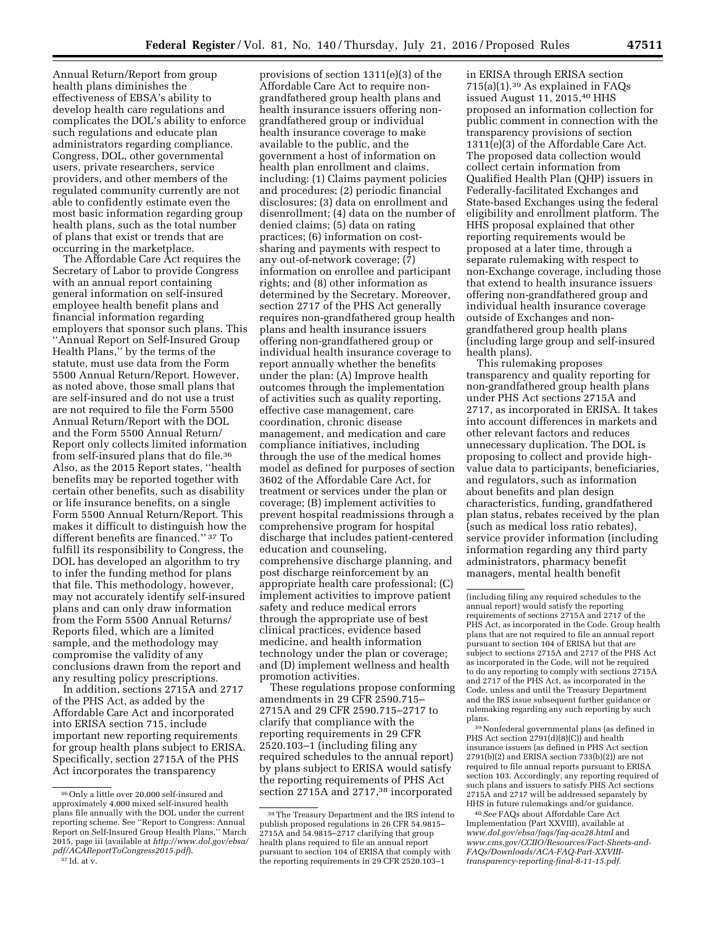provisions of section 1311(e)(3) of the

Annual Return/Report from group health plans diminishes the effectiveness of EBSA's ability to develop health care regulations and complicates the DOL's ability to enforce such regulations and educate plan administrators regarding compliance. Congress, DOL, other governmental users, private researchers, service providers, and other members of the regulated community currently are not able to confidently estimate even the most basic information regarding group health plans, such as the total number of plans that exist or trends that are occurring in the marketplace.

The Affordable Care Act requires the Secretary of Labor to provide Congress with an annual report containing general information on self-insured employee health benefit plans and financial information regarding employers that sponsor such plans. This ''Annual Report on Self-Insured Group Health Plans,'' by the terms of the statute, must use data from the Form 5500 Annual Return/Report. However, as noted above, those small plans that are self-insured and do not use a trust are not required to file the Form 5500 Annual Return/Report with the DOL and the Form 5500 Annual Return/ Report only collects limited information from self-insured plans that do file.36 Also, as the 2015 Report states, ''health benefits may be reported together with certain other benefits, such as disability or life insurance benefits, on a single Form 5500 Annual Return/Report. This makes it difficult to distinguish how the different benefits are financed.'' 37 To fulfill its responsibility to Congress, the DOL has developed an algorithm to try to infer the funding method for plans that file. This methodology, however, may not accurately identify self-insured plans and can only draw information from the Form 5500 Annual Returns/ Reports filed, which are a limited sample, and the methodology may compromise the validity of any conclusions drawn from the report and any resulting policy prescriptions.

In addition, sections 2715A and 2717 of the PHS Act, as added by the Affordable Care Act and incorporated into ERISA section 715, include important new reporting requirements for group health plans subject to ERISA. Specifically, section 2715A of the PHS Act incorporates the transparency

Affordable Care Act to require nongrandfathered group health plans and health insurance issuers offering nongrandfathered group or individual health insurance coverage to make available to the public, and the government a host of information on health plan enrollment and claims, including: (1) Claims payment policies and procedures; (2) periodic financial disclosures; (3) data on enrollment and disenrollment; (4) data on the number of denied claims; (5) data on rating practices; (6) information on costsharing and payments with respect to any out-of-network coverage; (7) information on enrollee and participant rights; and (8) other information as determined by the Secretary. Moreover, section 2717 of the PHS Act generally requires non-grandfathered group health plans and health insurance issuers offering non-grandfathered group or individual health insurance coverage to report annually whether the benefits under the plan: (A) Improve health outcomes through the implementation of activities such as quality reporting, effective case management, care coordination, chronic disease management, and medication and care compliance initiatives, including through the use of the medical homes model as defined for purposes of section 3602 of the Affordable Care Act, for treatment or services under the plan or coverage; (B) implement activities to prevent hospital readmissions through a comprehensive program for hospital discharge that includes patient-centered education and counseling, comprehensive discharge planning, and post discharge reinforcement by an appropriate health care professional; (C) implement activities to improve patient safety and reduce medical errors through the appropriate use of best clinical practices, evidence based medicine, and health information technology under the plan or coverage; and (D) implement wellness and health promotion activities.

These regulations propose conforming amendments in 29 CFR 2590.715– 2715A and 29 CFR 2590.715–2717 to clarify that compliance with the reporting requirements in 29 CFR 2520.103–1 (including filing any required schedules to the annual report) by plans subject to ERISA would satisfy the reporting requirements of PHS Act section 2715A and 2717,<sup>38</sup> incorporated

in ERISA through ERISA section 715(a)(1).39 As explained in FAQs issued August 11, 2015,40 HHS proposed an information collection for public comment in connection with the transparency provisions of section 1311(e)(3) of the Affordable Care Act. The proposed data collection would collect certain information from Qualified Health Plan (QHP) issuers in Federally-facilitated Exchanges and State-based Exchanges using the federal eligibility and enrollment platform. The HHS proposal explained that other reporting requirements would be proposed at a later time, through a separate rulemaking with respect to non-Exchange coverage, including those that extend to health insurance issuers offering non-grandfathered group and individual health insurance coverage outside of Exchanges and nongrandfathered group health plans (including large group and self-insured health plans).

This rulemaking proposes transparency and quality reporting for non-grandfathered group health plans under PHS Act sections 2715A and 2717, as incorporated in ERISA. It takes into account differences in markets and other relevant factors and reduces unnecessary duplication. The DOL is proposing to collect and provide highvalue data to participants, beneficiaries, and regulators, such as information about benefits and plan design characteristics, funding, grandfathered plan status, rebates received by the plan (such as medical loss ratio rebates), service provider information (including information regarding any third party administrators, pharmacy benefit managers, mental health benefit

 $^{\rm 39}$  Nonfederal governmental plans (as defined in PHS Act section 2791(d)(8)(C)) and health insurance issuers (as defined in PHS Act section 2791(b)(2) and ERISA section 733(b)(2)) are not required to file annual reports pursuant to ERISA section 103. Accordingly, any reporting required of such plans and issuers to satisfy PHS Act sections 2715A and 2717 will be addressed separately by HHS in future rulemakings and/or guidance.

40*See* FAQs about Affordable Care Act Implementation (Part XXVIII), available at *[www.dol.gov/ebsa/faqs/faq-aca28.html](http://www.dol.gov/ebsa/faqs/faq-aca28.html)* and *[www.cms.gov/CCIIO/Resources/Fact-Sheets-and-](http://www.cms.gov/CCIIO/Resources/Fact-Sheets-and-FAQs/Downloads/ACA-FAQ-Part-XXVIII-transparency-reporting-final-8-11-15.pdf)[FAQs/Downloads/ACA-FAQ-Part-XXVIII](http://www.cms.gov/CCIIO/Resources/Fact-Sheets-and-FAQs/Downloads/ACA-FAQ-Part-XXVIII-transparency-reporting-final-8-11-15.pdf)[transparency-reporting-final-8-11-15.pdf.](http://www.cms.gov/CCIIO/Resources/Fact-Sheets-and-FAQs/Downloads/ACA-FAQ-Part-XXVIII-transparency-reporting-final-8-11-15.pdf)* 

<sup>36</sup>Only a little over 20,000 self-insured and approximately 4,000 mixed self-insured health plans file annually with the DOL under the current reporting scheme. See ''Report to Congress: Annual Report on Self-Insured Group Health Plans,'' March 2015, page iii (available at *[http://www.dol.gov/ebsa/](http://www.dol.gov/ebsa/pdf/ACAReportToCongress2015.pdf)  [pdf/ACAReportToCongress2015.pdf](http://www.dol.gov/ebsa/pdf/ACAReportToCongress2015.pdf)*). 37 Id. at v.

<sup>38</sup>The Treasury Department and the IRS intend to publish proposed regulations in 26 CFR 54.9815– 2715A and 54.9815–2717 clarifying that group health plans required to file an annual report pursuant to section 104 of ERISA that comply with the reporting requirements in 29 CFR 2520.103–1

<sup>(</sup>including filing any required schedules to the annual report) would satisfy the reporting requirements of sections 2715A and 2717 of the PHS Act, as incorporated in the Code. Group health plans that are not required to file an annual report pursuant to section 104 of ERISA but that are subject to sections 2715A and 2717 of the PHS Act as incorporated in the Code, will not be required to do any reporting to comply with sections 2715A and 2717 of the PHS Act, as incorporated in the Code, unless and until the Treasury Department and the IRS issue subsequent further guidance or rulemaking regarding any such reporting by such plans.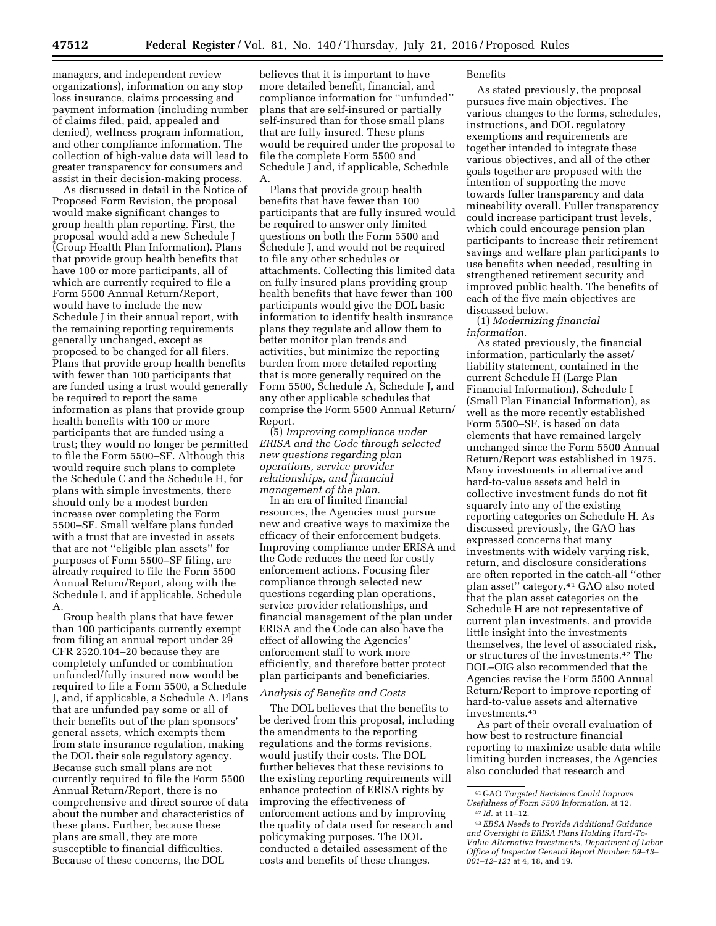managers, and independent review organizations), information on any stop loss insurance, claims processing and payment information (including number of claims filed, paid, appealed and denied), wellness program information, and other compliance information. The collection of high-value data will lead to greater transparency for consumers and assist in their decision-making process.

As discussed in detail in the Notice of Proposed Form Revision, the proposal would make significant changes to group health plan reporting. First, the proposal would add a new Schedule J (Group Health Plan Information). Plans that provide group health benefits that have 100 or more participants, all of which are currently required to file a Form 5500 Annual Return/Report, would have to include the new Schedule J in their annual report, with the remaining reporting requirements generally unchanged, except as proposed to be changed for all filers. Plans that provide group health benefits with fewer than 100 participants that are funded using a trust would generally be required to report the same information as plans that provide group health benefits with 100 or more participants that are funded using a trust; they would no longer be permitted to file the Form 5500–SF. Although this would require such plans to complete the Schedule C and the Schedule H, for plans with simple investments, there should only be a modest burden increase over completing the Form 5500–SF. Small welfare plans funded with a trust that are invested in assets that are not ''eligible plan assets'' for purposes of Form 5500–SF filing, are already required to file the Form 5500 Annual Return/Report, along with the Schedule I, and if applicable, Schedule A.

Group health plans that have fewer than 100 participants currently exempt from filing an annual report under 29 CFR 2520.104–20 because they are completely unfunded or combination unfunded/fully insured now would be required to file a Form 5500, a Schedule J, and, if applicable, a Schedule A. Plans that are unfunded pay some or all of their benefits out of the plan sponsors' general assets, which exempts them from state insurance regulation, making the DOL their sole regulatory agency. Because such small plans are not currently required to file the Form 5500 Annual Return/Report, there is no comprehensive and direct source of data about the number and characteristics of these plans. Further, because these plans are small, they are more susceptible to financial difficulties. Because of these concerns, the DOL

believes that it is important to have more detailed benefit, financial, and compliance information for ''unfunded'' plans that are self-insured or partially self-insured than for those small plans that are fully insured. These plans would be required under the proposal to file the complete Form 5500 and Schedule J and, if applicable, Schedule A.

Plans that provide group health benefits that have fewer than 100 participants that are fully insured would be required to answer only limited questions on both the Form 5500 and Schedule J, and would not be required to file any other schedules or attachments. Collecting this limited data on fully insured plans providing group health benefits that have fewer than 100 participants would give the DOL basic information to identify health insurance plans they regulate and allow them to better monitor plan trends and activities, but minimize the reporting burden from more detailed reporting that is more generally required on the Form 5500, Schedule A, Schedule J, and any other applicable schedules that comprise the Form 5500 Annual Return/ Report.

(5) *Improving compliance under ERISA and the Code through selected new questions regarding plan operations, service provider relationships, and financial management of the plan.* 

In an era of limited financial resources, the Agencies must pursue new and creative ways to maximize the efficacy of their enforcement budgets. Improving compliance under ERISA and the Code reduces the need for costly enforcement actions. Focusing filer compliance through selected new questions regarding plan operations, service provider relationships, and financial management of the plan under ERISA and the Code can also have the effect of allowing the Agencies' enforcement staff to work more efficiently, and therefore better protect plan participants and beneficiaries.

## *Analysis of Benefits and Costs*

The DOL believes that the benefits to be derived from this proposal, including the amendments to the reporting regulations and the forms revisions, would justify their costs. The DOL further believes that these revisions to the existing reporting requirements will enhance protection of ERISA rights by improving the effectiveness of enforcement actions and by improving the quality of data used for research and policymaking purposes. The DOL conducted a detailed assessment of the costs and benefits of these changes.

#### Benefits

As stated previously, the proposal pursues five main objectives. The various changes to the forms, schedules, instructions, and DOL regulatory exemptions and requirements are together intended to integrate these various objectives, and all of the other goals together are proposed with the intention of supporting the move towards fuller transparency and data mineability overall. Fuller transparency could increase participant trust levels, which could encourage pension plan participants to increase their retirement savings and welfare plan participants to use benefits when needed, resulting in strengthened retirement security and improved public health. The benefits of each of the five main objectives are discussed below.

(1) *Modernizing financial information.* 

As stated previously, the financial information, particularly the asset/ liability statement, contained in the current Schedule H (Large Plan Financial Information), Schedule I (Small Plan Financial Information), as well as the more recently established Form 5500–SF, is based on data elements that have remained largely unchanged since the Form 5500 Annual Return/Report was established in 1975. Many investments in alternative and hard-to-value assets and held in collective investment funds do not fit squarely into any of the existing reporting categories on Schedule H. As discussed previously, the GAO has expressed concerns that many investments with widely varying risk, return, and disclosure considerations are often reported in the catch-all ''other plan asset'' category.41 GAO also noted that the plan asset categories on the Schedule H are not representative of current plan investments, and provide little insight into the investments themselves, the level of associated risk, or structures of the investments.42 The DOL–OIG also recommended that the Agencies revise the Form 5500 Annual Return/Report to improve reporting of hard-to-value assets and alternative investments.43

As part of their overall evaluation of how best to restructure financial reporting to maximize usable data while limiting burden increases, the Agencies also concluded that research and

<sup>41</sup> GAO *Targeted Revisions Could Improve Usefulness of Form 5500 Information,* at 12. 42 *Id.* at 11–12.

<sup>43</sup>*EBSA Needs to Provide Additional Guidance* 

*and Oversight to ERISA Plans Holding Hard-To-Value Alternative Investments, Department of Labor Office of Inspector General Report Number: 09–13– 001–12–121* at 4, 18, and 19.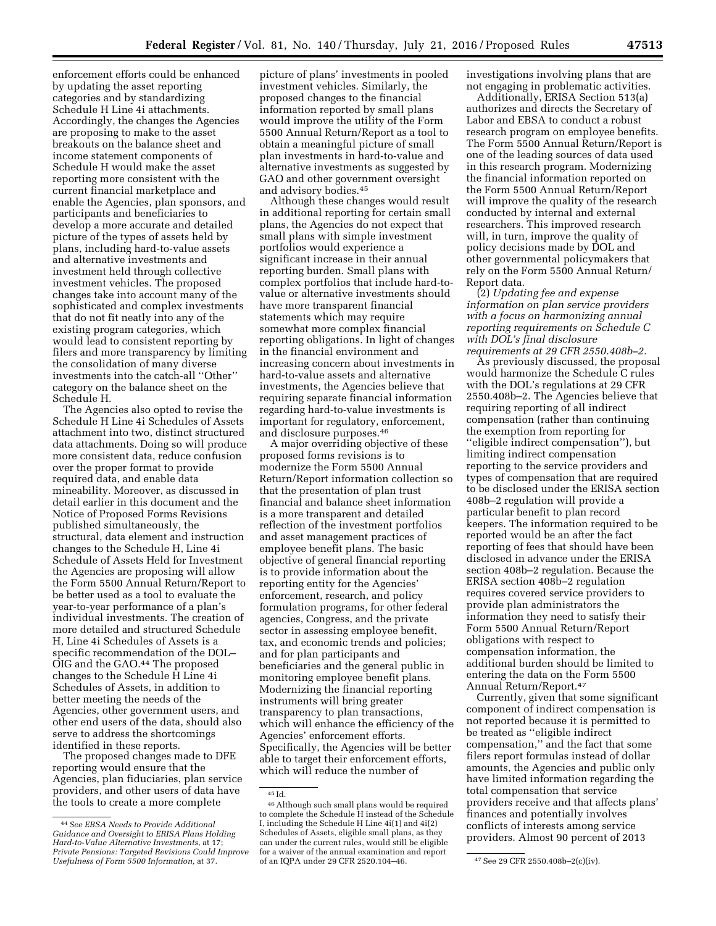enforcement efforts could be enhanced by updating the asset reporting categories and by standardizing Schedule H Line 4i attachments. Accordingly, the changes the Agencies are proposing to make to the asset breakouts on the balance sheet and income statement components of Schedule H would make the asset reporting more consistent with the current financial marketplace and enable the Agencies, plan sponsors, and participants and beneficiaries to develop a more accurate and detailed picture of the types of assets held by plans, including hard-to-value assets and alternative investments and investment held through collective investment vehicles. The proposed changes take into account many of the sophisticated and complex investments that do not fit neatly into any of the existing program categories, which would lead to consistent reporting by filers and more transparency by limiting the consolidation of many diverse investments into the catch-all ''Other'' category on the balance sheet on the Schedule H.

The Agencies also opted to revise the Schedule H Line 4i Schedules of Assets attachment into two, distinct structured data attachments. Doing so will produce more consistent data, reduce confusion over the proper format to provide required data, and enable data mineability. Moreover, as discussed in detail earlier in this document and the Notice of Proposed Forms Revisions published simultaneously, the structural, data element and instruction changes to the Schedule H, Line 4i Schedule of Assets Held for Investment the Agencies are proposing will allow the Form 5500 Annual Return/Report to be better used as a tool to evaluate the year-to-year performance of a plan's individual investments. The creation of more detailed and structured Schedule H, Line 4i Schedules of Assets is a specific recommendation of the DOL– OIG and the GAO.<sup>44</sup> The proposed changes to the Schedule H Line 4i Schedules of Assets, in addition to better meeting the needs of the Agencies, other government users, and other end users of the data, should also serve to address the shortcomings identified in these reports.

The proposed changes made to DFE reporting would ensure that the Agencies, plan fiduciaries, plan service providers, and other users of data have the tools to create a more complete

picture of plans' investments in pooled investment vehicles. Similarly, the proposed changes to the financial information reported by small plans would improve the utility of the Form 5500 Annual Return/Report as a tool to obtain a meaningful picture of small plan investments in hard-to-value and alternative investments as suggested by GAO and other government oversight and advisory bodies.45

Although these changes would result in additional reporting for certain small plans, the Agencies do not expect that small plans with simple investment portfolios would experience a significant increase in their annual reporting burden. Small plans with complex portfolios that include hard-tovalue or alternative investments should have more transparent financial statements which may require somewhat more complex financial reporting obligations. In light of changes in the financial environment and increasing concern about investments in hard-to-value assets and alternative investments, the Agencies believe that requiring separate financial information regarding hard-to-value investments is important for regulatory, enforcement, and disclosure purposes.46

A major overriding objective of these proposed forms revisions is to modernize the Form 5500 Annual Return/Report information collection so that the presentation of plan trust financial and balance sheet information is a more transparent and detailed reflection of the investment portfolios and asset management practices of employee benefit plans. The basic objective of general financial reporting is to provide information about the reporting entity for the Agencies' enforcement, research, and policy formulation programs, for other federal agencies, Congress, and the private sector in assessing employee benefit, tax, and economic trends and policies; and for plan participants and beneficiaries and the general public in monitoring employee benefit plans. Modernizing the financial reporting instruments will bring greater transparency to plan transactions, which will enhance the efficiency of the Agencies' enforcement efforts. Specifically, the Agencies will be better able to target their enforcement efforts, which will reduce the number of

investigations involving plans that are not engaging in problematic activities.

Additionally, ERISA Section 513(a) authorizes and directs the Secretary of Labor and EBSA to conduct a robust research program on employee benefits. The Form 5500 Annual Return/Report is one of the leading sources of data used in this research program. Modernizing the financial information reported on the Form 5500 Annual Return/Report will improve the quality of the research conducted by internal and external researchers. This improved research will, in turn, improve the quality of policy decisions made by DOL and other governmental policymakers that rely on the Form 5500 Annual Return/ Report data.

(2) *Updating fee and expense information on plan service providers with a focus on harmonizing annual reporting requirements on Schedule C with DOL's final disclosure requirements at 29 CFR 2550.408b–2.* 

As previously discussed, the proposal would harmonize the Schedule C rules with the DOL's regulations at 29 CFR 2550.408b–2. The Agencies believe that requiring reporting of all indirect compensation (rather than continuing the exemption from reporting for ''eligible indirect compensation''), but limiting indirect compensation reporting to the service providers and types of compensation that are required to be disclosed under the ERISA section 408b–2 regulation will provide a particular benefit to plan record keepers. The information required to be reported would be an after the fact reporting of fees that should have been disclosed in advance under the ERISA section 408b–2 regulation. Because the ERISA section 408b–2 regulation requires covered service providers to provide plan administrators the information they need to satisfy their Form 5500 Annual Return/Report obligations with respect to compensation information, the additional burden should be limited to entering the data on the Form 5500 Annual Return/Report.47

Currently, given that some significant component of indirect compensation is not reported because it is permitted to be treated as ''eligible indirect compensation,'' and the fact that some filers report formulas instead of dollar amounts, the Agencies and public only have limited information regarding the total compensation that service providers receive and that affects plans' finances and potentially involves conflicts of interests among service providers. Almost 90 percent of 2013

<sup>44</sup>*See EBSA Needs to Provide Additional Guidance and Oversight to ERISA Plans Holding Hard-to-Value Alternative Investments,* at 17; *Private Pensions: Targeted Revisions Could Improve Usefulness of Form 5500 Information,* at 37.

<sup>45</sup> Id.

<sup>46</sup>Although such small plans would be required to complete the Schedule H instead of the Schedule I, including the Schedule H Line 4i(1) and 4i(2) Schedules of Assets, eligible small plans, as they can under the current rules, would still be eligible for a waiver of the annual examination and report of an IQPA under 29 CFR 2520.104–46. 47See 29 CFR 2550.408b–2(c)(iv).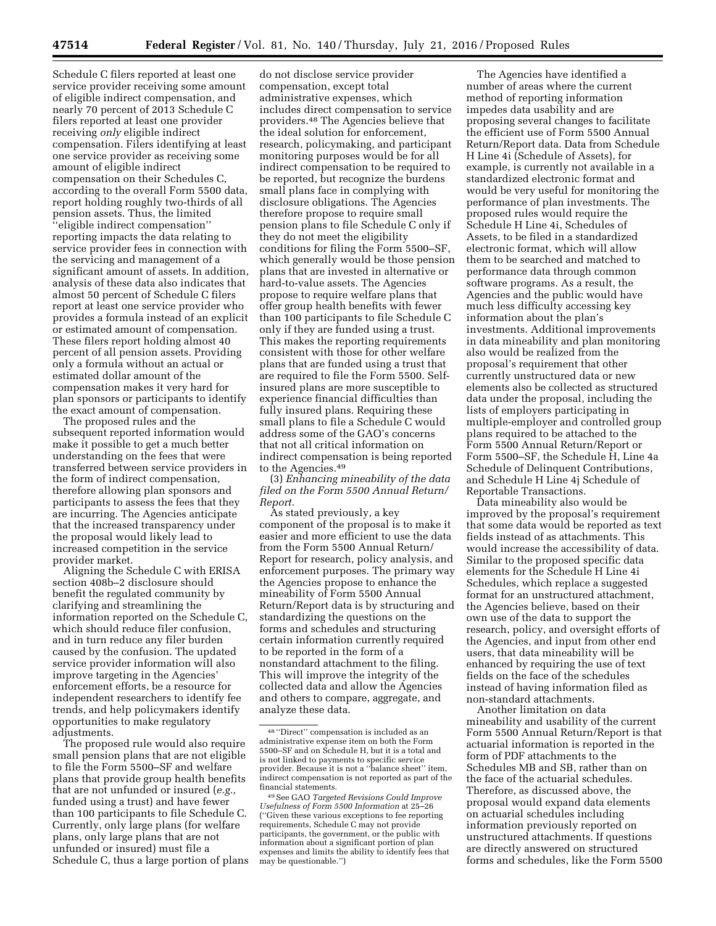Schedule C filers reported at least one service provider receiving some amount of eligible indirect compensation, and nearly 70 percent of 2013 Schedule C filers reported at least one provider receiving *only* eligible indirect compensation. Filers identifying at least one service provider as receiving some amount of eligible indirect compensation on their Schedules C, according to the overall Form 5500 data, report holding roughly two-thirds of all pension assets. Thus, the limited ''eligible indirect compensation'' reporting impacts the data relating to service provider fees in connection with the servicing and management of a significant amount of assets. In addition, analysis of these data also indicates that almost 50 percent of Schedule C filers report at least one service provider who provides a formula instead of an explicit or estimated amount of compensation. These filers report holding almost 40 percent of all pension assets. Providing only a formula without an actual or estimated dollar amount of the compensation makes it very hard for plan sponsors or participants to identify the exact amount of compensation.

The proposed rules and the subsequent reported information would make it possible to get a much better understanding on the fees that were transferred between service providers in the form of indirect compensation, therefore allowing plan sponsors and participants to assess the fees that they are incurring. The Agencies anticipate that the increased transparency under the proposal would likely lead to increased competition in the service provider market.

Aligning the Schedule C with ERISA section 408b–2 disclosure should benefit the regulated community by clarifying and streamlining the information reported on the Schedule C, which should reduce filer confusion, and in turn reduce any filer burden caused by the confusion. The updated service provider information will also improve targeting in the Agencies' enforcement efforts, be a resource for independent researchers to identify fee trends, and help policymakers identify opportunities to make regulatory adjustments.

The proposed rule would also require small pension plans that are not eligible to file the Form 5500–SF and welfare plans that provide group health benefits that are not unfunded or insured (*e.g.,*  funded using a trust) and have fewer than 100 participants to file Schedule C. Currently, only large plans (for welfare plans, only large plans that are not unfunded or insured) must file a Schedule C, thus a large portion of plans

do not disclose service provider compensation, except total administrative expenses, which includes direct compensation to service providers.48 The Agencies believe that the ideal solution for enforcement, research, policymaking, and participant monitoring purposes would be for all indirect compensation to be required to be reported, but recognize the burdens small plans face in complying with disclosure obligations. The Agencies therefore propose to require small pension plans to file Schedule C only if they do not meet the eligibility conditions for filing the Form 5500–SF, which generally would be those pension plans that are invested in alternative or hard-to-value assets. The Agencies propose to require welfare plans that offer group health benefits with fewer than 100 participants to file Schedule C only if they are funded using a trust. This makes the reporting requirements consistent with those for other welfare plans that are funded using a trust that are required to file the Form 5500. Selfinsured plans are more susceptible to experience financial difficulties than fully insured plans. Requiring these small plans to file a Schedule C would address some of the GAO's concerns that not all critical information on indirect compensation is being reported to the Agencies.49

(3) *Enhancing mineability of the data filed on the Form 5500 Annual Return/ Report.* 

As stated previously, a key component of the proposal is to make it easier and more efficient to use the data from the Form 5500 Annual Return/ Report for research, policy analysis, and enforcement purposes. The primary way the Agencies propose to enhance the mineability of Form 5500 Annual Return/Report data is by structuring and standardizing the questions on the forms and schedules and structuring certain information currently required to be reported in the form of a nonstandard attachment to the filing. This will improve the integrity of the collected data and allow the Agencies and others to compare, aggregate, and analyze these data.

The Agencies have identified a number of areas where the current method of reporting information impedes data usability and are proposing several changes to facilitate the efficient use of Form 5500 Annual Return/Report data. Data from Schedule H Line 4i (Schedule of Assets), for example, is currently not available in a standardized electronic format and would be very useful for monitoring the performance of plan investments. The proposed rules would require the Schedule H Line 4i, Schedules of Assets, to be filed in a standardized electronic format, which will allow them to be searched and matched to performance data through common software programs. As a result, the Agencies and the public would have much less difficulty accessing key information about the plan's investments. Additional improvements in data mineability and plan monitoring also would be realized from the proposal's requirement that other currently unstructured data or new elements also be collected as structured data under the proposal, including the lists of employers participating in multiple-employer and controlled group plans required to be attached to the Form 5500 Annual Return/Report or Form 5500–SF, the Schedule H, Line 4a Schedule of Delinquent Contributions, and Schedule H Line 4j Schedule of Reportable Transactions.

Data mineability also would be improved by the proposal's requirement that some data would be reported as text fields instead of as attachments. This would increase the accessibility of data. Similar to the proposed specific data elements for the Schedule H Line 4i Schedules, which replace a suggested format for an unstructured attachment, the Agencies believe, based on their own use of the data to support the research, policy, and oversight efforts of the Agencies, and input from other end users, that data mineability will be enhanced by requiring the use of text fields on the face of the schedules instead of having information filed as non-standard attachments.

Another limitation on data mineability and usability of the current Form 5500 Annual Return/Report is that actuarial information is reported in the form of PDF attachments to the Schedules MB and SB, rather than on the face of the actuarial schedules. Therefore, as discussed above, the proposal would expand data elements on actuarial schedules including information previously reported on unstructured attachments. If questions are directly answered on structured forms and schedules, like the Form 5500

<sup>48</sup> ''Direct'' compensation is included as an administrative expense item on both the Form 5500–SF and on Schedule H, but it is a total and is not linked to payments to specific service provider. Because it is not a ''balance sheet'' item, indirect compensation is not reported as part of the

financial statements. 49See GAO *Targeted Revisions Could Improve Usefulness of Form 5500 Information* at 25–26 (''Given these various exceptions to fee reporting requirements, Schedule C may not provide participants, the government, or the public with information about a significant portion of plan expenses and limits the ability to identify fees that may be questionable.'')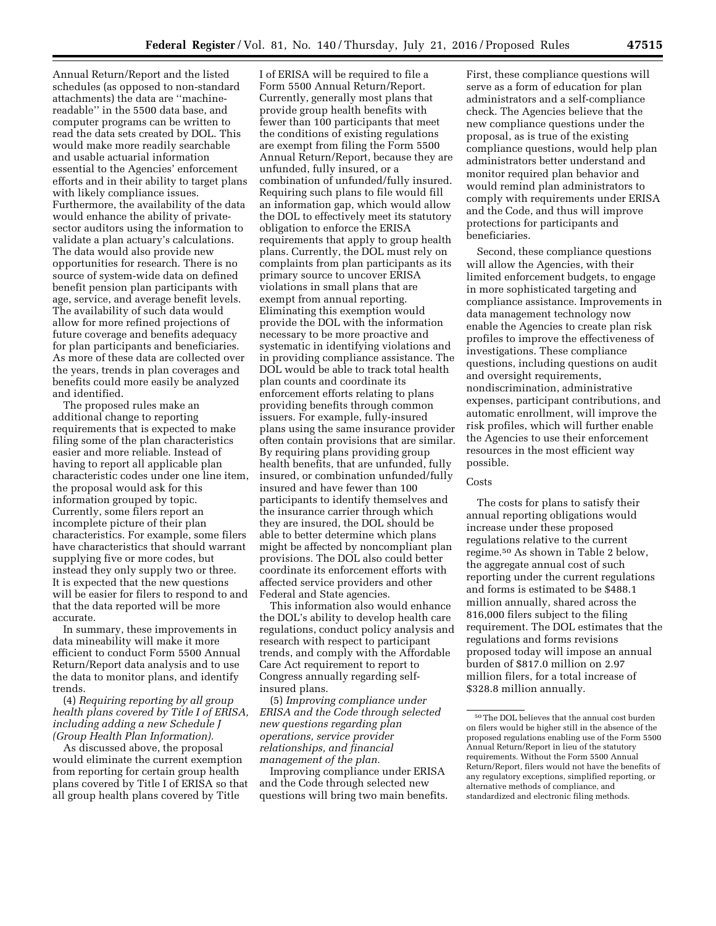Annual Return/Report and the listed schedules (as opposed to non-standard attachments) the data are ''machinereadable'' in the 5500 data base, and computer programs can be written to read the data sets created by DOL. This would make more readily searchable and usable actuarial information essential to the Agencies' enforcement efforts and in their ability to target plans with likely compliance issues. Furthermore, the availability of the data would enhance the ability of privatesector auditors using the information to validate a plan actuary's calculations. The data would also provide new opportunities for research. There is no source of system-wide data on defined benefit pension plan participants with age, service, and average benefit levels. The availability of such data would allow for more refined projections of future coverage and benefits adequacy for plan participants and beneficiaries. As more of these data are collected over the years, trends in plan coverages and benefits could more easily be analyzed and identified.

The proposed rules make an additional change to reporting requirements that is expected to make filing some of the plan characteristics easier and more reliable. Instead of having to report all applicable plan characteristic codes under one line item, the proposal would ask for this information grouped by topic. Currently, some filers report an incomplete picture of their plan characteristics. For example, some filers have characteristics that should warrant supplying five or more codes, but instead they only supply two or three. It is expected that the new questions will be easier for filers to respond to and that the data reported will be more accurate.

In summary, these improvements in data mineability will make it more efficient to conduct Form 5500 Annual Return/Report data analysis and to use the data to monitor plans, and identify trends.

(4) *Requiring reporting by all group health plans covered by Title I of ERISA, including adding a new Schedule J (Group Health Plan Information).* 

As discussed above, the proposal would eliminate the current exemption from reporting for certain group health plans covered by Title I of ERISA so that all group health plans covered by Title

I of ERISA will be required to file a Form 5500 Annual Return/Report. Currently, generally most plans that provide group health benefits with fewer than 100 participants that meet the conditions of existing regulations are exempt from filing the Form 5500 Annual Return/Report, because they are unfunded, fully insured, or a combination of unfunded/fully insured. Requiring such plans to file would fill an information gap, which would allow the DOL to effectively meet its statutory obligation to enforce the ERISA requirements that apply to group health plans. Currently, the DOL must rely on complaints from plan participants as its primary source to uncover ERISA violations in small plans that are exempt from annual reporting. Eliminating this exemption would provide the DOL with the information necessary to be more proactive and systematic in identifying violations and in providing compliance assistance. The DOL would be able to track total health plan counts and coordinate its enforcement efforts relating to plans providing benefits through common issuers. For example, fully-insured plans using the same insurance provider often contain provisions that are similar. By requiring plans providing group health benefits, that are unfunded, fully insured, or combination unfunded/fully insured and have fewer than 100 participants to identify themselves and the insurance carrier through which they are insured, the DOL should be able to better determine which plans might be affected by noncompliant plan provisions. The DOL also could better coordinate its enforcement efforts with affected service providers and other Federal and State agencies.

This information also would enhance the DOL's ability to develop health care regulations, conduct policy analysis and research with respect to participant trends, and comply with the Affordable Care Act requirement to report to Congress annually regarding selfinsured plans.

(5) *Improving compliance under ERISA and the Code through selected new questions regarding plan operations, service provider relationships, and financial management of the plan.* 

Improving compliance under ERISA and the Code through selected new questions will bring two main benefits. First, these compliance questions will serve as a form of education for plan administrators and a self-compliance check. The Agencies believe that the new compliance questions under the proposal, as is true of the existing compliance questions, would help plan administrators better understand and monitor required plan behavior and would remind plan administrators to comply with requirements under ERISA and the Code, and thus will improve protections for participants and beneficiaries.

Second, these compliance questions will allow the Agencies, with their limited enforcement budgets, to engage in more sophisticated targeting and compliance assistance. Improvements in data management technology now enable the Agencies to create plan risk profiles to improve the effectiveness of investigations. These compliance questions, including questions on audit and oversight requirements, nondiscrimination, administrative expenses, participant contributions, and automatic enrollment, will improve the risk profiles, which will further enable the Agencies to use their enforcement resources in the most efficient way possible.

# Costs

The costs for plans to satisfy their annual reporting obligations would increase under these proposed regulations relative to the current regime.50 As shown in Table 2 below, the aggregate annual cost of such reporting under the current regulations and forms is estimated to be \$488.1 million annually, shared across the 816,000 filers subject to the filing requirement. The DOL estimates that the regulations and forms revisions proposed today will impose an annual burden of \$817.0 million on 2.97 million filers, for a total increase of \$328.8 million annually.

<sup>50</sup>The DOL believes that the annual cost burden on filers would be higher still in the absence of the proposed regulations enabling use of the Form 5500 Annual Return/Report in lieu of the statutory requirements. Without the Form 5500 Annual Return/Report, filers would not have the benefits of any regulatory exceptions, simplified reporting, or alternative methods of compliance, and standardized and electronic filing methods.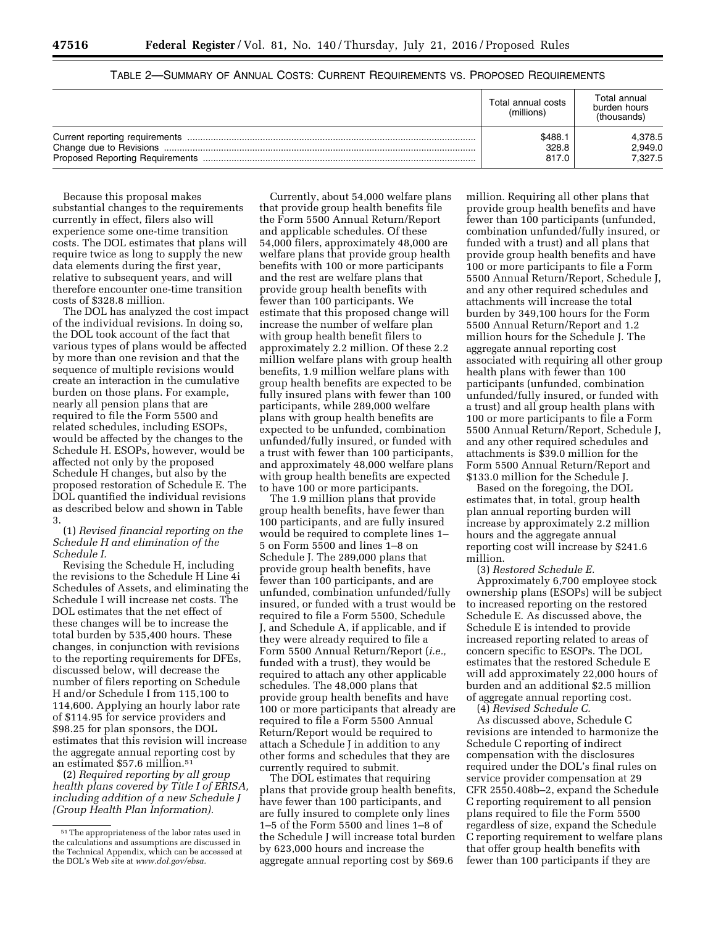| Total annual costs<br>(millions) | Total annual<br>burden hours<br>(thousands) |
|----------------------------------|---------------------------------------------|
| \$488.1                          | 4,378.5                                     |
| 328.8                            | 2.949.0                                     |
| 817.0                            | 7.327.5                                     |

# TABLE 2—SUMMARY OF ANNUAL COSTS: CURRENT REQUIREMENTS VS. PROPOSED REQUIREMENTS

Because this proposal makes substantial changes to the requirements currently in effect, filers also will experience some one-time transition costs. The DOL estimates that plans will require twice as long to supply the new data elements during the first year, relative to subsequent years, and will therefore encounter one-time transition costs of \$328.8 million.

The DOL has analyzed the cost impact of the individual revisions. In doing so, the DOL took account of the fact that various types of plans would be affected by more than one revision and that the sequence of multiple revisions would create an interaction in the cumulative burden on those plans. For example, nearly all pension plans that are required to file the Form 5500 and related schedules, including ESOPs, would be affected by the changes to the Schedule H. ESOPs, however, would be affected not only by the proposed Schedule H changes, but also by the proposed restoration of Schedule E. The DOL quantified the individual revisions as described below and shown in Table 3.

# (1) *Revised financial reporting on the Schedule H and elimination of the Schedule I.*

Revising the Schedule H, including the revisions to the Schedule H Line 4i Schedules of Assets, and eliminating the Schedule I will increase net costs. The DOL estimates that the net effect of these changes will be to increase the total burden by 535,400 hours. These changes, in conjunction with revisions to the reporting requirements for DFEs, discussed below, will decrease the number of filers reporting on Schedule H and/or Schedule I from 115,100 to 114,600. Applying an hourly labor rate of \$114.95 for service providers and \$98.25 for plan sponsors, the DOL estimates that this revision will increase the aggregate annual reporting cost by an estimated \$57.6 million.51

(2) *Required reporting by all group health plans covered by Title I of ERISA, including addition of a new Schedule J (Group Health Plan Information).* 

Currently, about 54,000 welfare plans that provide group health benefits file the Form 5500 Annual Return/Report and applicable schedules. Of these 54,000 filers, approximately 48,000 are welfare plans that provide group health benefits with 100 or more participants and the rest are welfare plans that provide group health benefits with fewer than 100 participants. We estimate that this proposed change will increase the number of welfare plan with group health benefit filers to approximately 2.2 million. Of these 2.2 million welfare plans with group health benefits, 1.9 million welfare plans with group health benefits are expected to be fully insured plans with fewer than 100 participants, while 289,000 welfare plans with group health benefits are expected to be unfunded, combination unfunded/fully insured, or funded with a trust with fewer than 100 participants, and approximately 48,000 welfare plans with group health benefits are expected to have 100 or more participants.

The 1.9 million plans that provide group health benefits, have fewer than 100 participants, and are fully insured would be required to complete lines 1– 5 on Form 5500 and lines 1–8 on Schedule J. The 289,000 plans that provide group health benefits, have fewer than 100 participants, and are unfunded, combination unfunded/fully insured, or funded with a trust would be required to file a Form 5500, Schedule J, and Schedule A, if applicable, and if they were already required to file a Form 5500 Annual Return/Report (*i.e.,*  funded with a trust), they would be required to attach any other applicable schedules. The 48,000 plans that provide group health benefits and have 100 or more participants that already are required to file a Form 5500 Annual Return/Report would be required to attach a Schedule J in addition to any other forms and schedules that they are currently required to submit.

The DOL estimates that requiring plans that provide group health benefits, have fewer than 100 participants, and are fully insured to complete only lines 1–5 of the Form 5500 and lines 1–8 of the Schedule J will increase total burden by 623,000 hours and increase the aggregate annual reporting cost by \$69.6

million. Requiring all other plans that provide group health benefits and have fewer than 100 participants (unfunded, combination unfunded/fully insured, or funded with a trust) and all plans that provide group health benefits and have 100 or more participants to file a Form 5500 Annual Return/Report, Schedule J, and any other required schedules and attachments will increase the total burden by 349,100 hours for the Form 5500 Annual Return/Report and 1.2 million hours for the Schedule J. The aggregate annual reporting cost associated with requiring all other group health plans with fewer than 100 participants (unfunded, combination unfunded/fully insured, or funded with a trust) and all group health plans with 100 or more participants to file a Form 5500 Annual Return/Report, Schedule J, and any other required schedules and attachments is \$39.0 million for the Form 5500 Annual Return/Report and \$133.0 million for the Schedule J.

Based on the foregoing, the DOL estimates that, in total, group health plan annual reporting burden will increase by approximately 2.2 million hours and the aggregate annual reporting cost will increase by \$241.6 million.

(3) *Restored Schedule E.*  Approximately 6,700 employee stock ownership plans (ESOPs) will be subject to increased reporting on the restored Schedule E. As discussed above, the Schedule E is intended to provide increased reporting related to areas of concern specific to ESOPs. The DOL estimates that the restored Schedule E will add approximately 22,000 hours of burden and an additional \$2.5 million

of aggregate annual reporting cost. (4) *Revised Schedule C.* 

As discussed above, Schedule C revisions are intended to harmonize the Schedule C reporting of indirect compensation with the disclosures required under the DOL's final rules on service provider compensation at 29 CFR 2550.408b–2, expand the Schedule C reporting requirement to all pension plans required to file the Form 5500 regardless of size, expand the Schedule C reporting requirement to welfare plans that offer group health benefits with fewer than 100 participants if they are

<sup>51</sup>The appropriateness of the labor rates used in the calculations and assumptions are discussed in the Technical Appendix, which can be accessed at the DOL's Web site at *[www.dol.gov/ebsa.](http://www.dol.gov/ebsa)*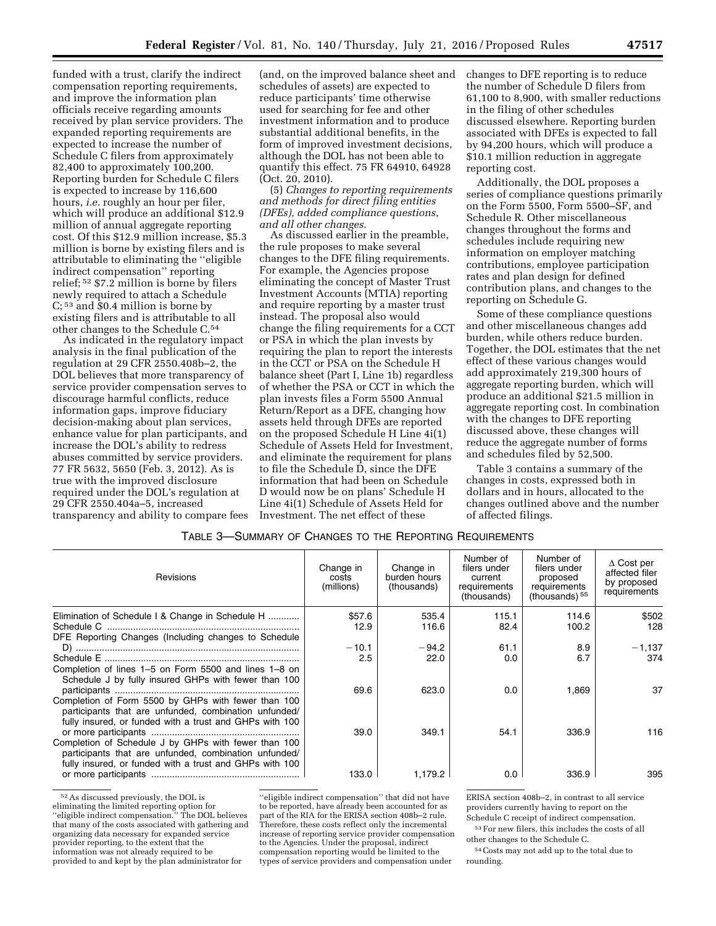funded with a trust, clarify the indirect compensation reporting requirements, and improve the information plan officials receive regarding amounts received by plan service providers. The expanded reporting requirements are expected to increase the number of Schedule C filers from approximately 82,400 to approximately 100,200. Reporting burden for Schedule C filers is expected to increase by 116,600 hours, *i.e.* roughly an hour per filer, which will produce an additional \$12.9 million of annual aggregate reporting cost. Of this \$12.9 million increase, \$5.3 million is borne by existing filers and is attributable to eliminating the ''eligible indirect compensation'' reporting relief; 52 \$7.2 million is borne by filers newly required to attach a Schedule C; 53 and \$0.4 million is borne by existing filers and is attributable to all other changes to the Schedule C.54

As indicated in the regulatory impact analysis in the final publication of the regulation at 29 CFR 2550.408b–2, the DOL believes that more transparency of service provider compensation serves to discourage harmful conflicts, reduce information gaps, improve fiduciary decision-making about plan services, enhance value for plan participants, and increase the DOL's ability to redress abuses committed by service providers. 77 FR 5632, 5650 (Feb. 3, 2012). As is true with the improved disclosure required under the DOL's regulation at 29 CFR 2550.404a–5, increased transparency and ability to compare fees

(and, on the improved balance sheet and schedules of assets) are expected to reduce participants' time otherwise used for searching for fee and other investment information and to produce substantial additional benefits, in the form of improved investment decisions, although the DOL has not been able to quantify this effect. 75 FR 64910, 64928 (Oct. 20, 2010).

(5) *Changes to reporting requirements and methods for direct filing entities (DFEs), added compliance questions, and all other changes.* 

As discussed earlier in the preamble, the rule proposes to make several changes to the DFE filing requirements. For example, the Agencies propose eliminating the concept of Master Trust Investment Accounts (MTIA) reporting and require reporting by a master trust instead. The proposal also would change the filing requirements for a CCT or PSA in which the plan invests by requiring the plan to report the interests in the CCT or PSA on the Schedule H balance sheet (Part I, Line 1b) regardless of whether the PSA or CCT in which the plan invests files a Form 5500 Annual Return/Report as a DFE, changing how assets held through DFEs are reported on the proposed Schedule H Line 4i(1) Schedule of Assets Held for Investment, and eliminate the requirement for plans to file the Schedule D, since the DFE information that had been on Schedule D would now be on plans' Schedule H Line 4i(1) Schedule of Assets Held for Investment. The net effect of these

changes to DFE reporting is to reduce the number of Schedule D filers from 61,100 to 8,900, with smaller reductions in the filing of other schedules discussed elsewhere. Reporting burden associated with DFEs is expected to fall by 94,200 hours, which will produce a \$10.1 million reduction in aggregate reporting cost.

Additionally, the DOL proposes a series of compliance questions primarily on the Form 5500, Form 5500–SF, and Schedule R. Other miscellaneous changes throughout the forms and schedules include requiring new information on employer matching contributions, employee participation rates and plan design for defined contribution plans, and changes to the reporting on Schedule G.

Some of these compliance questions and other miscellaneous changes add burden, while others reduce burden. Together, the DOL estimates that the net effect of these various changes would add approximately 219,300 hours of aggregate reporting burden, which will produce an additional \$21.5 million in aggregate reporting cost. In combination with the changes to DFE reporting discussed above, these changes will reduce the aggregate number of forms and schedules filed by 52,500.

Table 3 contains a summary of the changes in costs, expressed both in dollars and in hours, allocated to the changes outlined above and the number of affected filings.

#### TABLE 3—SUMMARY OF CHANGES TO THE REPORTING REQUIREMENTS

| Revisions                                                                                                                                                                | Change in<br>costs<br>(millions) | Change in<br>burden hours<br>(thousands) | Number of<br>filers under<br>current<br>requirements<br>(thousands) | Number of<br>filers under<br>proposed<br>requirements<br>(thousands) <sup>55</sup> | $\Delta$ Cost per<br>affected filer<br>by proposed<br>requirements |
|--------------------------------------------------------------------------------------------------------------------------------------------------------------------------|----------------------------------|------------------------------------------|---------------------------------------------------------------------|------------------------------------------------------------------------------------|--------------------------------------------------------------------|
| Elimination of Schedule I & Change in Schedule H<br>DFE Reporting Changes (Including changes to Schedule                                                                 | \$57.6<br>12.9                   | 535.4<br>116.6                           | 115.1<br>82.4                                                       | 114.6<br>100.2                                                                     | \$502<br>128                                                       |
|                                                                                                                                                                          | $-10.1$                          | $-94.2$                                  | 61.1                                                                | 8.9                                                                                | $-1,137$                                                           |
|                                                                                                                                                                          | 2.5                              | 22.0                                     | 0.0                                                                 | 6.7                                                                                | 374                                                                |
| Completion of lines 1–5 on Form 5500 and lines 1–8 on<br>Schedule J by fully insured GHPs with fewer than 100                                                            | 69.6                             | 623.0                                    | 0.0                                                                 | 1,869                                                                              | 37                                                                 |
| Completion of Form 5500 by GHPs with fewer than 100<br>participants that are unfunded, combination unfunded/<br>fully insured, or funded with a trust and GHPs with 100  |                                  |                                          |                                                                     |                                                                                    |                                                                    |
| Completion of Schedule J by GHPs with fewer than 100<br>participants that are unfunded, combination unfunded/<br>fully insured, or funded with a trust and GHPs with 100 | 39.0                             | 349.1                                    | 54.1                                                                | 336.9                                                                              | 116                                                                |
|                                                                                                                                                                          | 133.0                            | 1.179.2                                  | 0.0                                                                 | 336.9                                                                              | 395                                                                |

52As discussed previously, the DOL is eliminating the limited reporting option for ''eligible indirect compensation.'' The DOL believes that many of the costs associated with gathering and organizing data necessary for expanded service provider reporting, to the extent that the information was not already required to be provided to and kept by the plan administrator for

''eligible indirect compensation'' that did not have to be reported, have already been accounted for as part of the RIA for the ERISA section 408b–2 rule. Therefore, these costs reflect only the incremental increase of reporting service provider compensation to the Agencies. Under the proposal, indirect compensation reporting would be limited to the types of service providers and compensation under

ERISA section 408b–2, in contrast to all service providers currently having to report on the Schedule C receipt of indirect compensation.

53For new filers, this includes the costs of all other changes to the Schedule C.

54Costs may not add up to the total due to rounding.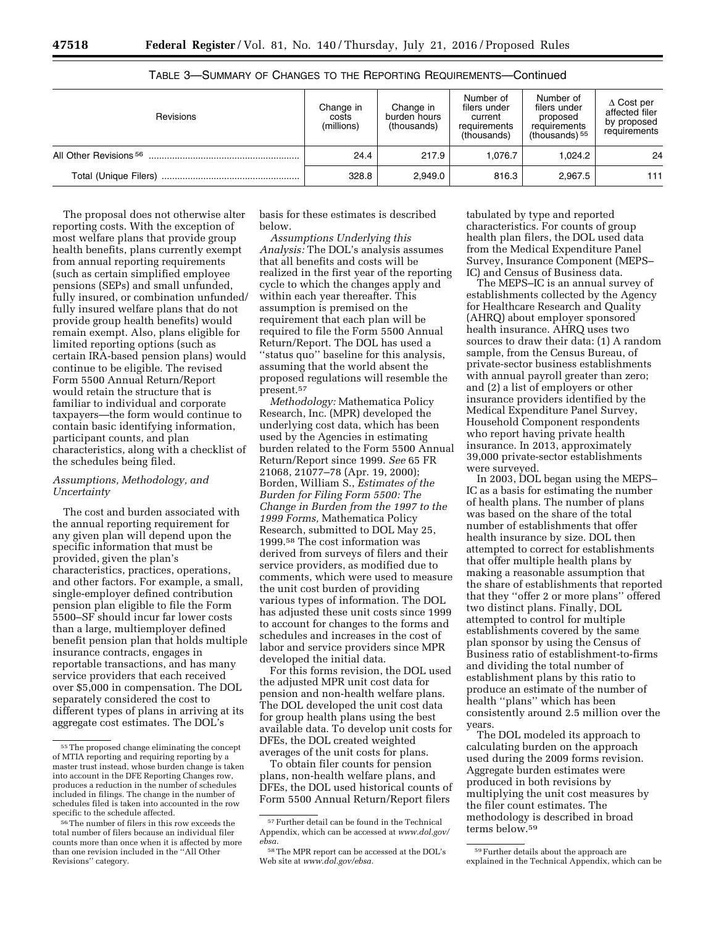| <b>Revisions</b>                  | Change in<br>costs<br>(millions) | Change in<br>burden hours<br>(thousands) | Number of<br>filers under<br>current<br>requirements<br>(thousands) | Number of<br>filers under<br>proposed<br>requirements<br>(thousands) <sup>55</sup> | $\Delta$ Cost per<br>affected filer<br>by proposed<br>requirements |
|-----------------------------------|----------------------------------|------------------------------------------|---------------------------------------------------------------------|------------------------------------------------------------------------------------|--------------------------------------------------------------------|
| All Other Revisions <sup>56</sup> | 24.4                             | 217.9                                    | 1.076.7                                                             | 1.024.2                                                                            | 24                                                                 |
|                                   | 328.8                            | 2.949.0                                  | 816.3                                                               | 2.967.5                                                                            | 111                                                                |

# TABLE 3—SUMMARY OF CHANGES TO THE REPORTING REQUIREMENTS—Continued

The proposal does not otherwise alter reporting costs. With the exception of most welfare plans that provide group health benefits, plans currently exempt from annual reporting requirements (such as certain simplified employee pensions (SEPs) and small unfunded, fully insured, or combination unfunded/ fully insured welfare plans that do not provide group health benefits) would remain exempt. Also, plans eligible for limited reporting options (such as certain IRA-based pension plans) would continue to be eligible. The revised Form 5500 Annual Return/Report would retain the structure that is familiar to individual and corporate taxpayers—the form would continue to contain basic identifying information, participant counts, and plan characteristics, along with a checklist of the schedules being filed.

# *Assumptions, Methodology, and Uncertainty*

The cost and burden associated with the annual reporting requirement for any given plan will depend upon the specific information that must be provided, given the plan's characteristics, practices, operations, and other factors. For example, a small, single-employer defined contribution pension plan eligible to file the Form 5500–SF should incur far lower costs than a large, multiemployer defined benefit pension plan that holds multiple insurance contracts, engages in reportable transactions, and has many service providers that each received over \$5,000 in compensation. The DOL separately considered the cost to different types of plans in arriving at its aggregate cost estimates. The DOL's

basis for these estimates is described below.

*Assumptions Underlying this Analysis:* The DOL's analysis assumes that all benefits and costs will be realized in the first year of the reporting cycle to which the changes apply and within each year thereafter. This assumption is premised on the requirement that each plan will be required to file the Form 5500 Annual Return/Report. The DOL has used a ''status quo'' baseline for this analysis, assuming that the world absent the proposed regulations will resemble the present.57

*Methodology:* Mathematica Policy Research, Inc. (MPR) developed the underlying cost data, which has been used by the Agencies in estimating burden related to the Form 5500 Annual Return/Report since 1999. *See* 65 FR 21068, 21077–78 (Apr. 19, 2000); Borden, William S., *Estimates of the Burden for Filing Form 5500: The Change in Burden from the 1997 to the 1999 Forms,* Mathematica Policy Research, submitted to DOL May 25, 1999.58 The cost information was derived from surveys of filers and their service providers, as modified due to comments, which were used to measure the unit cost burden of providing various types of information. The DOL has adjusted these unit costs since 1999 to account for changes to the forms and schedules and increases in the cost of labor and service providers since MPR developed the initial data.

For this forms revision, the DOL used the adjusted MPR unit cost data for pension and non-health welfare plans. The DOL developed the unit cost data for group health plans using the best available data. To develop unit costs for DFEs, the DOL created weighted averages of the unit costs for plans.

To obtain filer counts for pension plans, non-health welfare plans, and DFEs, the DOL used historical counts of Form 5500 Annual Return/Report filers

tabulated by type and reported characteristics. For counts of group health plan filers, the DOL used data from the Medical Expenditure Panel Survey, Insurance Component (MEPS– IC) and Census of Business data.

The MEPS–IC is an annual survey of establishments collected by the Agency for Healthcare Research and Quality (AHRQ) about employer sponsored health insurance. AHRQ uses two sources to draw their data: (1) A random sample, from the Census Bureau, of private-sector business establishments with annual payroll greater than zero; and (2) a list of employers or other insurance providers identified by the Medical Expenditure Panel Survey, Household Component respondents who report having private health insurance. In 2013, approximately 39,000 private-sector establishments were surveyed.

In 2003, DOL began using the MEPS– IC as a basis for estimating the number of health plans. The number of plans was based on the share of the total number of establishments that offer health insurance by size. DOL then attempted to correct for establishments that offer multiple health plans by making a reasonable assumption that the share of establishments that reported that they ''offer 2 or more plans'' offered two distinct plans. Finally, DOL attempted to control for multiple establishments covered by the same plan sponsor by using the Census of Business ratio of establishment-to-firms and dividing the total number of establishment plans by this ratio to produce an estimate of the number of health ''plans'' which has been consistently around 2.5 million over the years.

The DOL modeled its approach to calculating burden on the approach used during the 2009 forms revision. Aggregate burden estimates were produced in both revisions by multiplying the unit cost measures by the filer count estimates. The methodology is described in broad terms below.<sup>59</sup>

<sup>55</sup>The proposed change eliminating the concept of MTIA reporting and requiring reporting by a master trust instead, whose burden change is taken into account in the DFE Reporting Changes row, produces a reduction in the number of schedules included in filings. The change in the number of schedules filed is taken into accounted in the row specific to the schedule affected.

<sup>56</sup>The number of filers in this row exceeds the total number of filers because an individual filer counts more than once when it is affected by more than one revision included in the ''All Other Revisions'' category.

<sup>57</sup>Further detail can be found in the Technical Appendix, which can be accessed at *[www.dol.gov/](http://www.dol.gov/ebsa) [ebsa.](http://www.dol.gov/ebsa)* 

<sup>58</sup>The MPR report can be accessed at the DOL's Web site at *[www.dol.gov/ebsa.](http://www.dol.gov/ebsa)* 

<sup>59</sup>Further details about the approach are explained in the Technical Appendix, which can be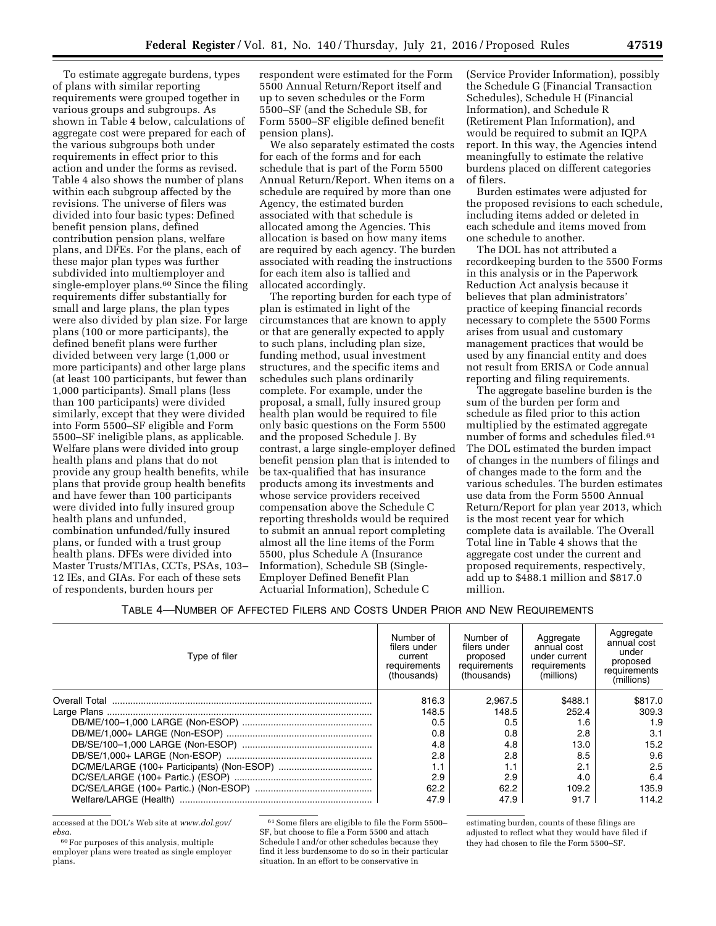To estimate aggregate burdens, types of plans with similar reporting requirements were grouped together in various groups and subgroups. As shown in Table 4 below, calculations of aggregate cost were prepared for each of the various subgroups both under requirements in effect prior to this action and under the forms as revised. Table 4 also shows the number of plans within each subgroup affected by the revisions. The universe of filers was divided into four basic types: Defined benefit pension plans, defined contribution pension plans, welfare plans, and DFEs. For the plans, each of these major plan types was further subdivided into multiemployer and single-employer plans.<sup>60</sup> Since the filing requirements differ substantially for small and large plans, the plan types were also divided by plan size. For large plans (100 or more participants), the defined benefit plans were further divided between very large (1,000 or more participants) and other large plans (at least 100 participants, but fewer than 1,000 participants). Small plans (less than 100 participants) were divided similarly, except that they were divided into Form 5500–SF eligible and Form 5500–SF ineligible plans, as applicable. Welfare plans were divided into group health plans and plans that do not provide any group health benefits, while plans that provide group health benefits and have fewer than 100 participants were divided into fully insured group health plans and unfunded, combination unfunded/fully insured plans, or funded with a trust group health plans. DFEs were divided into Master Trusts/MTIAs, CCTs, PSAs, 103– 12 IEs, and GIAs. For each of these sets of respondents, burden hours per

respondent were estimated for the Form 5500 Annual Return/Report itself and up to seven schedules or the Form 5500–SF (and the Schedule SB, for Form 5500–SF eligible defined benefit pension plans).

We also separately estimated the costs for each of the forms and for each schedule that is part of the Form 5500 Annual Return/Report. When items on a schedule are required by more than one Agency, the estimated burden associated with that schedule is allocated among the Agencies. This allocation is based on how many items are required by each agency. The burden associated with reading the instructions for each item also is tallied and allocated accordingly.

The reporting burden for each type of plan is estimated in light of the circumstances that are known to apply or that are generally expected to apply to such plans, including plan size, funding method, usual investment structures, and the specific items and schedules such plans ordinarily complete. For example, under the proposal, a small, fully insured group health plan would be required to file only basic questions on the Form 5500 and the proposed Schedule J. By contrast, a large single-employer defined benefit pension plan that is intended to be tax-qualified that has insurance products among its investments and whose service providers received compensation above the Schedule C reporting thresholds would be required to submit an annual report completing almost all the line items of the Form 5500, plus Schedule A (Insurance Information), Schedule SB (Single-Employer Defined Benefit Plan Actuarial Information), Schedule C

(Service Provider Information), possibly the Schedule G (Financial Transaction Schedules), Schedule H (Financial Information), and Schedule R (Retirement Plan Information), and would be required to submit an IQPA report. In this way, the Agencies intend meaningfully to estimate the relative burdens placed on different categories of filers.

Burden estimates were adjusted for the proposed revisions to each schedule, including items added or deleted in each schedule and items moved from one schedule to another.

The DOL has not attributed a recordkeeping burden to the 5500 Forms in this analysis or in the Paperwork Reduction Act analysis because it believes that plan administrators' practice of keeping financial records necessary to complete the 5500 Forms arises from usual and customary management practices that would be used by any financial entity and does not result from ERISA or Code annual reporting and filing requirements.

The aggregate baseline burden is the sum of the burden per form and schedule as filed prior to this action multiplied by the estimated aggregate number of forms and schedules filed.61 The DOL estimated the burden impact of changes in the numbers of filings and of changes made to the form and the various schedules. The burden estimates use data from the Form 5500 Annual Return/Report for plan year 2013, which is the most recent year for which complete data is available. The Overall Total line in Table 4 shows that the aggregate cost under the current and proposed requirements, respectively, add up to \$488.1 million and \$817.0 million.

# TABLE 4—NUMBER OF AFFECTED FILERS AND COSTS UNDER PRIOR AND NEW REQUIREMENTS

| Type of filer | Number of<br>filers under<br>current<br>requirements<br>(thousands) | Number of<br>filers under<br>proposed<br>requirements<br>(thousands) | Aggregate<br>annual cost<br>under current<br>requirements<br>(millions) | Aggregate<br>annual cost<br>under<br>proposed<br>requirements<br>(millions) |
|---------------|---------------------------------------------------------------------|----------------------------------------------------------------------|-------------------------------------------------------------------------|-----------------------------------------------------------------------------|
|               | 816.3                                                               | 2.967.5                                                              | \$488.1                                                                 | \$817.0                                                                     |
|               | 148.5                                                               | 148.5                                                                | 252.4                                                                   | 309.3                                                                       |
|               | 0.5                                                                 | 0.5                                                                  | 1.6                                                                     | 1.9                                                                         |
|               | 0.8                                                                 | 0.8                                                                  | 2.8                                                                     | 3.1                                                                         |
|               | 4.8                                                                 | 4.8                                                                  | 13.0                                                                    | 15.2                                                                        |
|               | 2.8                                                                 | 2.8                                                                  | 8.5                                                                     | 9.6                                                                         |
|               |                                                                     | 1.1                                                                  | 2.1                                                                     | 2.5                                                                         |
|               | 2.9                                                                 | 2.9                                                                  | 4.0                                                                     | 6.4                                                                         |
|               | 62.2                                                                | 62.2                                                                 | 109.2                                                                   | 135.9                                                                       |
|               | 47.9                                                                | 47.9                                                                 | 91.7                                                                    | 114.2                                                                       |

accessed at the DOL's Web site at *[www.dol.gov/](http://www.dol.gov/ebsa) [ebsa.](http://www.dol.gov/ebsa)* 

60For purposes of this analysis, multiple employer plans were treated as single employer plans.

61Some filers are eligible to file the Form 5500– SF, but choose to file a Form 5500 and attach Schedule I and/or other schedules because they find it less burdensome to do so in their particular situation. In an effort to be conservative in

estimating burden, counts of these filings are adjusted to reflect what they would have filed if they had chosen to file the Form 5500–SF.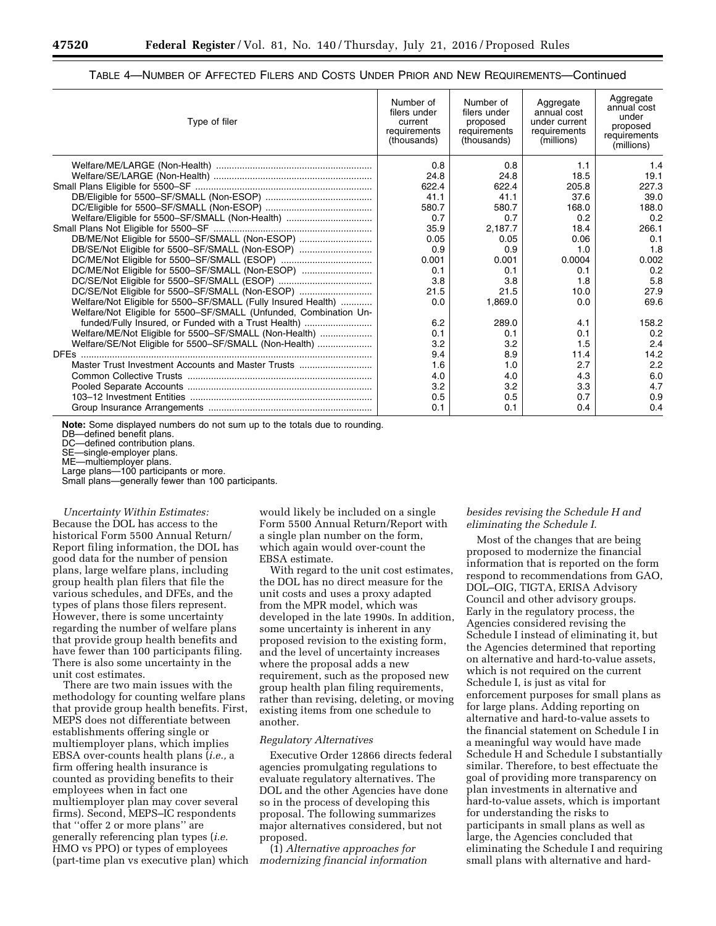| Type of filer                                                     | Number of<br>filers under<br>current<br>requirements<br>(thousands) | Number of<br>filers under<br>proposed<br>requirements<br>(thousands) | Aggregate<br>annual cost<br>under current<br>requirements<br>(millions) | Aggregate<br>annual cost<br>under<br>proposed<br>requirements<br>(millions) |
|-------------------------------------------------------------------|---------------------------------------------------------------------|----------------------------------------------------------------------|-------------------------------------------------------------------------|-----------------------------------------------------------------------------|
|                                                                   | 0.8                                                                 | 0.8                                                                  | 1.1                                                                     | 1.4                                                                         |
|                                                                   | 24.8                                                                | 24.8                                                                 | 18.5                                                                    | 19.1                                                                        |
|                                                                   | 622.4                                                               | 622.4                                                                | 205.8                                                                   | 227.3                                                                       |
|                                                                   | 41.1                                                                | 41.1                                                                 | 37.6                                                                    | 39.0                                                                        |
|                                                                   | 580.7                                                               | 580.7                                                                | 168.0                                                                   | 188.0                                                                       |
| Welfare/Eligible for 5500-SF/SMALL (Non-Health)                   | 0.7                                                                 | 0.7                                                                  | 0.2                                                                     | 0.2                                                                         |
|                                                                   | 35.9                                                                | 2,187.7                                                              | 18.4                                                                    | 266.1                                                                       |
| DB/ME/Not Eligible for 5500-SF/SMALL (Non-ESOP)                   | 0.05                                                                | 0.05                                                                 | 0.06                                                                    | 0.1                                                                         |
| DB/SE/Not Eligible for 5500-SF/SMALL (Non-ESOP)                   | 0.9                                                                 | 0.9                                                                  | 1.0                                                                     | 1.8                                                                         |
|                                                                   | 0.001                                                               | 0.001                                                                | 0.0004                                                                  | 0.002                                                                       |
| DC/ME/Not Eligible for 5500-SF/SMALL (Non-ESOP)                   | 0.1                                                                 | 0.1                                                                  | 0.1                                                                     | 0.2                                                                         |
|                                                                   | 3.8                                                                 | 3.8                                                                  | 1.8                                                                     | 5.8                                                                         |
| DC/SE/Not Eligible for 5500-SF/SMALL (Non-ESOP)                   | 21.5                                                                | 21.5                                                                 | 10.0                                                                    | 27.9                                                                        |
| Welfare/Not Eligible for 5500-SF/SMALL (Fully Insured Health)     | 0.0                                                                 | 1,869.0                                                              | 0.0                                                                     | 69.6                                                                        |
| Welfare/Not Eligible for 5500-SF/SMALL (Unfunded, Combination Un- |                                                                     |                                                                      |                                                                         |                                                                             |
| funded/Fully Insured, or Funded with a Trust Health)              | 6.2                                                                 | 289.0                                                                | 4.1                                                                     | 158.2                                                                       |
| Welfare/ME/Not Eligible for 5500–SF/SMALL (Non-Health)            | 0.1                                                                 | 0.1                                                                  | 0.1                                                                     | 0.2                                                                         |
| Welfare/SE/Not Eligible for 5500–SF/SMALL (Non-Health)            | 3.2                                                                 | 3.2                                                                  | 1.5                                                                     | 2.4                                                                         |
|                                                                   | 9.4                                                                 | 8.9                                                                  | 11.4                                                                    | 14.2                                                                        |
| Master Trust Investment Accounts and Master Trusts                | 1.6                                                                 | 1.0                                                                  | 2.7                                                                     | 2.2                                                                         |
|                                                                   | 4.0                                                                 | 4.0                                                                  | 4.3                                                                     | 6.0                                                                         |
|                                                                   | 3.2                                                                 | 3.2                                                                  | 3.3                                                                     | 4.7                                                                         |
|                                                                   | 0.5                                                                 | 0.5                                                                  | 0.7                                                                     | 0.9                                                                         |
|                                                                   | 0.1                                                                 | 0.1                                                                  | 0.4                                                                     | 0.4                                                                         |

# TABLE 4—NUMBER OF AFFECTED FILERS AND COSTS UNDER PRIOR AND NEW REQUIREMENTS—Continued

**Note:** Some displayed numbers do not sum up to the totals due to rounding.

DB—defined benefit plans.

DC—defined contribution plans.

SE—single-employer plans.

ME-multiemployer plans.

Large plans—100 participants or more. Small plans—generally fewer than 100 participants.

*Uncertainty Within Estimates:*  Because the DOL has access to the historical Form 5500 Annual Return/ Report filing information, the DOL has good data for the number of pension plans, large welfare plans, including group health plan filers that file the various schedules, and DFEs, and the types of plans those filers represent. However, there is some uncertainty regarding the number of welfare plans that provide group health benefits and have fewer than 100 participants filing. There is also some uncertainty in the unit cost estimates.

There are two main issues with the methodology for counting welfare plans that provide group health benefits. First, MEPS does not differentiate between establishments offering single or multiemployer plans, which implies EBSA over-counts health plans (*i.e.,* a firm offering health insurance is counted as providing benefits to their employees when in fact one multiemployer plan may cover several firms). Second, MEPS–IC respondents that ''offer 2 or more plans'' are generally referencing plan types (*i.e.*  HMO vs PPO) or types of employees (part-time plan vs executive plan) which would likely be included on a single Form 5500 Annual Return/Report with a single plan number on the form, which again would over-count the EBSA estimate.

With regard to the unit cost estimates, the DOL has no direct measure for the unit costs and uses a proxy adapted from the MPR model, which was developed in the late 1990s. In addition, some uncertainty is inherent in any proposed revision to the existing form, and the level of uncertainty increases where the proposal adds a new requirement, such as the proposed new group health plan filing requirements, rather than revising, deleting, or moving existing items from one schedule to another.

#### *Regulatory Alternatives*

Executive Order 12866 directs federal agencies promulgating regulations to evaluate regulatory alternatives. The DOL and the other Agencies have done so in the process of developing this proposal. The following summarizes major alternatives considered, but not proposed.

(1) *Alternative approaches for modernizing financial information* 

# *besides revising the Schedule H and eliminating the Schedule I.*

Most of the changes that are being proposed to modernize the financial information that is reported on the form respond to recommendations from GAO, DOL–OIG, TIGTA, ERISA Advisory Council and other advisory groups. Early in the regulatory process, the Agencies considered revising the Schedule I instead of eliminating it, but the Agencies determined that reporting on alternative and hard-to-value assets, which is not required on the current Schedule I, is just as vital for enforcement purposes for small plans as for large plans. Adding reporting on alternative and hard-to-value assets to the financial statement on Schedule I in a meaningful way would have made Schedule H and Schedule I substantially similar. Therefore, to best effectuate the goal of providing more transparency on plan investments in alternative and hard-to-value assets, which is important for understanding the risks to participants in small plans as well as large, the Agencies concluded that eliminating the Schedule I and requiring small plans with alternative and hard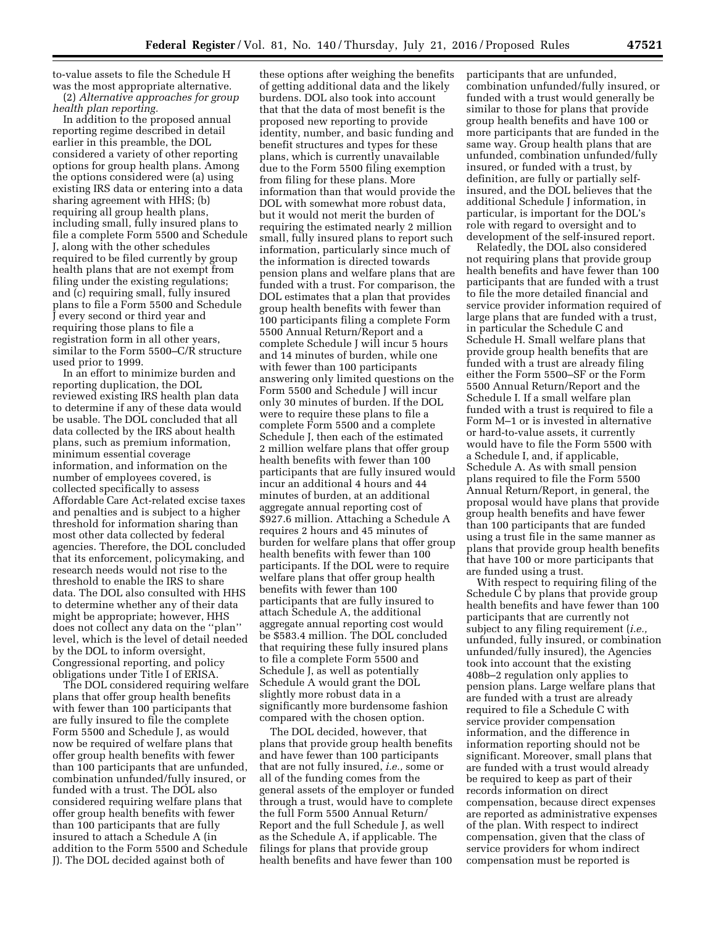to-value assets to file the Schedule H was the most appropriate alternative. (2) *Alternative approaches for group* 

*health plan reporting.*  In addition to the proposed annual reporting regime described in detail earlier in this preamble, the DOL considered a variety of other reporting options for group health plans. Among the options considered were (a) using existing IRS data or entering into a data sharing agreement with HHS; (b) requiring all group health plans, including small, fully insured plans to file a complete Form 5500 and Schedule J, along with the other schedules required to be filed currently by group health plans that are not exempt from filing under the existing regulations; and (c) requiring small, fully insured plans to file a Form 5500 and Schedule J every second or third year and requiring those plans to file a registration form in all other years, similar to the Form 5500–C/R structure used prior to 1999.

In an effort to minimize burden and reporting duplication, the DOL reviewed existing IRS health plan data to determine if any of these data would be usable. The DOL concluded that all data collected by the IRS about health plans, such as premium information, minimum essential coverage information, and information on the number of employees covered, is collected specifically to assess Affordable Care Act-related excise taxes and penalties and is subject to a higher threshold for information sharing than most other data collected by federal agencies. Therefore, the DOL concluded that its enforcement, policymaking, and research needs would not rise to the threshold to enable the IRS to share data. The DOL also consulted with HHS to determine whether any of their data might be appropriate; however, HHS does not collect any data on the ''plan'' level, which is the level of detail needed by the DOL to inform oversight, Congressional reporting, and policy obligations under Title I of ERISA.

The DOL considered requiring welfare plans that offer group health benefits with fewer than 100 participants that are fully insured to file the complete Form 5500 and Schedule J, as would now be required of welfare plans that offer group health benefits with fewer than 100 participants that are unfunded, combination unfunded/fully insured, or funded with a trust. The DOL also considered requiring welfare plans that offer group health benefits with fewer than 100 participants that are fully insured to attach a Schedule A (in addition to the Form 5500 and Schedule J). The DOL decided against both of

these options after weighing the benefits of getting additional data and the likely burdens. DOL also took into account that that the data of most benefit is the proposed new reporting to provide identity, number, and basic funding and benefit structures and types for these plans, which is currently unavailable due to the Form 5500 filing exemption from filing for these plans. More information than that would provide the DOL with somewhat more robust data, but it would not merit the burden of requiring the estimated nearly 2 million small, fully insured plans to report such information, particularly since much of the information is directed towards pension plans and welfare plans that are funded with a trust. For comparison, the DOL estimates that a plan that provides group health benefits with fewer than 100 participants filing a complete Form 5500 Annual Return/Report and a complete Schedule J will incur 5 hours and 14 minutes of burden, while one with fewer than 100 participants answering only limited questions on the Form 5500 and Schedule J will incur only 30 minutes of burden. If the DOL were to require these plans to file a complete Form 5500 and a complete Schedule J, then each of the estimated 2 million welfare plans that offer group health benefits with fewer than 100 participants that are fully insured would incur an additional 4 hours and 44 minutes of burden, at an additional aggregate annual reporting cost of \$927.6 million. Attaching a Schedule A requires 2 hours and 45 minutes of burden for welfare plans that offer group health benefits with fewer than 100 participants. If the DOL were to require welfare plans that offer group health benefits with fewer than 100 participants that are fully insured to attach Schedule A, the additional aggregate annual reporting cost would be \$583.4 million. The DOL concluded that requiring these fully insured plans to file a complete Form 5500 and Schedule J, as well as potentially Schedule A would grant the DOL slightly more robust data in a significantly more burdensome fashion compared with the chosen option.

The DOL decided, however, that plans that provide group health benefits and have fewer than 100 participants that are not fully insured, *i.e.,* some or all of the funding comes from the general assets of the employer or funded through a trust, would have to complete the full Form 5500 Annual Return/ Report and the full Schedule J, as well as the Schedule A, if applicable. The filings for plans that provide group health benefits and have fewer than 100

participants that are unfunded, combination unfunded/fully insured, or funded with a trust would generally be similar to those for plans that provide group health benefits and have 100 or more participants that are funded in the same way. Group health plans that are unfunded, combination unfunded/fully insured, or funded with a trust, by definition, are fully or partially selfinsured, and the DOL believes that the additional Schedule J information, in particular, is important for the DOL's role with regard to oversight and to development of the self-insured report.

Relatedly, the DOL also considered not requiring plans that provide group health benefits and have fewer than 100 participants that are funded with a trust to file the more detailed financial and service provider information required of large plans that are funded with a trust, in particular the Schedule C and Schedule H. Small welfare plans that provide group health benefits that are funded with a trust are already filing either the Form 5500–SF or the Form 5500 Annual Return/Report and the Schedule I. If a small welfare plan funded with a trust is required to file a Form M–1 or is invested in alternative or hard-to-value assets, it currently would have to file the Form 5500 with a Schedule I, and, if applicable, Schedule A. As with small pension plans required to file the Form 5500 Annual Return/Report, in general, the proposal would have plans that provide group health benefits and have fewer than 100 participants that are funded using a trust file in the same manner as plans that provide group health benefits that have 100 or more participants that are funded using a trust.

With respect to requiring filing of the Schedule C by plans that provide group health benefits and have fewer than 100 participants that are currently not subject to any filing requirement (*i.e.,*  unfunded, fully insured, or combination unfunded/fully insured), the Agencies took into account that the existing 408b–2 regulation only applies to pension plans. Large welfare plans that are funded with a trust are already required to file a Schedule C with service provider compensation information, and the difference in information reporting should not be significant. Moreover, small plans that are funded with a trust would already be required to keep as part of their records information on direct compensation, because direct expenses are reported as administrative expenses of the plan. With respect to indirect compensation, given that the class of service providers for whom indirect compensation must be reported is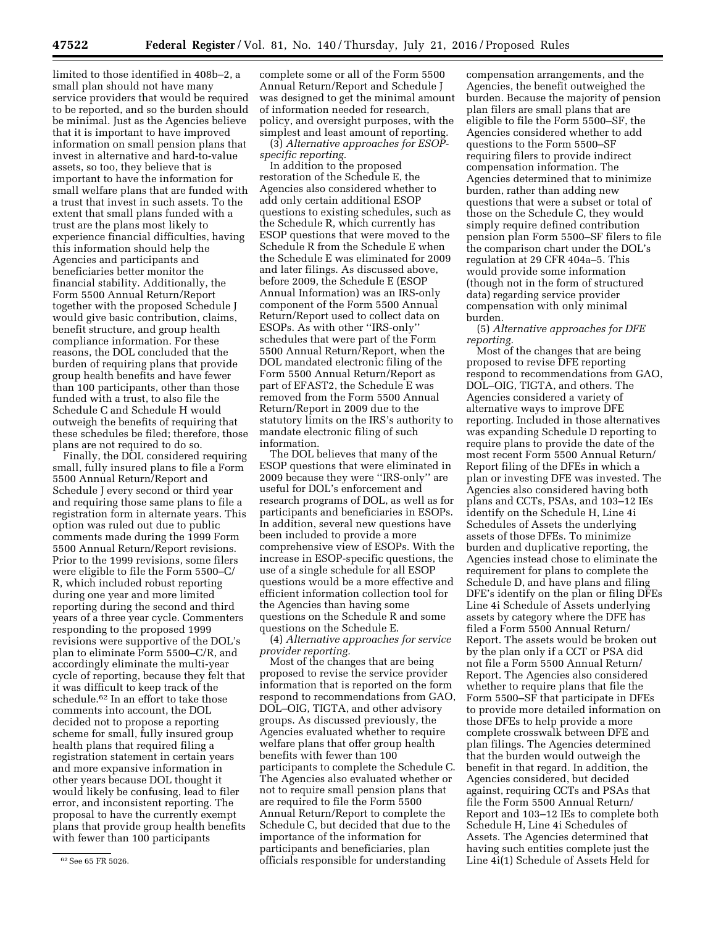limited to those identified in 408b–2, a small plan should not have many service providers that would be required to be reported, and so the burden should be minimal. Just as the Agencies believe that it is important to have improved information on small pension plans that invest in alternative and hard-to-value assets, so too, they believe that is important to have the information for small welfare plans that are funded with a trust that invest in such assets. To the extent that small plans funded with a trust are the plans most likely to experience financial difficulties, having this information should help the Agencies and participants and beneficiaries better monitor the financial stability. Additionally, the Form 5500 Annual Return/Report together with the proposed Schedule J would give basic contribution, claims, benefit structure, and group health compliance information. For these reasons, the DOL concluded that the burden of requiring plans that provide group health benefits and have fewer than 100 participants, other than those funded with a trust, to also file the Schedule C and Schedule H would outweigh the benefits of requiring that these schedules be filed; therefore, those plans are not required to do so.

Finally, the DOL considered requiring small, fully insured plans to file a Form 5500 Annual Return/Report and Schedule J every second or third year and requiring those same plans to file a registration form in alternate years. This option was ruled out due to public comments made during the 1999 Form 5500 Annual Return/Report revisions. Prior to the 1999 revisions, some filers were eligible to file the Form 5500–C/ R, which included robust reporting during one year and more limited reporting during the second and third years of a three year cycle. Commenters responding to the proposed 1999 revisions were supportive of the DOL's plan to eliminate Form 5500–C/R, and accordingly eliminate the multi-year cycle of reporting, because they felt that it was difficult to keep track of the schedule.62 In an effort to take those comments into account, the DOL decided not to propose a reporting scheme for small, fully insured group health plans that required filing a registration statement in certain years and more expansive information in other years because DOL thought it would likely be confusing, lead to filer error, and inconsistent reporting. The proposal to have the currently exempt plans that provide group health benefits with fewer than 100 participants

complete some or all of the Form 5500 Annual Return/Report and Schedule J was designed to get the minimal amount of information needed for research, policy, and oversight purposes, with the simplest and least amount of reporting.

(3) *Alternative approaches for ESOPspecific reporting.* 

In addition to the proposed restoration of the Schedule E, the Agencies also considered whether to add only certain additional ESOP questions to existing schedules, such as the Schedule R, which currently has ESOP questions that were moved to the Schedule R from the Schedule E when the Schedule E was eliminated for 2009 and later filings. As discussed above, before 2009, the Schedule E (ESOP Annual Information) was an IRS-only component of the Form 5500 Annual Return/Report used to collect data on ESOPs. As with other ''IRS-only'' schedules that were part of the Form 5500 Annual Return/Report, when the DOL mandated electronic filing of the Form 5500 Annual Return/Report as part of EFAST2, the Schedule E was removed from the Form 5500 Annual Return/Report in 2009 due to the statutory limits on the IRS's authority to mandate electronic filing of such information.

The DOL believes that many of the ESOP questions that were eliminated in 2009 because they were ''IRS-only'' are useful for DOL's enforcement and research programs of DOL, as well as for participants and beneficiaries in ESOPs. In addition, several new questions have been included to provide a more comprehensive view of ESOPs. With the increase in ESOP-specific questions, the use of a single schedule for all ESOP questions would be a more effective and efficient information collection tool for the Agencies than having some questions on the Schedule R and some questions on the Schedule E.

(4) *Alternative approaches for service provider reporting.* 

Most of the changes that are being proposed to revise the service provider information that is reported on the form respond to recommendations from GAO, DOL–OIG, TIGTA, and other advisory groups. As discussed previously, the Agencies evaluated whether to require welfare plans that offer group health benefits with fewer than 100 participants to complete the Schedule C. The Agencies also evaluated whether or not to require small pension plans that are required to file the Form 5500 Annual Return/Report to complete the Schedule C, but decided that due to the importance of the information for participants and beneficiaries, plan officials responsible for understanding

compensation arrangements, and the Agencies, the benefit outweighed the burden. Because the majority of pension plan filers are small plans that are eligible to file the Form 5500–SF, the Agencies considered whether to add questions to the Form 5500–SF requiring filers to provide indirect compensation information. The Agencies determined that to minimize burden, rather than adding new questions that were a subset or total of those on the Schedule C, they would simply require defined contribution pension plan Form 5500–SF filers to file the comparison chart under the DOL's regulation at 29 CFR 404a–5. This would provide some information (though not in the form of structured data) regarding service provider compensation with only minimal burden.

## (5) *Alternative approaches for DFE reporting.*

Most of the changes that are being proposed to revise DFE reporting respond to recommendations from GAO, DOL–OIG, TIGTA, and others. The Agencies considered a variety of alternative ways to improve DFE reporting. Included in those alternatives was expanding Schedule D reporting to require plans to provide the date of the most recent Form 5500 Annual Return/ Report filing of the DFEs in which a plan or investing DFE was invested. The Agencies also considered having both plans and CCTs, PSAs, and 103–12 IEs identify on the Schedule H, Line 4i Schedules of Assets the underlying assets of those DFEs. To minimize burden and duplicative reporting, the Agencies instead chose to eliminate the requirement for plans to complete the Schedule D, and have plans and filing DFE's identify on the plan or filing DFEs Line 4i Schedule of Assets underlying assets by category where the DFE has filed a Form 5500 Annual Return/ Report. The assets would be broken out by the plan only if a CCT or PSA did not file a Form 5500 Annual Return/ Report. The Agencies also considered whether to require plans that file the Form 5500–SF that participate in DFEs to provide more detailed information on those DFEs to help provide a more complete crosswalk between DFE and plan filings. The Agencies determined that the burden would outweigh the benefit in that regard. In addition, the Agencies considered, but decided against, requiring CCTs and PSAs that file the Form 5500 Annual Return/ Report and 103–12 IEs to complete both Schedule H, Line 4i Schedules of Assets. The Agencies determined that having such entities complete just the Line 4i(1) Schedule of Assets Held for

<sup>62</sup>See 65 FR 5026.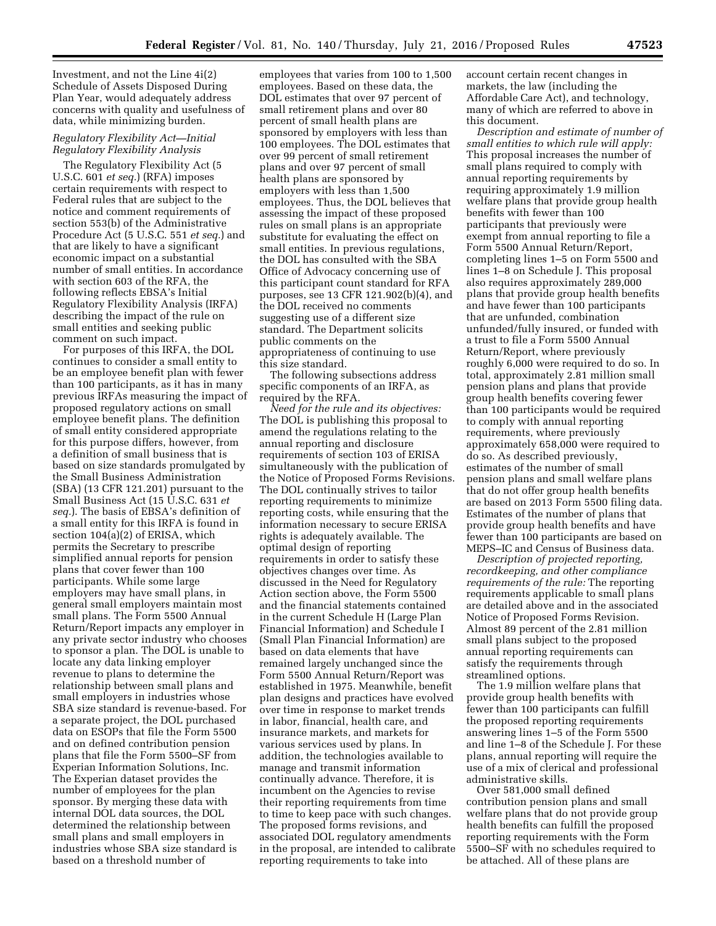Investment, and not the Line 4i(2) Schedule of Assets Disposed During Plan Year, would adequately address concerns with quality and usefulness of data, while minimizing burden.

# *Regulatory Flexibility Act—Initial Regulatory Flexibility Analysis*

The Regulatory Flexibility Act (5 U.S.C. 601 *et seq.*) (RFA) imposes certain requirements with respect to Federal rules that are subject to the notice and comment requirements of section 553(b) of the Administrative Procedure Act (5 U.S.C. 551 *et seq.*) and that are likely to have a significant economic impact on a substantial number of small entities. In accordance with section 603 of the RFA, the following reflects EBSA's Initial Regulatory Flexibility Analysis (IRFA) describing the impact of the rule on small entities and seeking public comment on such impact.

For purposes of this IRFA, the DOL continues to consider a small entity to be an employee benefit plan with fewer than 100 participants, as it has in many previous IRFAs measuring the impact of proposed regulatory actions on small employee benefit plans. The definition of small entity considered appropriate for this purpose differs, however, from a definition of small business that is based on size standards promulgated by the Small Business Administration (SBA) (13 CFR 121.201) pursuant to the Small Business Act (15 U.S.C. 631 *et seq.*). The basis of EBSA's definition of a small entity for this IRFA is found in section 104(a)(2) of ERISA, which permits the Secretary to prescribe simplified annual reports for pension plans that cover fewer than 100 participants. While some large employers may have small plans, in general small employers maintain most small plans. The Form 5500 Annual Return/Report impacts any employer in any private sector industry who chooses to sponsor a plan. The DOL is unable to locate any data linking employer revenue to plans to determine the relationship between small plans and small employers in industries whose SBA size standard is revenue-based. For a separate project, the DOL purchased data on ESOPs that file the Form 5500 and on defined contribution pension plans that file the Form 5500–SF from Experian Information Solutions, Inc. The Experian dataset provides the number of employees for the plan sponsor. By merging these data with internal DOL data sources, the DOL determined the relationship between small plans and small employers in industries whose SBA size standard is based on a threshold number of

employees that varies from 100 to 1,500 employees. Based on these data, the DOL estimates that over 97 percent of small retirement plans and over 80 percent of small health plans are sponsored by employers with less than 100 employees. The DOL estimates that over 99 percent of small retirement plans and over 97 percent of small health plans are sponsored by employers with less than 1,500 employees. Thus, the DOL believes that assessing the impact of these proposed rules on small plans is an appropriate substitute for evaluating the effect on small entities. In previous regulations, the DOL has consulted with the SBA Office of Advocacy concerning use of this participant count standard for RFA purposes, see 13 CFR 121.902(b)(4), and the DOL received no comments suggesting use of a different size standard. The Department solicits public comments on the appropriateness of continuing to use this size standard.

The following subsections address specific components of an IRFA, as required by the RFA.

*Need for the rule and its objectives:*  The DOL is publishing this proposal to amend the regulations relating to the annual reporting and disclosure requirements of section 103 of ERISA simultaneously with the publication of the Notice of Proposed Forms Revisions. The DOL continually strives to tailor reporting requirements to minimize reporting costs, while ensuring that the information necessary to secure ERISA rights is adequately available. The optimal design of reporting requirements in order to satisfy these objectives changes over time. As discussed in the Need for Regulatory Action section above, the Form 5500 and the financial statements contained in the current Schedule H (Large Plan Financial Information) and Schedule I (Small Plan Financial Information) are based on data elements that have remained largely unchanged since the Form 5500 Annual Return/Report was established in 1975. Meanwhile, benefit plan designs and practices have evolved over time in response to market trends in labor, financial, health care, and insurance markets, and markets for various services used by plans. In addition, the technologies available to manage and transmit information continually advance. Therefore, it is incumbent on the Agencies to revise their reporting requirements from time to time to keep pace with such changes. The proposed forms revisions, and associated DOL regulatory amendments in the proposal, are intended to calibrate reporting requirements to take into

account certain recent changes in markets, the law (including the Affordable Care Act), and technology, many of which are referred to above in this document.

*Description and estimate of number of small entities to which rule will apply:*  This proposal increases the number of small plans required to comply with annual reporting requirements by requiring approximately 1.9 million welfare plans that provide group health benefits with fewer than 100 participants that previously were exempt from annual reporting to file a Form 5500 Annual Return/Report, completing lines 1–5 on Form 5500 and lines 1–8 on Schedule J. This proposal also requires approximately 289,000 plans that provide group health benefits and have fewer than 100 participants that are unfunded, combination unfunded/fully insured, or funded with a trust to file a Form 5500 Annual Return/Report, where previously roughly 6,000 were required to do so. In total, approximately 2.81 million small pension plans and plans that provide group health benefits covering fewer than 100 participants would be required to comply with annual reporting requirements, where previously approximately 658,000 were required to do so. As described previously, estimates of the number of small pension plans and small welfare plans that do not offer group health benefits are based on 2013 Form 5500 filing data. Estimates of the number of plans that provide group health benefits and have fewer than 100 participants are based on MEPS–IC and Census of Business data.

*Description of projected reporting, recordkeeping, and other compliance requirements of the rule:* The reporting requirements applicable to small plans are detailed above and in the associated Notice of Proposed Forms Revision. Almost 89 percent of the 2.81 million small plans subject to the proposed annual reporting requirements can satisfy the requirements through streamlined options.

The 1.9 million welfare plans that provide group health benefits with fewer than 100 participants can fulfill the proposed reporting requirements answering lines 1–5 of the Form 5500 and line 1–8 of the Schedule J. For these plans, annual reporting will require the use of a mix of clerical and professional administrative skills.

Over 581,000 small defined contribution pension plans and small welfare plans that do not provide group health benefits can fulfill the proposed reporting requirements with the Form 5500–SF with no schedules required to be attached. All of these plans are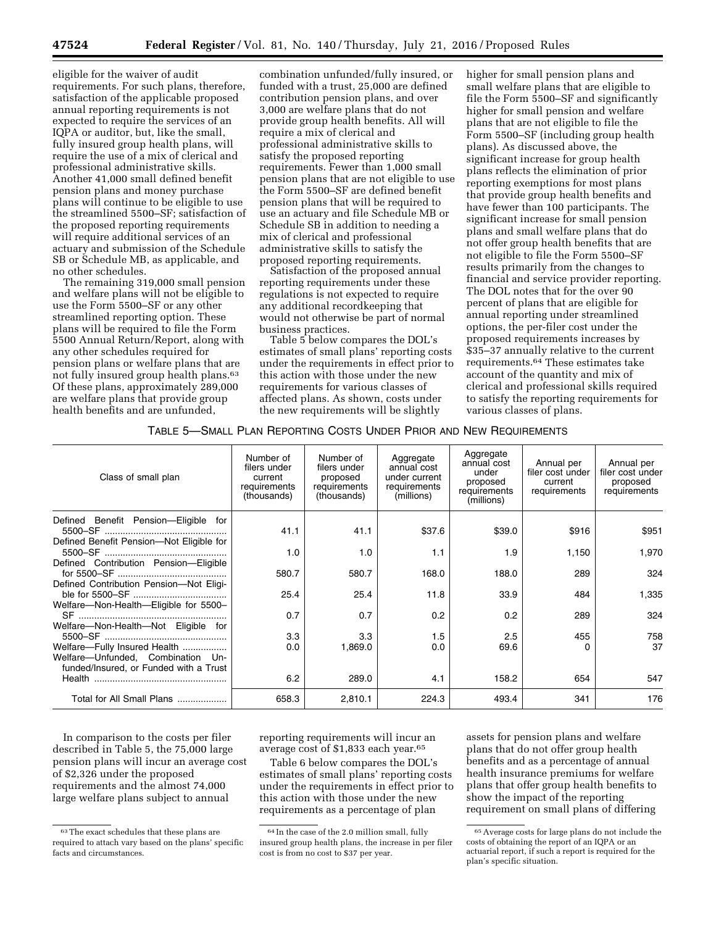eligible for the waiver of audit requirements. For such plans, therefore, satisfaction of the applicable proposed annual reporting requirements is not expected to require the services of an IQPA or auditor, but, like the small, fully insured group health plans, will require the use of a mix of clerical and professional administrative skills. Another 41,000 small defined benefit pension plans and money purchase plans will continue to be eligible to use the streamlined 5500–SF; satisfaction of the proposed reporting requirements will require additional services of an actuary and submission of the Schedule SB or Schedule MB, as applicable, and no other schedules.

The remaining 319,000 small pension and welfare plans will not be eligible to use the Form 5500–SF or any other streamlined reporting option. These plans will be required to file the Form 5500 Annual Return/Report, along with any other schedules required for pension plans or welfare plans that are not fully insured group health plans.<sup>63</sup> Of these plans, approximately 289,000 are welfare plans that provide group health benefits and are unfunded,

combination unfunded/fully insured, or funded with a trust, 25,000 are defined contribution pension plans, and over 3,000 are welfare plans that do not provide group health benefits. All will require a mix of clerical and professional administrative skills to satisfy the proposed reporting requirements. Fewer than 1,000 small pension plans that are not eligible to use the Form 5500–SF are defined benefit pension plans that will be required to use an actuary and file Schedule MB or Schedule SB in addition to needing a mix of clerical and professional administrative skills to satisfy the proposed reporting requirements.

Satisfaction of the proposed annual reporting requirements under these regulations is not expected to require any additional recordkeeping that would not otherwise be part of normal business practices.

Table 5 below compares the DOL's estimates of small plans' reporting costs under the requirements in effect prior to this action with those under the new requirements for various classes of affected plans. As shown, costs under the new requirements will be slightly

higher for small pension plans and small welfare plans that are eligible to file the Form 5500–SF and significantly higher for small pension and welfare plans that are not eligible to file the Form 5500–SF (including group health plans). As discussed above, the significant increase for group health plans reflects the elimination of prior reporting exemptions for most plans that provide group health benefits and have fewer than 100 participants. The significant increase for small pension plans and small welfare plans that do not offer group health benefits that are not eligible to file the Form 5500–SF results primarily from the changes to financial and service provider reporting. The DOL notes that for the over 90 percent of plans that are eligible for annual reporting under streamlined options, the per-filer cost under the proposed requirements increases by \$35–37 annually relative to the current requirements.64 These estimates take account of the quantity and mix of clerical and professional skills required to satisfy the reporting requirements for various classes of plans.

|  |  |  | TABLE 5-SMALL PLAN REPORTING COSTS UNDER PRIOR AND NEW REQUIREMENTS |
|--|--|--|---------------------------------------------------------------------|
|--|--|--|---------------------------------------------------------------------|

| Class of small plan                                               | Number of<br>filers under<br>current<br>requirements<br>(thousands) | Number of<br>filers under<br>proposed<br>requirements<br>(thousands) | Aggregate<br>annual cost<br>under current<br>requirements<br>(millions) | Aggregate<br>annual cost<br>under<br>proposed<br>requirements<br>(millions) | Annual per<br>filer cost under<br>current<br>requirements | Annual per<br>filer cost under<br>proposed<br>requirements |
|-------------------------------------------------------------------|---------------------------------------------------------------------|----------------------------------------------------------------------|-------------------------------------------------------------------------|-----------------------------------------------------------------------------|-----------------------------------------------------------|------------------------------------------------------------|
| Defined Benefit Pension-Eligible for                              | 41.1                                                                | 41.1                                                                 | \$37.6                                                                  | \$39.0                                                                      | \$916                                                     | \$951                                                      |
| Defined Benefit Pension-Not Eligible for                          | 1.0                                                                 | 1.0                                                                  | 1.1                                                                     | 1.9                                                                         | 1,150                                                     | 1,970                                                      |
| Defined Contribution Pension-Eligible                             | 580.7                                                               | 580.7                                                                | 168.0                                                                   | 188.0                                                                       | 289                                                       | 324                                                        |
| Defined Contribution Pension-Not Eligi-                           | 25.4                                                                | 25.4                                                                 | 11.8                                                                    | 33.9                                                                        | 484                                                       | 1,335                                                      |
| Welfare-Non-Health-Eligible for 5500-                             | 0.7                                                                 | 0.7                                                                  | 0.2                                                                     | 0.2                                                                         | 289                                                       | 324                                                        |
| Welfare-Non-Health-Not Eligible for                               | 3.3                                                                 | 3.3                                                                  | 1.5                                                                     | 2.5                                                                         | 455                                                       | 758                                                        |
| Welfare-Fully Insured Health<br>Welfare-Unfunded, Combination Un- | 0.0                                                                 | 1,869.0                                                              | 0.0                                                                     | 69.6                                                                        | <sup>0</sup>                                              | 37                                                         |
| funded/Insured, or Funded with a Trust                            | 6.2                                                                 | 289.0                                                                | 4.1                                                                     | 158.2                                                                       | 654                                                       | 547                                                        |
| Total for All Small Plans                                         | 658.3                                                               | 2,810.1                                                              | 224.3                                                                   | 493.4                                                                       | 341                                                       | 176                                                        |

In comparison to the costs per filer described in Table 5, the 75,000 large pension plans will incur an average cost of \$2,326 under the proposed requirements and the almost 74,000 large welfare plans subject to annual

reporting requirements will incur an average cost of \$1,833 each year.65

Table 6 below compares the DOL's estimates of small plans' reporting costs under the requirements in effect prior to this action with those under the new requirements as a percentage of plan

assets for pension plans and welfare plans that do not offer group health benefits and as a percentage of annual health insurance premiums for welfare plans that offer group health benefits to show the impact of the reporting requirement on small plans of differing

<sup>63</sup>The exact schedules that these plans are required to attach vary based on the plans' specific facts and circumstances.

<sup>64</sup> In the case of the 2.0 million small, fully insured group health plans, the increase in per filer cost is from no cost to \$37 per year.

<sup>65</sup>Average costs for large plans do not include the costs of obtaining the report of an IQPA or an actuarial report, if such a report is required for the plan's specific situation.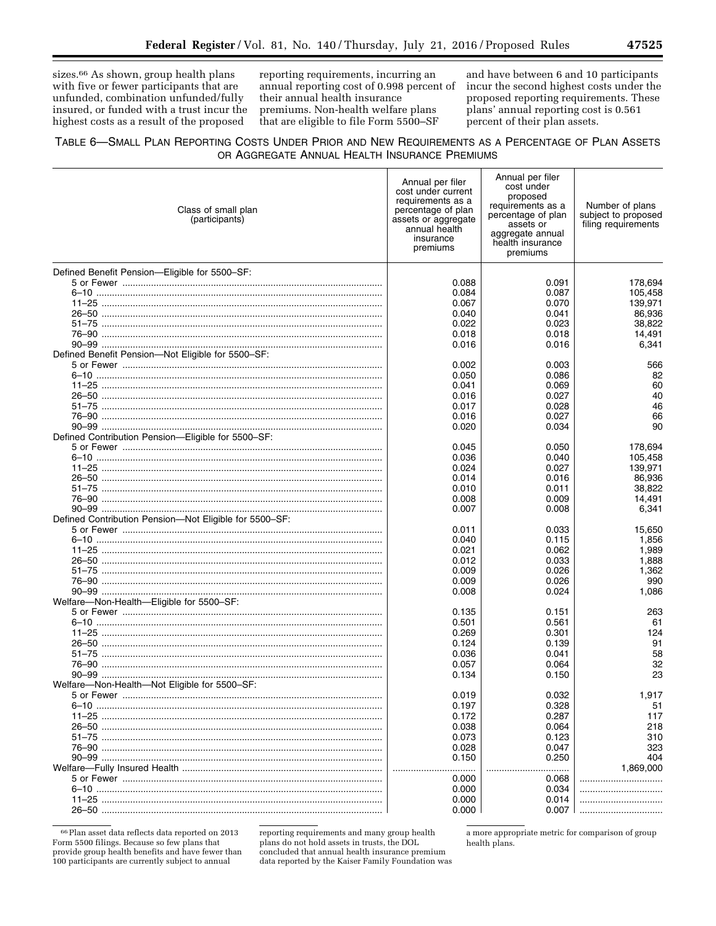sizes.66 As shown, group health plans with five or fewer participants that are unfunded, combination unfunded/fully insured, or funded with a trust incur the highest costs as a result of the proposed

reporting requirements, incurring an annual reporting cost of 0.998 percent of their annual health insurance premiums. Non-health welfare plans that are eligible to file Form 5500–SF

and have between 6 and 10 participants incur the second highest costs under the proposed reporting requirements. These plans' annual reporting cost is 0.561 percent of their plan assets.

# TABLE 6—SMALL PLAN REPORTING COSTS UNDER PRIOR AND NEW REQUIREMENTS AS A PERCENTAGE OF PLAN ASSETS OR AGGREGATE ANNUAL HEALTH INSURANCE PREMIUMS

| Class of small plan<br>(participants)                  | Annual per filer<br>cost under current<br>requirements as a<br>percentage of plan<br>assets or aggregate<br>annual health<br>insurance<br>premiums | Annual per filer<br>cost under<br>proposed<br>requirements as a<br>percentage of plan<br>assets or<br>aggregate annual<br>health insurance<br>premiums | Number of plans<br>subject to proposed<br>filing requirements |
|--------------------------------------------------------|----------------------------------------------------------------------------------------------------------------------------------------------------|--------------------------------------------------------------------------------------------------------------------------------------------------------|---------------------------------------------------------------|
| Defined Benefit Pension-Eligible for 5500-SF:          |                                                                                                                                                    |                                                                                                                                                        |                                                               |
|                                                        | 0.088                                                                                                                                              | 0.091                                                                                                                                                  | 178,694                                                       |
|                                                        | 0.084                                                                                                                                              | 0.087                                                                                                                                                  | 105.458                                                       |
|                                                        | 0.067                                                                                                                                              | 0.070                                                                                                                                                  | 139,971                                                       |
|                                                        | 0.040                                                                                                                                              | 0.041                                                                                                                                                  | 86,936                                                        |
|                                                        | 0.022                                                                                                                                              | 0.023                                                                                                                                                  | 38,822                                                        |
|                                                        | 0.018                                                                                                                                              | 0.018                                                                                                                                                  | 14,491                                                        |
|                                                        | 0.016                                                                                                                                              | 0.016                                                                                                                                                  | 6,341                                                         |
| Defined Benefit Pension-Not Eligible for 5500-SF:      |                                                                                                                                                    |                                                                                                                                                        |                                                               |
|                                                        | 0.002                                                                                                                                              | 0.003                                                                                                                                                  | 566                                                           |
|                                                        | 0.050                                                                                                                                              | 0.086                                                                                                                                                  | 82                                                            |
|                                                        | 0.041                                                                                                                                              | 0.069                                                                                                                                                  | 60                                                            |
|                                                        | 0.016                                                                                                                                              | 0.027                                                                                                                                                  | 40                                                            |
|                                                        | 0.017                                                                                                                                              | 0.028                                                                                                                                                  | 46                                                            |
|                                                        | 0.016                                                                                                                                              | 0.027                                                                                                                                                  | 66                                                            |
|                                                        | 0.020                                                                                                                                              | 0.034                                                                                                                                                  | 90                                                            |
| Defined Contribution Pension-Eligible for 5500-SF:     |                                                                                                                                                    |                                                                                                                                                        |                                                               |
|                                                        | 0.045                                                                                                                                              | 0.050                                                                                                                                                  | 178,694                                                       |
|                                                        | 0.036                                                                                                                                              | 0.040                                                                                                                                                  | 105,458                                                       |
|                                                        | 0.024                                                                                                                                              | 0.027                                                                                                                                                  | 139,971                                                       |
|                                                        | 0.014                                                                                                                                              | 0.016                                                                                                                                                  | 86,936                                                        |
|                                                        | 0.010                                                                                                                                              | 0.011                                                                                                                                                  | 38,822                                                        |
|                                                        | 0.008                                                                                                                                              | 0.009                                                                                                                                                  | 14,491                                                        |
|                                                        | 0.007                                                                                                                                              | 0.008                                                                                                                                                  | 6,341                                                         |
| Defined Contribution Pension-Not Eligible for 5500-SF: |                                                                                                                                                    |                                                                                                                                                        |                                                               |
|                                                        | 0.011                                                                                                                                              | 0.033                                                                                                                                                  | 15,650                                                        |
|                                                        | 0.040                                                                                                                                              | 0.115                                                                                                                                                  | 1,856                                                         |
|                                                        | 0.021                                                                                                                                              | 0.062                                                                                                                                                  | 1,989                                                         |
|                                                        | 0.012                                                                                                                                              | 0.033                                                                                                                                                  | 1,888                                                         |
|                                                        | 0.009                                                                                                                                              | 0.026                                                                                                                                                  | 1,362                                                         |
|                                                        | 0.009                                                                                                                                              | 0.026                                                                                                                                                  | 990                                                           |
|                                                        | 0.008                                                                                                                                              | 0.024                                                                                                                                                  | 1,086                                                         |
| Welfare-Non-Health-Eligible for 5500-SF:               |                                                                                                                                                    |                                                                                                                                                        |                                                               |
|                                                        | 0.135                                                                                                                                              | 0.151                                                                                                                                                  | 263                                                           |
|                                                        | 0.501                                                                                                                                              | 0.561                                                                                                                                                  | 61                                                            |
|                                                        | 0.269                                                                                                                                              | 0.301                                                                                                                                                  | 124                                                           |
|                                                        | 0.124                                                                                                                                              | 0.139                                                                                                                                                  | 91                                                            |
|                                                        | 0.036                                                                                                                                              | 0.041                                                                                                                                                  | 58                                                            |
|                                                        | 0.057                                                                                                                                              | 0.064                                                                                                                                                  | 32                                                            |
|                                                        | 0.134                                                                                                                                              | 0.150                                                                                                                                                  | 23                                                            |
| Welfare-Non-Health-Not Eligible for 5500-SF:           |                                                                                                                                                    |                                                                                                                                                        |                                                               |
| 5 or Fewer ………………………………………………………………………………………           | 0.019                                                                                                                                              | 0.032                                                                                                                                                  | 1,917                                                         |
|                                                        | 0.197                                                                                                                                              | 0.328                                                                                                                                                  | 51                                                            |
|                                                        | 0.172                                                                                                                                              | 0.287                                                                                                                                                  | 117                                                           |
|                                                        | 0.038                                                                                                                                              | 0.064                                                                                                                                                  | 218                                                           |
|                                                        | 0.073                                                                                                                                              | 0.123                                                                                                                                                  | 310                                                           |
|                                                        | 0.028                                                                                                                                              | 0.047                                                                                                                                                  | 323                                                           |
|                                                        | 0.150                                                                                                                                              | 0.250                                                                                                                                                  | 404                                                           |
|                                                        |                                                                                                                                                    | .                                                                                                                                                      | 1,869,000                                                     |
|                                                        | 0.000                                                                                                                                              | 0.068                                                                                                                                                  |                                                               |
|                                                        | 0.000                                                                                                                                              | 0.034                                                                                                                                                  |                                                               |
|                                                        | 0.000                                                                                                                                              | 0.014                                                                                                                                                  |                                                               |
|                                                        | 0.000                                                                                                                                              | 0.007                                                                                                                                                  | .                                                             |

66Plan asset data reflects data reported on 2013 Form 5500 filings. Because so few plans that provide group health benefits and have fewer than 100 participants are currently subject to annual

reporting requirements and many group health plans do not hold assets in trusts, the DOL concluded that annual health insurance premium data reported by the Kaiser Family Foundation was

a more appropriate metric for comparison of group health plans.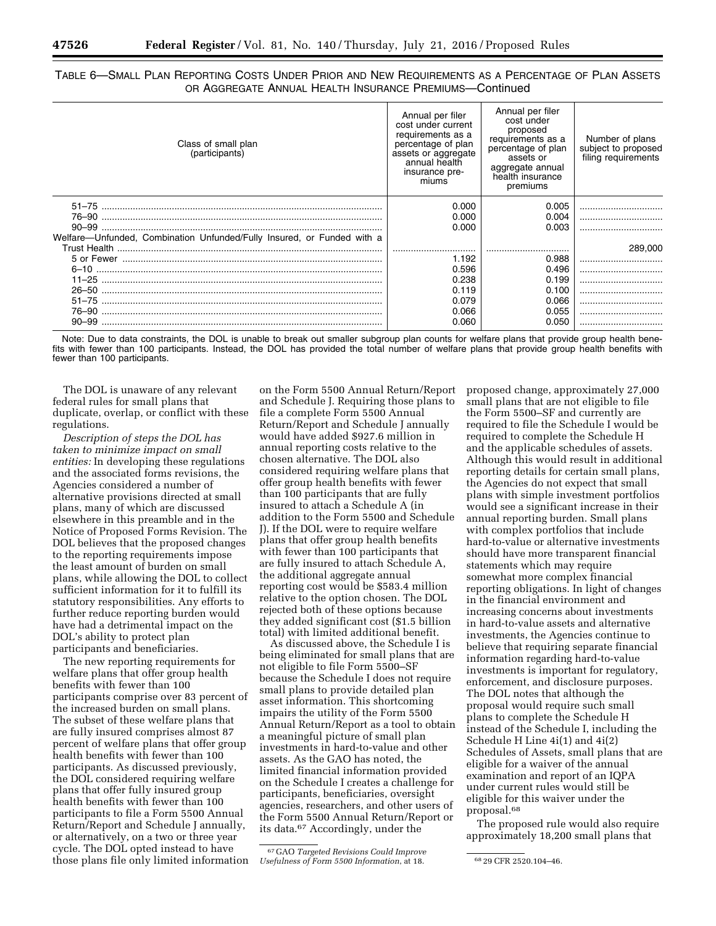| Table 6—Small Plan Reporting Costs Under Prior and New Requirements as a Percentage of Plan Assets |                                                         |  |
|----------------------------------------------------------------------------------------------------|---------------------------------------------------------|--|
|                                                                                                    | OR AGGREGATE ANNUAL HEALTH INSURANCE PREMIUMS-Continued |  |

| Class of small plan<br>(participants)                                  | Annual per filer<br>cost under current<br>requirements as a<br>percentage of plan<br>assets or aggregate<br>annual health<br>insurance pre-<br>miums | Annual per filer<br>cost under<br>proposed<br>requirements as a<br>percentage of plan<br>assets or<br>aggregate annual<br>health insurance<br>premiums | Number of plans<br>subject to proposed<br>filing requirements |
|------------------------------------------------------------------------|------------------------------------------------------------------------------------------------------------------------------------------------------|--------------------------------------------------------------------------------------------------------------------------------------------------------|---------------------------------------------------------------|
|                                                                        | 0.000                                                                                                                                                | 0.005                                                                                                                                                  |                                                               |
|                                                                        | 0.000                                                                                                                                                | 0.004                                                                                                                                                  |                                                               |
|                                                                        | 0.000                                                                                                                                                | 0.003                                                                                                                                                  |                                                               |
| Welfare—Unfunded, Combination Unfunded/Fully Insured, or Funded with a |                                                                                                                                                      |                                                                                                                                                        |                                                               |
|                                                                        |                                                                                                                                                      |                                                                                                                                                        | 289,000                                                       |
|                                                                        | 1.192                                                                                                                                                | 0.988                                                                                                                                                  |                                                               |
| 6–10                                                                   | 0.596                                                                                                                                                | 0.496                                                                                                                                                  |                                                               |
|                                                                        | 0.238                                                                                                                                                | 0.199                                                                                                                                                  |                                                               |
|                                                                        | 0.119                                                                                                                                                | 0.100                                                                                                                                                  |                                                               |
|                                                                        | 0.079                                                                                                                                                | 0.066                                                                                                                                                  |                                                               |
|                                                                        | 0.066                                                                                                                                                | 0.055                                                                                                                                                  |                                                               |
| $90 - 99$                                                              | 0.060                                                                                                                                                | 0.050                                                                                                                                                  |                                                               |
|                                                                        |                                                                                                                                                      |                                                                                                                                                        |                                                               |

Note: Due to data constraints, the DOL is unable to break out smaller subgroup plan counts for welfare plans that provide group health benefits with fewer than 100 participants. Instead, the DOL has provided the total number of welfare plans that provide group health benefits with fewer than 100 participants.

The DOL is unaware of any relevant federal rules for small plans that duplicate, overlap, or conflict with these regulations.

*Description of steps the DOL has taken to minimize impact on small entities:* In developing these regulations and the associated forms revisions, the Agencies considered a number of alternative provisions directed at small plans, many of which are discussed elsewhere in this preamble and in the Notice of Proposed Forms Revision. The DOL believes that the proposed changes to the reporting requirements impose the least amount of burden on small plans, while allowing the DOL to collect sufficient information for it to fulfill its statutory responsibilities. Any efforts to further reduce reporting burden would have had a detrimental impact on the DOL's ability to protect plan participants and beneficiaries.

The new reporting requirements for welfare plans that offer group health benefits with fewer than 100 participants comprise over 83 percent of the increased burden on small plans. The subset of these welfare plans that are fully insured comprises almost 87 percent of welfare plans that offer group health benefits with fewer than 100 participants. As discussed previously, the DOL considered requiring welfare plans that offer fully insured group health benefits with fewer than 100 participants to file a Form 5500 Annual Return/Report and Schedule J annually, or alternatively, on a two or three year cycle. The DOL opted instead to have those plans file only limited information

on the Form 5500 Annual Return/Report and Schedule J. Requiring those plans to file a complete Form 5500 Annual Return/Report and Schedule J annually would have added \$927.6 million in annual reporting costs relative to the chosen alternative. The DOL also considered requiring welfare plans that offer group health benefits with fewer than 100 participants that are fully insured to attach a Schedule A (in addition to the Form 5500 and Schedule J). If the DOL were to require welfare plans that offer group health benefits with fewer than 100 participants that are fully insured to attach Schedule A, the additional aggregate annual reporting cost would be \$583.4 million relative to the option chosen. The DOL rejected both of these options because they added significant cost (\$1.5 billion total) with limited additional benefit.

As discussed above, the Schedule I is being eliminated for small plans that are not eligible to file Form 5500–SF because the Schedule I does not require small plans to provide detailed plan asset information. This shortcoming impairs the utility of the Form 5500 Annual Return/Report as a tool to obtain a meaningful picture of small plan investments in hard-to-value and other assets. As the GAO has noted, the limited financial information provided on the Schedule I creates a challenge for participants, beneficiaries, oversight agencies, researchers, and other users of the Form 5500 Annual Return/Report or its data.67 Accordingly, under the

67 GAO *Targeted Revisions Could Improve Usefulness of Form 5500 Information*, at 18. 68 29 CFR 2520.104–46.

proposed change, approximately 27,000 small plans that are not eligible to file the Form 5500–SF and currently are required to file the Schedule I would be required to complete the Schedule H and the applicable schedules of assets. Although this would result in additional reporting details for certain small plans, the Agencies do not expect that small plans with simple investment portfolios would see a significant increase in their annual reporting burden. Small plans with complex portfolios that include hard-to-value or alternative investments should have more transparent financial statements which may require somewhat more complex financial reporting obligations. In light of changes in the financial environment and increasing concerns about investments in hard-to-value assets and alternative investments, the Agencies continue to believe that requiring separate financial information regarding hard-to-value investments is important for regulatory, enforcement, and disclosure purposes. The DOL notes that although the proposal would require such small plans to complete the Schedule H instead of the Schedule I, including the Schedule H Line 4i(1) and 4i(2) Schedules of Assets, small plans that are eligible for a waiver of the annual examination and report of an IQPA under current rules would still be eligible for this waiver under the proposal.68

The proposed rule would also require approximately 18,200 small plans that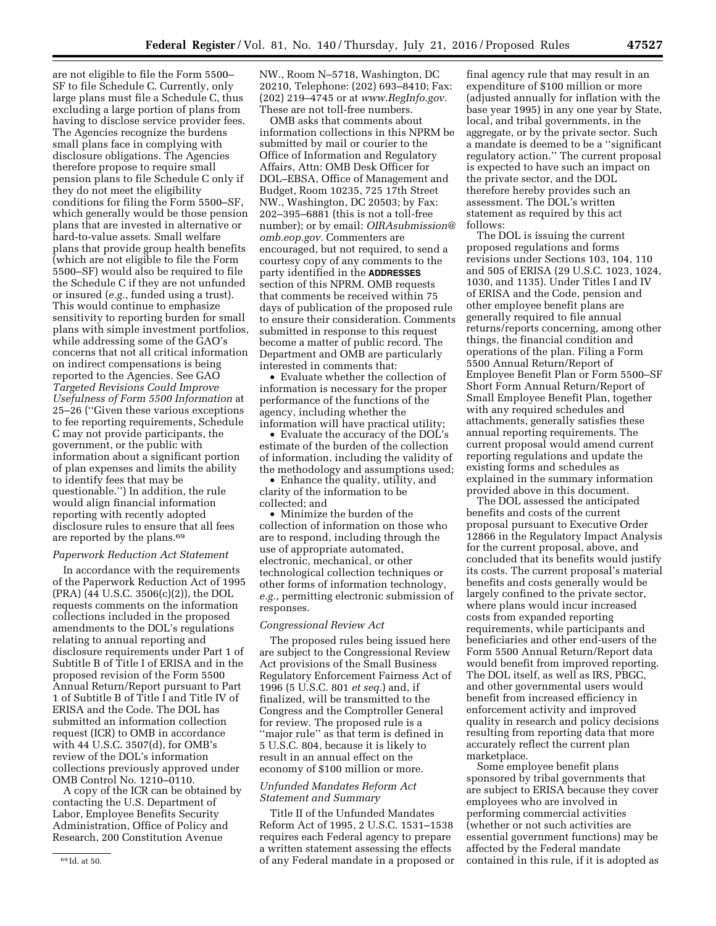are not eligible to file the Form 5500– SF to file Schedule C. Currently, only large plans must file a Schedule C, thus excluding a large portion of plans from having to disclose service provider fees. The Agencies recognize the burdens small plans face in complying with disclosure obligations. The Agencies therefore propose to require small pension plans to file Schedule C only if they do not meet the eligibility conditions for filing the Form 5500–SF, which generally would be those pension plans that are invested in alternative or hard-to-value assets. Small welfare plans that provide group health benefits (which are not eligible to file the Form 5500–SF) would also be required to file the Schedule C if they are not unfunded or insured (*e.g.*, funded using a trust). This would continue to emphasize sensitivity to reporting burden for small plans with simple investment portfolios, while addressing some of the GAO's concerns that not all critical information on indirect compensations is being reported to the Agencies. See GAO *Targeted Revisions Could Improve Usefulness of Form 5500 Information* at 25–26 (''Given these various exceptions to fee reporting requirements, Schedule C may not provide participants, the government, or the public with information about a significant portion of plan expenses and limits the ability to identify fees that may be questionable.'') In addition, the rule would align financial information reporting with recently adopted disclosure rules to ensure that all fees are reported by the plans.69

# *Paperwork Reduction Act Statement*

In accordance with the requirements of the Paperwork Reduction Act of 1995 (PRA) (44 U.S.C. 3506(c)(2)), the DOL requests comments on the information collections included in the proposed amendments to the DOL's regulations relating to annual reporting and disclosure requirements under Part 1 of Subtitle B of Title I of ERISA and in the proposed revision of the Form 5500 Annual Return/Report pursuant to Part 1 of Subtitle B of Title I and Title IV of ERISA and the Code. The DOL has submitted an information collection request (ICR) to OMB in accordance with 44 U.S.C. 3507(d), for OMB's review of the DOL's information collections previously approved under OMB Control No. 1210–0110.

A copy of the ICR can be obtained by contacting the U.S. Department of Labor, Employee Benefits Security Administration, Office of Policy and Research, 200 Constitution Avenue

NW., Room N–5718, Washington, DC 20210, Telephone: (202) 693–8410; Fax: (202) 219–4745 or at *[www.RegInfo.gov.](http://www.RegInfo.gov)*  These are not toll-free numbers.

OMB asks that comments about information collections in this NPRM be submitted by mail or courier to the Office of Information and Regulatory Affairs, Attn: OMB Desk Officer for DOL–EBSA, Office of Management and Budget, Room 10235, 725 17th Street NW., Washington, DC 20503; by Fax: 202–395–6881 (this is not a toll-free number); or by email: *[OIRAsubmission@](mailto:OIRAsubmission@omb.eop.gov) [omb.eop.gov.](mailto:OIRAsubmission@omb.eop.gov)* Commenters are encouraged, but not required, to send a courtesy copy of any comments to the party identified in the **ADDRESSES** section of this NPRM. OMB requests that comments be received within 75 days of publication of the proposed rule to ensure their consideration. Comments submitted in response to this request become a matter of public record. The Department and OMB are particularly interested in comments that:

• Evaluate whether the collection of information is necessary for the proper performance of the functions of the agency, including whether the information will have practical utility;

• Evaluate the accuracy of the DOL's estimate of the burden of the collection of information, including the validity of the methodology and assumptions used;

• Enhance the quality, utility, and clarity of the information to be collected; and

• Minimize the burden of the collection of information on those who are to respond, including through the use of appropriate automated, electronic, mechanical, or other technological collection techniques or other forms of information technology, *e.g.*, permitting electronic submission of responses.

#### *Congressional Review Act*

The proposed rules being issued here are subject to the Congressional Review Act provisions of the Small Business Regulatory Enforcement Fairness Act of 1996 (5 U.S.C. 801 *et seq.*) and, if finalized, will be transmitted to the Congress and the Comptroller General for review. The proposed rule is a ''major rule'' as that term is defined in 5 U.S.C. 804, because it is likely to result in an annual effect on the economy of \$100 million or more.

# *Unfunded Mandates Reform Act Statement and Summary*

Title II of the Unfunded Mandates Reform Act of 1995, 2 U.S.C. 1531–1538 requires each Federal agency to prepare a written statement assessing the effects of any Federal mandate in a proposed or

final agency rule that may result in an expenditure of \$100 million or more (adjusted annually for inflation with the base year 1995) in any one year by State, local, and tribal governments, in the aggregate, or by the private sector. Such a mandate is deemed to be a ''significant regulatory action.'' The current proposal is expected to have such an impact on the private sector, and the DOL therefore hereby provides such an assessment. The DOL's written statement as required by this act follows:

The DOL is issuing the current proposed regulations and forms revisions under Sections 103, 104, 110 and 505 of ERISA (29 U.S.C. 1023, 1024, 1030, and 1135). Under Titles I and IV of ERISA and the Code, pension and other employee benefit plans are generally required to file annual returns/reports concerning, among other things, the financial condition and operations of the plan. Filing a Form 5500 Annual Return/Report of Employee Benefit Plan or Form 5500–SF Short Form Annual Return/Report of Small Employee Benefit Plan, together with any required schedules and attachments, generally satisfies these annual reporting requirements. The current proposal would amend current reporting regulations and update the existing forms and schedules as explained in the summary information provided above in this document.

The DOL assessed the anticipated benefits and costs of the current proposal pursuant to Executive Order 12866 in the Regulatory Impact Analysis for the current proposal, above, and concluded that its benefits would justify its costs. The current proposal's material benefits and costs generally would be largely confined to the private sector, where plans would incur increased costs from expanded reporting requirements, while participants and beneficiaries and other end-users of the Form 5500 Annual Return/Report data would benefit from improved reporting. The DOL itself, as well as IRS, PBGC, and other governmental users would benefit from increased efficiency in enforcement activity and improved quality in research and policy decisions resulting from reporting data that more accurately reflect the current plan marketplace.

Some employee benefit plans sponsored by tribal governments that are subject to ERISA because they cover employees who are involved in performing commercial activities (whether or not such activities are essential government functions) may be affected by the Federal mandate contained in this rule, if it is adopted as

<sup>69</sup> Id. at 50.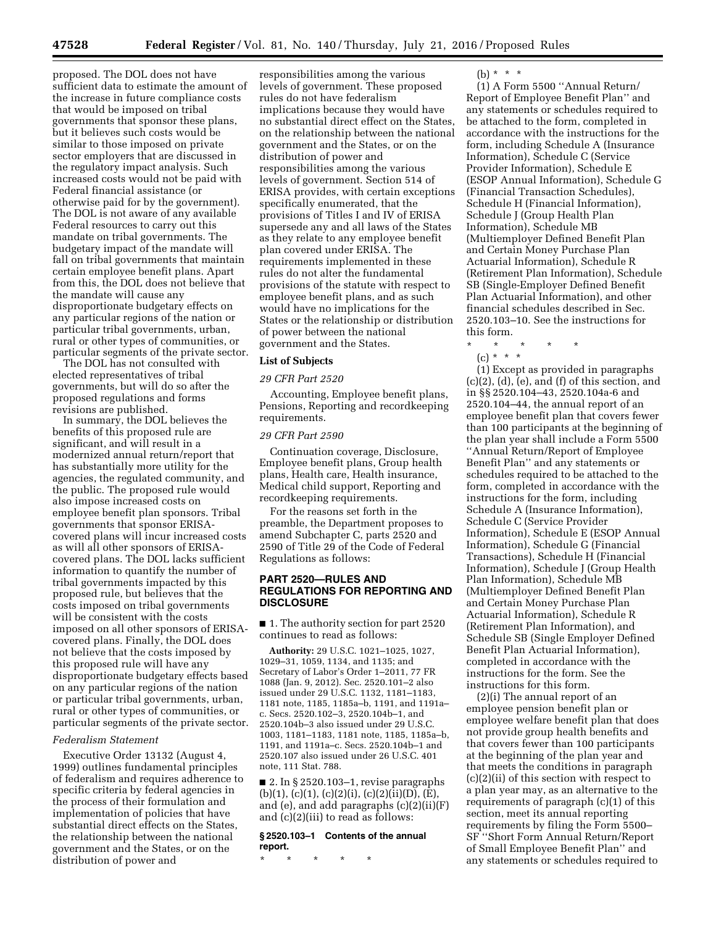proposed. The DOL does not have sufficient data to estimate the amount of the increase in future compliance costs that would be imposed on tribal governments that sponsor these plans, but it believes such costs would be similar to those imposed on private sector employers that are discussed in the regulatory impact analysis. Such increased costs would not be paid with Federal financial assistance (or otherwise paid for by the government). The DOL is not aware of any available Federal resources to carry out this mandate on tribal governments. The budgetary impact of the mandate will fall on tribal governments that maintain certain employee benefit plans. Apart from this, the DOL does not believe that the mandate will cause any disproportionate budgetary effects on any particular regions of the nation or particular tribal governments, urban, rural or other types of communities, or particular segments of the private sector.

The DOL has not consulted with elected representatives of tribal governments, but will do so after the proposed regulations and forms revisions are published.

In summary, the DOL believes the benefits of this proposed rule are significant, and will result in a modernized annual return/report that has substantially more utility for the agencies, the regulated community, and the public. The proposed rule would also impose increased costs on employee benefit plan sponsors. Tribal governments that sponsor ERISAcovered plans will incur increased costs as will all other sponsors of ERISAcovered plans. The DOL lacks sufficient information to quantify the number of tribal governments impacted by this proposed rule, but believes that the costs imposed on tribal governments will be consistent with the costs imposed on all other sponsors of ERISAcovered plans. Finally, the DOL does not believe that the costs imposed by this proposed rule will have any disproportionate budgetary effects based on any particular regions of the nation or particular tribal governments, urban, rural or other types of communities, or particular segments of the private sector.

#### *Federalism Statement*

Executive Order 13132 (August 4, 1999) outlines fundamental principles of federalism and requires adherence to specific criteria by federal agencies in the process of their formulation and implementation of policies that have substantial direct effects on the States, the relationship between the national government and the States, or on the distribution of power and

responsibilities among the various levels of government. These proposed rules do not have federalism implications because they would have no substantial direct effect on the States, on the relationship between the national government and the States, or on the distribution of power and responsibilities among the various levels of government. Section 514 of ERISA provides, with certain exceptions specifically enumerated, that the provisions of Titles I and IV of ERISA supersede any and all laws of the States as they relate to any employee benefit plan covered under ERISA. The requirements implemented in these rules do not alter the fundamental provisions of the statute with respect to employee benefit plans, and as such would have no implications for the States or the relationship or distribution of power between the national government and the States.

#### **List of Subjects**

#### *29 CFR Part 2520*

Accounting, Employee benefit plans, Pensions, Reporting and recordkeeping requirements.

# *29 CFR Part 2590*

Continuation coverage, Disclosure, Employee benefit plans, Group health plans, Health care, Health insurance, Medical child support, Reporting and recordkeeping requirements.

For the reasons set forth in the preamble, the Department proposes to amend Subchapter C, parts 2520 and 2590 of Title 29 of the Code of Federal Regulations as follows:

# **PART 2520—RULES AND REGULATIONS FOR REPORTING AND DISCLOSURE**

■ 1. The authority section for part 2520 continues to read as follows:

**Authority:** 29 U.S.C. 1021–1025, 1027, 1029–31, 1059, 1134, and 1135; and Secretary of Labor's Order 1–2011, 77 FR 1088 (Jan. 9, 2012). Sec. 2520.101–2 also issued under 29 U.S.C. 1132, 1181–1183, 1181 note, 1185, 1185a–b, 1191, and 1191a– c. Secs. 2520.102–3, 2520.104b–1, and 2520.104b–3 also issued under 29 U.S.C. 1003, 1181–1183, 1181 note, 1185, 1185a–b, 1191, and 1191a–c. Secs. 2520.104b–1 and 2520.107 also issued under 26 U.S.C. 401 note, 111 Stat. 788.

 $\blacksquare$  2. In § 2520.103-1, revise paragraphs  $(b)(1), (c)(1), (c)(2)(i), (c)(2)(ii)(D), (E),$ and (e), and add paragraphs (c)(2)(ii)(F) and (c)(2)(iii) to read as follows:

#### **§ 2520.103–1 Contents of the annual report.**

\* \* \* \* \*

(b)  $* * * *$ 

(1) A Form 5500 ''Annual Return/ Report of Employee Benefit Plan'' and any statements or schedules required to be attached to the form, completed in accordance with the instructions for the form, including Schedule A (Insurance Information), Schedule C (Service Provider Information), Schedule E (ESOP Annual Information), Schedule G (Financial Transaction Schedules), Schedule H (Financial Information), Schedule J (Group Health Plan Information), Schedule MB (Multiemployer Defined Benefit Plan and Certain Money Purchase Plan Actuarial Information), Schedule R (Retirement Plan Information), Schedule SB (Single-Employer Defined Benefit Plan Actuarial Information), and other financial schedules described in Sec. 2520.103–10. See the instructions for this form.

\* \* \* \* \*

(c) \* \* \*

(1) Except as provided in paragraphs (c)(2), (d), (e), and (f) of this section, and in §§ 2520.104–43, 2520.104a-6 and 2520.104–44, the annual report of an employee benefit plan that covers fewer than 100 participants at the beginning of the plan year shall include a Form 5500 ''Annual Return/Report of Employee Benefit Plan'' and any statements or schedules required to be attached to the form, completed in accordance with the instructions for the form, including Schedule A (Insurance Information), Schedule C (Service Provider Information), Schedule E (ESOP Annual Information), Schedule G (Financial Transactions), Schedule H (Financial Information), Schedule J (Group Health Plan Information), Schedule MB (Multiemployer Defined Benefit Plan and Certain Money Purchase Plan Actuarial Information), Schedule R (Retirement Plan Information), and Schedule SB (Single Employer Defined Benefit Plan Actuarial Information), completed in accordance with the instructions for the form. See the instructions for this form.

(2)(i) The annual report of an employee pension benefit plan or employee welfare benefit plan that does not provide group health benefits and that covers fewer than 100 participants at the beginning of the plan year and that meets the conditions in paragraph (c)(2)(ii) of this section with respect to a plan year may, as an alternative to the requirements of paragraph (c)(1) of this section, meet its annual reporting requirements by filing the Form 5500– SF ''Short Form Annual Return/Report of Small Employee Benefit Plan'' and any statements or schedules required to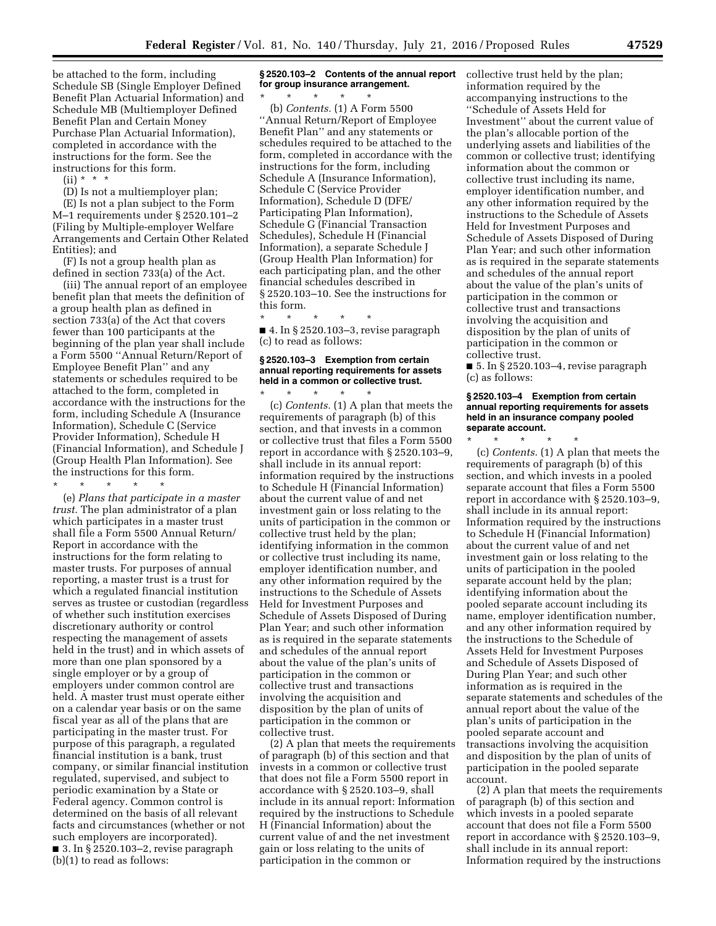be attached to the form, including Schedule SB (Single Employer Defined Benefit Plan Actuarial Information) and Schedule MB (Multiemployer Defined Benefit Plan and Certain Money Purchase Plan Actuarial Information), completed in accordance with the instructions for the form. See the instructions for this form.

 $(ii) * * * *$ 

(D) Is not a multiemployer plan;

(E) Is not a plan subject to the Form M–1 requirements under § 2520.101–2 (Filing by Multiple-employer Welfare Arrangements and Certain Other Related Entities); and

(F) Is not a group health plan as defined in section 733(a) of the Act.

(iii) The annual report of an employee benefit plan that meets the definition of a group health plan as defined in section 733(a) of the Act that covers fewer than 100 participants at the beginning of the plan year shall include a Form 5500 ''Annual Return/Report of Employee Benefit Plan'' and any statements or schedules required to be attached to the form, completed in accordance with the instructions for the form, including Schedule A (Insurance Information), Schedule C (Service Provider Information), Schedule H (Financial Information), and Schedule J (Group Health Plan Information). See the instructions for this form.

\* \* \* \* \* (e) *Plans that participate in a master trust.* The plan administrator of a plan which participates in a master trust shall file a Form 5500 Annual Return/ Report in accordance with the instructions for the form relating to master trusts. For purposes of annual reporting, a master trust is a trust for which a regulated financial institution serves as trustee or custodian (regardless of whether such institution exercises discretionary authority or control respecting the management of assets held in the trust) and in which assets of more than one plan sponsored by a single employer or by a group of employers under common control are held. A master trust must operate either on a calendar year basis or on the same fiscal year as all of the plans that are participating in the master trust. For purpose of this paragraph, a regulated financial institution is a bank, trust company, or similar financial institution regulated, supervised, and subject to periodic examination by a State or Federal agency. Common control is determined on the basis of all relevant facts and circumstances (whether or not such employers are incorporated). ■ 3. In § 2520.103–2, revise paragraph (b)(1) to read as follows:

# **§ 2520.103–2 Contents of the annual report for group insurance arrangement.**

\* \* \* \* \* (b) *Contents.* (1) A Form 5500 ''Annual Return/Report of Employee Benefit Plan'' and any statements or schedules required to be attached to the form, completed in accordance with the instructions for the form, including Schedule A (Insurance Information), Schedule C (Service Provider Information), Schedule D (DFE/ Participating Plan Information), Schedule G (Financial Transaction Schedules), Schedule H (Financial Information), a separate Schedule J (Group Health Plan Information) for each participating plan, and the other financial schedules described in § 2520.103–10. See the instructions for this form.

\* \* \* \* \*  $\blacksquare$  4. In § 2520.103–3, revise paragraph (c) to read as follows:

## **§ 2520.103–3 Exemption from certain annual reporting requirements for assets held in a common or collective trust.**

\* \* \* \* \* (c) *Contents.* (1) A plan that meets the requirements of paragraph (b) of this section, and that invests in a common or collective trust that files a Form 5500 report in accordance with § 2520.103–9, shall include in its annual report: information required by the instructions to Schedule H (Financial Information) about the current value of and net investment gain or loss relating to the units of participation in the common or collective trust held by the plan; identifying information in the common or collective trust including its name, employer identification number, and any other information required by the instructions to the Schedule of Assets Held for Investment Purposes and Schedule of Assets Disposed of During Plan Year; and such other information as is required in the separate statements and schedules of the annual report about the value of the plan's units of participation in the common or collective trust and transactions involving the acquisition and disposition by the plan of units of participation in the common or collective trust.

(2) A plan that meets the requirements of paragraph (b) of this section and that invests in a common or collective trust that does not file a Form 5500 report in accordance with § 2520.103–9, shall include in its annual report: Information required by the instructions to Schedule H (Financial Information) about the current value of and the net investment gain or loss relating to the units of participation in the common or

collective trust held by the plan; information required by the accompanying instructions to the ''Schedule of Assets Held for Investment'' about the current value of the plan's allocable portion of the underlying assets and liabilities of the common or collective trust; identifying information about the common or collective trust including its name, employer identification number, and any other information required by the instructions to the Schedule of Assets Held for Investment Purposes and Schedule of Assets Disposed of During Plan Year; and such other information as is required in the separate statements and schedules of the annual report about the value of the plan's units of participation in the common or collective trust and transactions involving the acquisition and disposition by the plan of units of participation in the common or collective trust.

 $\blacksquare$  5. In § 2520.103-4, revise paragraph (c) as follows:

#### **§ 2520.103–4 Exemption from certain annual reporting requirements for assets held in an insurance company pooled separate account.**

\* \* \* \* \* (c) *Contents.* (1) A plan that meets the requirements of paragraph (b) of this section, and which invests in a pooled separate account that files a Form 5500 report in accordance with § 2520.103–9, shall include in its annual report: Information required by the instructions to Schedule H (Financial Information) about the current value of and net investment gain or loss relating to the units of participation in the pooled separate account held by the plan; identifying information about the pooled separate account including its name, employer identification number, and any other information required by the instructions to the Schedule of Assets Held for Investment Purposes and Schedule of Assets Disposed of During Plan Year; and such other information as is required in the separate statements and schedules of the annual report about the value of the plan's units of participation in the pooled separate account and transactions involving the acquisition and disposition by the plan of units of participation in the pooled separate account.

(2) A plan that meets the requirements of paragraph (b) of this section and which invests in a pooled separate account that does not file a Form 5500 report in accordance with § 2520.103–9, shall include in its annual report: Information required by the instructions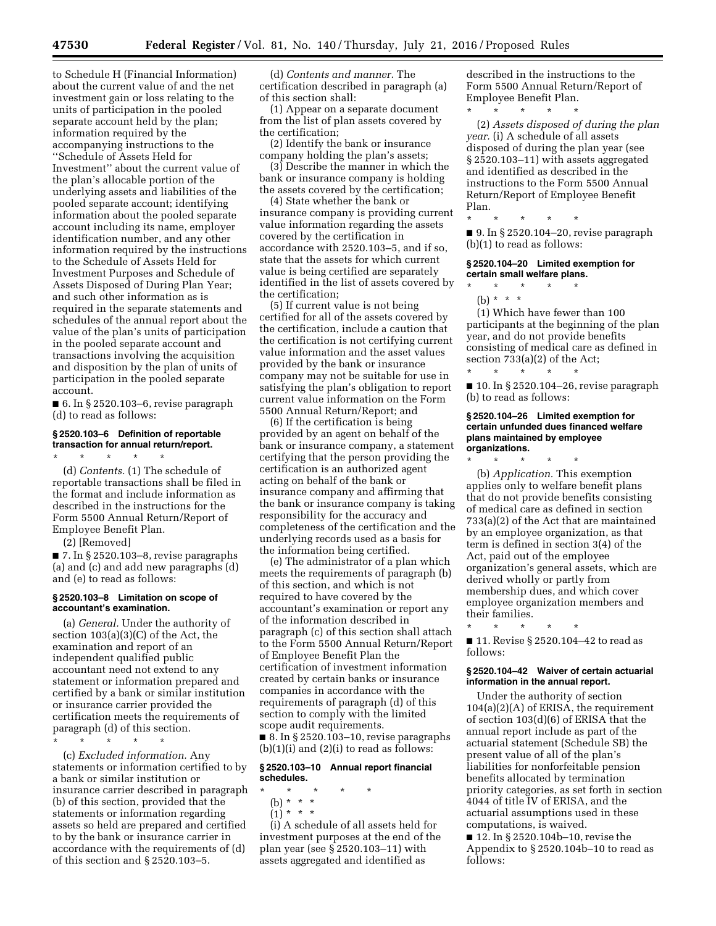to Schedule H (Financial Information) about the current value of and the net investment gain or loss relating to the units of participation in the pooled separate account held by the plan; information required by the accompanying instructions to the ''Schedule of Assets Held for Investment'' about the current value of the plan's allocable portion of the underlying assets and liabilities of the pooled separate account; identifying information about the pooled separate account including its name, employer identification number, and any other information required by the instructions to the Schedule of Assets Held for Investment Purposes and Schedule of Assets Disposed of During Plan Year; and such other information as is required in the separate statements and schedules of the annual report about the value of the plan's units of participation in the pooled separate account and transactions involving the acquisition and disposition by the plan of units of participation in the pooled separate account.

■ 6. In § 2520.103–6, revise paragraph (d) to read as follows:

## **§ 2520.103–6 Definition of reportable transaction for annual return/report.**

\* \* \* \* \* (d) *Contents.* (1) The schedule of reportable transactions shall be filed in the format and include information as described in the instructions for the Form 5500 Annual Return/Report of Employee Benefit Plan.

(2) [Removed]

 $\blacksquare$  7. In § 2520.103–8, revise paragraphs (a) and (c) and add new paragraphs (d) and (e) to read as follows:

# **§ 2520.103–8 Limitation on scope of accountant's examination.**

(a) *General.* Under the authority of section 103(a)(3)(C) of the Act, the examination and report of an independent qualified public accountant need not extend to any statement or information prepared and certified by a bank or similar institution or insurance carrier provided the certification meets the requirements of paragraph (d) of this section.

\* \* \* \* \*

(c) *Excluded information.* Any statements or information certified to by a bank or similar institution or insurance carrier described in paragraph (b) of this section, provided that the statements or information regarding assets so held are prepared and certified to by the bank or insurance carrier in accordance with the requirements of (d) of this section and § 2520.103–5.

(d) *Contents and manner.* The certification described in paragraph (a) of this section shall:

(1) Appear on a separate document from the list of plan assets covered by the certification;

(2) Identify the bank or insurance company holding the plan's assets;

(3) Describe the manner in which the bank or insurance company is holding the assets covered by the certification;

(4) State whether the bank or insurance company is providing current value information regarding the assets covered by the certification in accordance with 2520.103–5, and if so, state that the assets for which current value is being certified are separately identified in the list of assets covered by the certification;

(5) If current value is not being certified for all of the assets covered by the certification, include a caution that the certification is not certifying current value information and the asset values provided by the bank or insurance company may not be suitable for use in satisfying the plan's obligation to report current value information on the Form 5500 Annual Return/Report; and

(6) If the certification is being provided by an agent on behalf of the bank or insurance company, a statement certifying that the person providing the certification is an authorized agent acting on behalf of the bank or insurance company and affirming that the bank or insurance company is taking responsibility for the accuracy and completeness of the certification and the underlying records used as a basis for the information being certified.

(e) The administrator of a plan which meets the requirements of paragraph (b) of this section, and which is not required to have covered by the accountant's examination or report any of the information described in paragraph (c) of this section shall attach to the Form 5500 Annual Return/Report of Employee Benefit Plan the certification of investment information created by certain banks or insurance companies in accordance with the requirements of paragraph (d) of this section to comply with the limited scope audit requirements.  $\blacksquare$  8. In § 2520.103–10, revise paragraphs  $(b)(1)(i)$  and  $(2)(i)$  to read as follows:

#### **§ 2520.103–10 Annual report financial schedules.**

- \* \* \* \* \*
- (b) \* \* \*
- $(1) * * * *$

(i) A schedule of all assets held for investment purposes at the end of the plan year (see § 2520.103–11) with assets aggregated and identified as

described in the instructions to the Form 5500 Annual Return/Report of Employee Benefit Plan.

\* \* \* \* \* (2) *Assets disposed of during the plan year.* (i) A schedule of all assets disposed of during the plan year (see § 2520.103–11) with assets aggregated and identified as described in the instructions to the Form 5500 Annual Return/Report of Employee Benefit Plan.

\* \* \* \* \*

■ 9. In § 2520.104–20, revise paragraph (b)(1) to read as follows:

# **§ 2520.104–20 Limited exemption for certain small welfare plans.**

\* \* \* \* \* (b)  $* * * *$ 

(1) Which have fewer than 100 participants at the beginning of the plan year, and do not provide benefits consisting of medical care as defined in section 733(a)(2) of the Act;

\* \* \* \* \*  $\blacksquare$  10. In § 2520.104–26, revise paragraph (b) to read as follows:

#### **§ 2520.104–26 Limited exemption for certain unfunded dues financed welfare plans maintained by employee organizations.**

\* \* \* \* \* (b) *Application.* This exemption applies only to welfare benefit plans that do not provide benefits consisting of medical care as defined in section 733(a)(2) of the Act that are maintained by an employee organization, as that term is defined in section 3(4) of the Act, paid out of the employee organization's general assets, which are derived wholly or partly from membership dues, and which cover employee organization members and their families.

\* \* \* \* \* ■ 11. Revise § 2520.104–42 to read as follows:

# **§ 2520.104–42 Waiver of certain actuarial information in the annual report.**

Under the authority of section 104(a)(2)(A) of ERISA, the requirement of section 103(d)(6) of ERISA that the annual report include as part of the actuarial statement (Schedule SB) the present value of all of the plan's liabilities for nonforfeitable pension benefits allocated by termination priority categories, as set forth in section 4044 of title IV of ERISA, and the actuarial assumptions used in these computations, is waived.

■ 12. In § 2520.104b–10, revise the Appendix to § 2520.104b–10 to read as follows: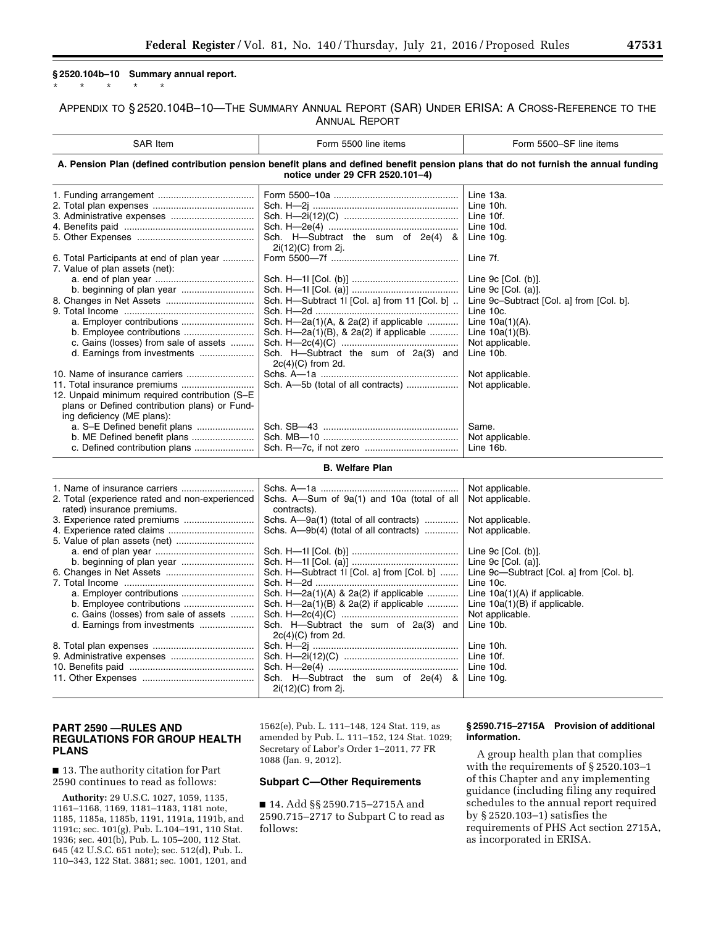#### **§ 2520.104b–10 Summary annual report.**

# \* \* \* \* \*

# APPENDIX TO § 2520.104B–10—THE SUMMARY ANNUAL REPORT (SAR) UNDER ERISA: A CROSS-REFERENCE TO THE ANNUAL REPORT

| <b>SAR Item</b>                                                                                                                                                         | Form 5500 line items                                                                                                                                                                                  | Form 5500-SF line items                                                                                                                                                                         |  |  |
|-------------------------------------------------------------------------------------------------------------------------------------------------------------------------|-------------------------------------------------------------------------------------------------------------------------------------------------------------------------------------------------------|-------------------------------------------------------------------------------------------------------------------------------------------------------------------------------------------------|--|--|
| A. Pension Plan (defined contribution pension benefit plans and defined benefit pension plans that do not furnish the annual funding<br>notice under 29 CFR 2520.101-4) |                                                                                                                                                                                                       |                                                                                                                                                                                                 |  |  |
|                                                                                                                                                                         | Sch. H-Subtract the sum of 2e(4) &<br>$2i(12)(C)$ from $2i$ .                                                                                                                                         | Line 13a.<br>Line 10h.<br>Line 10f.<br>Line 10d.<br>Line 10g.                                                                                                                                   |  |  |
| 6. Total Participants at end of plan year<br>7. Value of plan assets (net):<br>c. Gains (losses) from sale of assets<br>d. Earnings from investments                    | Sch. H-Subtract 11 [Col. a] from 11 [Col. b]<br>Sch. H-2a(1)(A, & 2a(2) if applicable<br>Sch. H- $-2a(1)(B)$ , & $2a(2)$ if applicable<br>Sch. H-Subtract the sum of 2a(3) and<br>$2c(4)(C)$ from 2d. | Line 7f.<br>Line $9c$ [Col. (b)].<br>Line $9c$ [Col. (a)].<br>Line 9c-Subtract [Col. a] from [Col. b].<br>Line 10c.<br>Line $10a(1)(A)$ .<br>Line $10a(1)(B)$ .<br>Not applicable.<br>Line 10b. |  |  |
| 12. Unpaid minimum required contribution (S-E)<br>plans or Defined contribution plans) or Fund-<br>ing deficiency (ME plans):                                           | Sch. A-5b (total of all contracts)                                                                                                                                                                    | Not applicable.<br>Not applicable.<br>Same.<br>Not applicable.<br>Line 16b.                                                                                                                     |  |  |
| <b>R</b> Welfare Plan                                                                                                                                                   |                                                                                                                                                                                                       |                                                                                                                                                                                                 |  |  |

**B. Welfare Plan** 

|                                                |                                            | Not applicable.                          |
|------------------------------------------------|--------------------------------------------|------------------------------------------|
| 2. Total (experience rated and non-experienced | Schs. A—Sum of 9a(1) and 10a (total of all | Not applicable.                          |
| rated) insurance premiums.                     | contracts).                                |                                          |
|                                                | Schs. A—9a(1) (total of all contracts)     | Not applicable.                          |
|                                                | Schs. A—9b(4) (total of all contracts)     | Not applicable.                          |
|                                                |                                            |                                          |
|                                                |                                            | Line $9c$ $[Col. (b)]$ .                 |
|                                                |                                            | Line $9c$ [Col. (a)].                    |
|                                                | Sch. H-Subtract 11 [Col. a] from [Col. b]  | Line 9c-Subtract [Col. a] from [Col. b]. |
|                                                |                                            | Line 10c.                                |
|                                                | Sch. H—2a(1)(A) & 2a(2) if applicable      | Line $10a(1)(A)$ if applicable.          |
|                                                | Sch. H- $-2a(1)(B)$ & 2a(2) if applicable  | Line $10a(1)(B)$ if applicable.          |
| c. Gains (losses) from sale of assets          |                                            | Not applicable.                          |
|                                                | Sch. H-Subtract the sum of 2a(3) and       | Line 10b.                                |
|                                                | $2c(4)(C)$ from 2d.                        |                                          |
|                                                |                                            | Line 10h.                                |
|                                                |                                            | Line 10f.                                |
|                                                |                                            | Line 10d.                                |
|                                                | Sch. H-Subtract the sum of 2e(4) &         | Line 10g.                                |
|                                                | $2i(12)(C)$ from $2i$ .                    |                                          |

# **PART 2590 —RULES AND REGULATIONS FOR GROUP HEALTH PLANS**

■ 13. The authority citation for Part 2590 continues to read as follows:

**Authority:** 29 U.S.C. 1027, 1059, 1135, 1161–1168, 1169, 1181–1183, 1181 note, 1185, 1185a, 1185b, 1191, 1191a, 1191b, and 1191c; sec. 101(g), Pub. L.104–191, 110 Stat. 1936; sec. 401(b), Pub. L. 105–200, 112 Stat. 645 (42 U.S.C. 651 note); sec. 512(d), Pub. L. 110–343, 122 Stat. 3881; sec. 1001, 1201, and 1562(e), Pub. L. 111–148, 124 Stat. 119, as amended by Pub. L. 111–152, 124 Stat. 1029; Secretary of Labor's Order 1–2011, 77 FR 1088 (Jan. 9, 2012).

## **Subpart C—Other Requirements**

■ 14. Add §§ 2590.715-2715A and 2590.715–2717 to Subpart C to read as follows:

# **§ 2590.715–2715A Provision of additional information.**

A group health plan that complies with the requirements of § 2520.103–1 of this Chapter and any implementing guidance (including filing any required schedules to the annual report required by § 2520.103–1) satisfies the requirements of PHS Act section 2715A, as incorporated in ERISA.